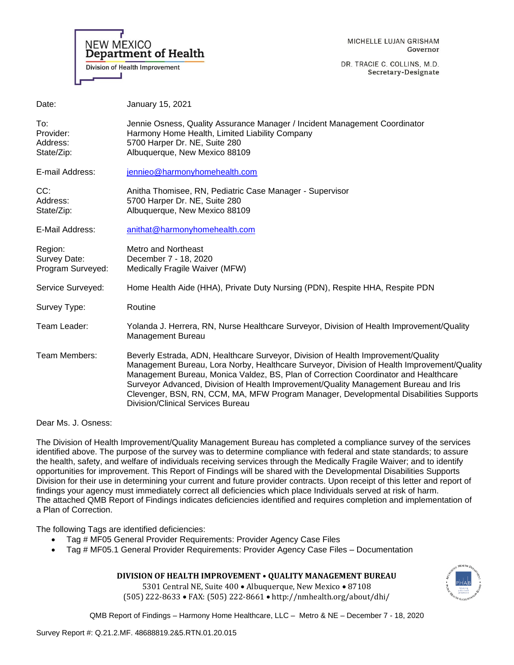

MICHELLE LUJAN GRISHAM Governor

DR. TRACIE C. COLLINS, M.D. Secretary-Designate

| Date:                                        | January 15, 2021                                                                                                                                                                                                                                                                                                                                                                                                                                                                                    |
|----------------------------------------------|-----------------------------------------------------------------------------------------------------------------------------------------------------------------------------------------------------------------------------------------------------------------------------------------------------------------------------------------------------------------------------------------------------------------------------------------------------------------------------------------------------|
| To:<br>Provider:<br>Address:<br>State/Zip:   | Jennie Osness, Quality Assurance Manager / Incident Management Coordinator<br>Harmony Home Health, Limited Liability Company<br>5700 Harper Dr. NE, Suite 280<br>Albuquerque, New Mexico 88109                                                                                                                                                                                                                                                                                                      |
| E-mail Address:                              | jennieo@harmonyhomehealth.com                                                                                                                                                                                                                                                                                                                                                                                                                                                                       |
| CC:<br>Address:<br>State/Zip:                | Anitha Thomisee, RN, Pediatric Case Manager - Supervisor<br>5700 Harper Dr. NE, Suite 280<br>Albuquerque, New Mexico 88109                                                                                                                                                                                                                                                                                                                                                                          |
| E-Mail Address:                              | anithat@harmonyhomehealth.com                                                                                                                                                                                                                                                                                                                                                                                                                                                                       |
| Region:<br>Survey Date:<br>Program Surveyed: | Metro and Northeast<br>December 7 - 18, 2020<br>Medically Fragile Waiver (MFW)                                                                                                                                                                                                                                                                                                                                                                                                                      |
| Service Surveyed:                            | Home Health Aide (HHA), Private Duty Nursing (PDN), Respite HHA, Respite PDN                                                                                                                                                                                                                                                                                                                                                                                                                        |
| Survey Type:                                 | Routine                                                                                                                                                                                                                                                                                                                                                                                                                                                                                             |
| Team Leader:                                 | Yolanda J. Herrera, RN, Nurse Healthcare Surveyor, Division of Health Improvement/Quality<br>Management Bureau                                                                                                                                                                                                                                                                                                                                                                                      |
| Team Members:                                | Beverly Estrada, ADN, Healthcare Surveyor, Division of Health Improvement/Quality<br>Management Bureau, Lora Norby, Healthcare Surveyor, Division of Health Improvement/Quality<br>Management Bureau, Monica Valdez, BS, Plan of Correction Coordinator and Healthcare<br>Surveyor Advanced, Division of Health Improvement/Quality Management Bureau and Iris<br>Clevenger, BSN, RN, CCM, MA, MFW Program Manager, Developmental Disabilities Supports<br><b>Division/Clinical Services Bureau</b> |

Dear Ms. J. Osness:

The Division of Health Improvement/Quality Management Bureau has completed a compliance survey of the services identified above. The purpose of the survey was to determine compliance with federal and state standards; to assure the health, safety, and welfare of individuals receiving services through the Medically Fragile Waiver; and to identify opportunities for improvement. This Report of Findings will be shared with the Developmental Disabilities Supports Division for their use in determining your current and future provider contracts. Upon receipt of this letter and report of findings your agency must immediately correct all deficiencies which place Individuals served at risk of harm. The attached QMB Report of Findings indicates deficiencies identified and requires completion and implementation of a Plan of Correction.

The following Tags are identified deficiencies:

- Tag # MF05 General Provider Requirements: Provider Agency Case Files
- Tag # MF05.1 General Provider Requirements: Provider Agency Case Files Documentation

# **DIVISION OF HEALTH IMPROVEMENT • QUALITY MANAGEMENT BUREAU**

5301 Central NE, Suite 400 • Albuquerque, New Mexico • 87108 (505) 222-8633 • FAX: (505) 222-8661 • http://nmhealth.org/about/dhi/

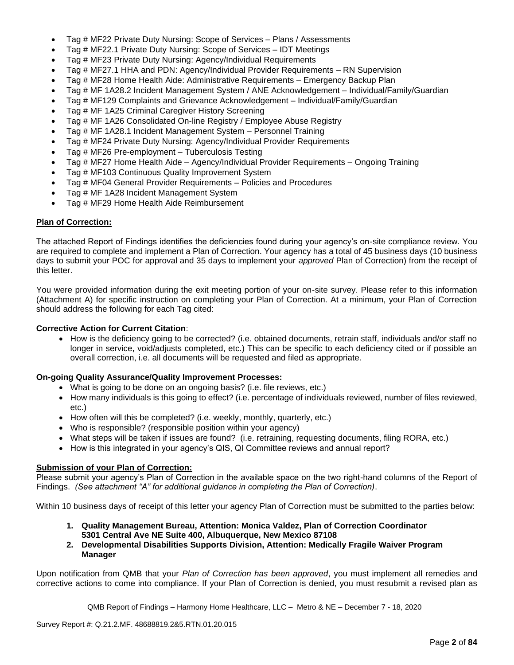- Tag # MF22 Private Duty Nursing: Scope of Services Plans / Assessments
- Tag # MF22.1 Private Duty Nursing: Scope of Services IDT Meetings
- Tag # MF23 Private Duty Nursing: Agency/Individual Requirements
- Tag # MF27.1 HHA and PDN: Agency/Individual Provider Requirements RN Supervision
- Tag # MF28 Home Health Aide: Administrative Requirements Emergency Backup Plan
- Tag # MF 1A28.2 Incident Management System / ANE Acknowledgement Individual/Family/Guardian
- Tag # MF129 Complaints and Grievance Acknowledgement Individual/Family/Guardian
- Tag # MF 1A25 Criminal Caregiver History Screening
- Tag # MF 1A26 Consolidated On-line Registry / Employee Abuse Registry
- Tag # MF 1A28.1 Incident Management System Personnel Training
- Tag # MF24 Private Duty Nursing: Agency/Individual Provider Requirements
- Tag # MF26 Pre-employment Tuberculosis Testing
- Tag # MF27 Home Health Aide Agency/Individual Provider Requirements Ongoing Training
- Tag # MF103 Continuous Quality Improvement System
- Tag # MF04 General Provider Requirements Policies and Procedures
- Tag # MF 1A28 Incident Management System
- Tag # MF29 Home Health Aide Reimbursement

## **Plan of Correction:**

The attached Report of Findings identifies the deficiencies found during your agency's on-site compliance review. You are required to complete and implement a Plan of Correction. Your agency has a total of 45 business days (10 business days to submit your POC for approval and 35 days to implement your *approved* Plan of Correction) from the receipt of this letter.

You were provided information during the exit meeting portion of your on-site survey. Please refer to this information (Attachment A) for specific instruction on completing your Plan of Correction. At a minimum, your Plan of Correction should address the following for each Tag cited:

## **Corrective Action for Current Citation**:

• How is the deficiency going to be corrected? (i.e. obtained documents, retrain staff, individuals and/or staff no longer in service, void/adjusts completed, etc.) This can be specific to each deficiency cited or if possible an overall correction, i.e. all documents will be requested and filed as appropriate.

# **On-going Quality Assurance/Quality Improvement Processes:**

- What is going to be done on an ongoing basis? (i.e. file reviews, etc.)
- How many individuals is this going to effect? (i.e. percentage of individuals reviewed, number of files reviewed, etc.)
- How often will this be completed? (i.e. weekly, monthly, quarterly, etc.)
- Who is responsible? (responsible position within your agency)
- What steps will be taken if issues are found? (i.e. retraining, requesting documents, filing RORA, etc.)
- How is this integrated in your agency's QIS, QI Committee reviews and annual report?

## **Submission of your Plan of Correction:**

Please submit your agency's Plan of Correction in the available space on the two right-hand columns of the Report of Findings. *(See attachment "A" for additional guidance in completing the Plan of Correction)*.

Within 10 business days of receipt of this letter your agency Plan of Correction must be submitted to the parties below:

- **1. Quality Management Bureau, Attention: Monica Valdez, Plan of Correction Coordinator 5301 Central Ave NE Suite 400, Albuquerque, New Mexico 87108**
- **2. Developmental Disabilities Supports Division, Attention: Medically Fragile Waiver Program Manager**

Upon notification from QMB that your *Plan of Correction has been approved*, you must implement all remedies and corrective actions to come into compliance. If your Plan of Correction is denied, you must resubmit a revised plan as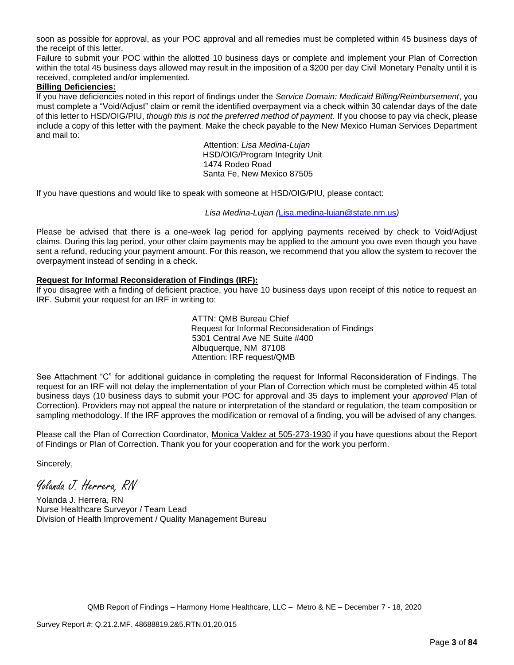soon as possible for approval, as your POC approval and all remedies must be completed within 45 business days of the receipt of this letter.

Failure to submit your POC within the allotted 10 business days or complete and implement your Plan of Correction within the total 45 business days allowed may result in the imposition of a \$200 per day Civil Monetary Penalty until it is received, completed and/or implemented.

## **Billing Deficiencies:**

If you have deficiencies noted in this report of findings under the *Service Domain: Medicaid Billing/Reimbursement*, you must complete a "Void/Adjust" claim or remit the identified overpayment via a check within 30 calendar days of the date of this letter to HSD/OIG/PIU, *though this is not the preferred method of payment*. If you choose to pay via check, please include a copy of this letter with the payment. Make the check payable to the New Mexico Human Services Department and mail to:

> Attention: *Lisa Medina-Lujan* HSD/OIG/Program Integrity Unit 1474 Rodeo Road Santa Fe, New Mexico 87505

If you have questions and would like to speak with someone at HSD/OIG/PIU, please contact:

*Lisa Medina-Lujan (*[Lisa.medina-lujan@state.nm.us](mailto:Lisa.medina-lujan@state.nm.us)*)*

Please be advised that there is a one-week lag period for applying payments received by check to Void/Adjust claims. During this lag period, your other claim payments may be applied to the amount you owe even though you have sent a refund, reducing your payment amount. For this reason, we recommend that you allow the system to recover the overpayment instead of sending in a check.

## **Request for Informal Reconsideration of Findings (IRF):**

If you disagree with a finding of deficient practice, you have 10 business days upon receipt of this notice to request an IRF. Submit your request for an IRF in writing to:

> ATTN: QMB Bureau Chief Request for Informal Reconsideration of Findings 5301 Central Ave NE Suite #400 Albuquerque, NM 87108 Attention: IRF request/QMB

See Attachment "C" for additional guidance in completing the request for Informal Reconsideration of Findings. The request for an IRF will not delay the implementation of your Plan of Correction which must be completed within 45 total business days (10 business days to submit your POC for approval and 35 days to implement your *approved* Plan of Correction). Providers may not appeal the nature or interpretation of the standard or regulation, the team composition or sampling methodology. If the IRF approves the modification or removal of a finding, you will be advised of any changes.

Please call the Plan of Correction Coordinator, Monica Valdez at 505-273-1930 if you have questions about the Report of Findings or Plan of Correction. Thank you for your cooperation and for the work you perform.

Sincerely,

Yolanda J. Herrera, RN

Yolanda J. Herrera, RN Nurse Healthcare Surveyor / Team Lead Division of Health Improvement / Quality Management Bureau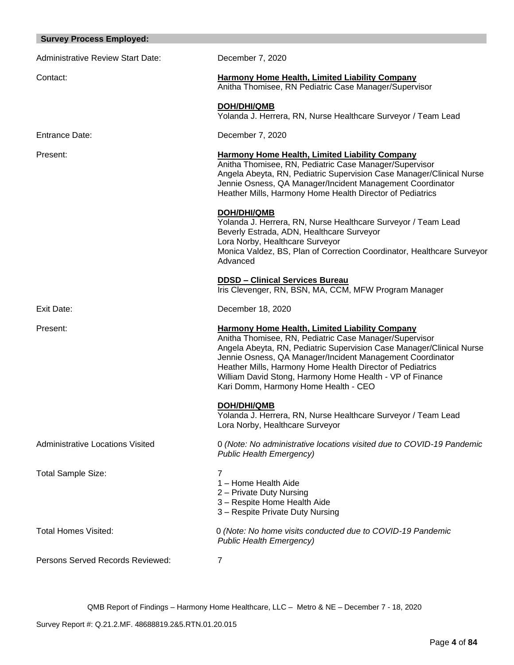| <b>Survey Process Employed:</b>          |                                                                                                                                                                                                                                                                                                                                                                                                                       |
|------------------------------------------|-----------------------------------------------------------------------------------------------------------------------------------------------------------------------------------------------------------------------------------------------------------------------------------------------------------------------------------------------------------------------------------------------------------------------|
| <b>Administrative Review Start Date:</b> | December 7, 2020                                                                                                                                                                                                                                                                                                                                                                                                      |
| Contact:                                 | <b>Harmony Home Health, Limited Liability Company</b><br>Anitha Thomisee, RN Pediatric Case Manager/Supervisor                                                                                                                                                                                                                                                                                                        |
|                                          | <b>DOH/DHI/QMB</b><br>Yolanda J. Herrera, RN, Nurse Healthcare Surveyor / Team Lead                                                                                                                                                                                                                                                                                                                                   |
| <b>Entrance Date:</b>                    | December 7, 2020                                                                                                                                                                                                                                                                                                                                                                                                      |
| Present:                                 | <b>Harmony Home Health, Limited Liability Company</b><br>Anitha Thomisee, RN, Pediatric Case Manager/Supervisor<br>Angela Abeyta, RN, Pediatric Supervision Case Manager/Clinical Nurse<br>Jennie Osness, QA Manager/Incident Management Coordinator<br>Heather Mills, Harmony Home Health Director of Pediatrics                                                                                                     |
|                                          | DOH/DHI/QMB<br>Yolanda J. Herrera, RN, Nurse Healthcare Surveyor / Team Lead<br>Beverly Estrada, ADN, Healthcare Surveyor<br>Lora Norby, Healthcare Surveyor<br>Monica Valdez, BS, Plan of Correction Coordinator, Healthcare Surveyor<br>Advanced                                                                                                                                                                    |
|                                          | <b>DDSD - Clinical Services Bureau</b><br>Iris Clevenger, RN, BSN, MA, CCM, MFW Program Manager                                                                                                                                                                                                                                                                                                                       |
| Exit Date:                               | December 18, 2020                                                                                                                                                                                                                                                                                                                                                                                                     |
| Present:                                 | <b>Harmony Home Health, Limited Liability Company</b><br>Anitha Thomisee, RN, Pediatric Case Manager/Supervisor<br>Angela Abeyta, RN, Pediatric Supervision Case Manager/Clinical Nurse<br>Jennie Osness, QA Manager/Incident Management Coordinator<br>Heather Mills, Harmony Home Health Director of Pediatrics<br>William David Stong, Harmony Home Health - VP of Finance<br>Kari Domm, Harmony Home Health - CEO |
|                                          | <b>DOH/DHI/QMB</b><br>Yolanda J. Herrera, RN, Nurse Healthcare Surveyor / Team Lead<br>Lora Norby, Healthcare Surveyor                                                                                                                                                                                                                                                                                                |
| <b>Administrative Locations Visited</b>  | 0 (Note: No administrative locations visited due to COVID-19 Pandemic<br><b>Public Health Emergency)</b>                                                                                                                                                                                                                                                                                                              |
| <b>Total Sample Size:</b>                | 7<br>1 - Home Health Aide<br>2 - Private Duty Nursing<br>3 - Respite Home Health Aide<br>3 - Respite Private Duty Nursing                                                                                                                                                                                                                                                                                             |
| <b>Total Homes Visited:</b>              | 0 (Note: No home visits conducted due to COVID-19 Pandemic<br><b>Public Health Emergency)</b>                                                                                                                                                                                                                                                                                                                         |
| Persons Served Records Reviewed:         | 7                                                                                                                                                                                                                                                                                                                                                                                                                     |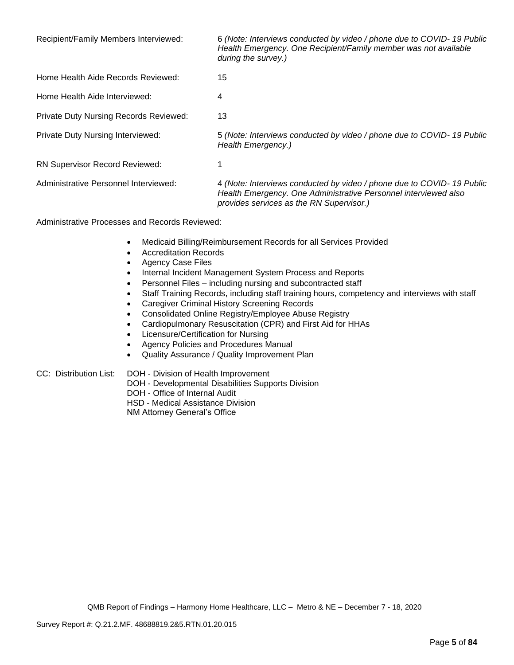| Recipient/Family Members Interviewed:         | 6 (Note: Interviews conducted by video / phone due to COVID-19 Public<br>Health Emergency. One Recipient/Family member was not available<br>during the survey.)                       |
|-----------------------------------------------|---------------------------------------------------------------------------------------------------------------------------------------------------------------------------------------|
| Home Health Aide Records Reviewed:            | 15                                                                                                                                                                                    |
| Home Health Aide Interviewed:                 | 4                                                                                                                                                                                     |
| <b>Private Duty Nursing Records Reviewed:</b> | 13                                                                                                                                                                                    |
| <b>Private Duty Nursing Interviewed:</b>      | 5 (Note: Interviews conducted by video / phone due to COVID-19 Public<br>Health Emergency.)                                                                                           |
| <b>RN Supervisor Record Reviewed:</b>         |                                                                                                                                                                                       |
| Administrative Personnel Interviewed:         | 4 (Note: Interviews conducted by video / phone due to COVID- 19 Public<br>Health Emergency. One Administrative Personnel interviewed also<br>provides services as the RN Supervisor.) |

Administrative Processes and Records Reviewed:

- Medicaid Billing/Reimbursement Records for all Services Provided
- Accreditation Records
- Agency Case Files
- Internal Incident Management System Process and Reports
- Personnel Files including nursing and subcontracted staff
- Staff Training Records, including staff training hours, competency and interviews with staff
- Caregiver Criminal History Screening Records
- Consolidated Online Registry/Employee Abuse Registry
- Cardiopulmonary Resuscitation (CPR) and First Aid for HHAs
- Licensure/Certification for Nursing
- Agency Policies and Procedures Manual
- Quality Assurance / Quality Improvement Plan

CC: Distribution List: DOH - Division of Health Improvement

- DOH Developmental Disabilities Supports Division
- DOH Office of Internal Audit
- HSD Medical Assistance Division

NM Attorney General's Office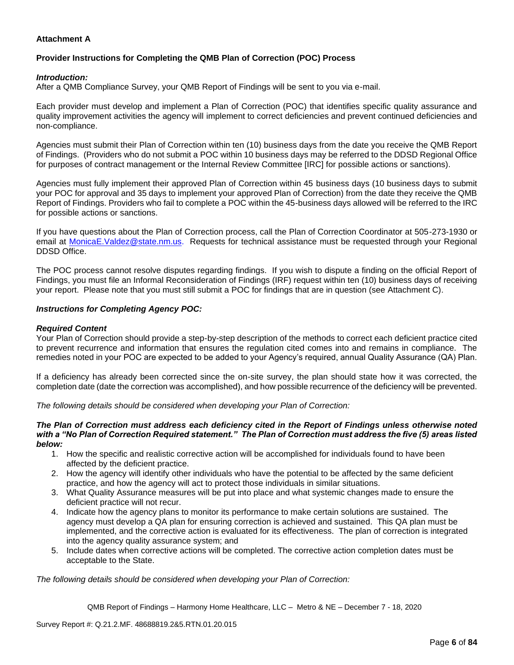## **Attachment A**

# **Provider Instructions for Completing the QMB Plan of Correction (POC) Process**

## *Introduction:*

After a QMB Compliance Survey, your QMB Report of Findings will be sent to you via e-mail.

Each provider must develop and implement a Plan of Correction (POC) that identifies specific quality assurance and quality improvement activities the agency will implement to correct deficiencies and prevent continued deficiencies and non-compliance.

Agencies must submit their Plan of Correction within ten (10) business days from the date you receive the QMB Report of Findings. (Providers who do not submit a POC within 10 business days may be referred to the DDSD Regional Office for purposes of contract management or the Internal Review Committee [IRC] for possible actions or sanctions).

Agencies must fully implement their approved Plan of Correction within 45 business days (10 business days to submit your POC for approval and 35 days to implement your approved Plan of Correction) from the date they receive the QMB Report of Findings. Providers who fail to complete a POC within the 45-business days allowed will be referred to the IRC for possible actions or sanctions.

If you have questions about the Plan of Correction process, call the Plan of Correction Coordinator at 505-273-1930 or email at [MonicaE.Valdez@state.nm.us.](mailto:MonicaE.Valdez@state.nm.us) Requests for technical assistance must be requested through your Regional DDSD Office.

The POC process cannot resolve disputes regarding findings. If you wish to dispute a finding on the official Report of Findings, you must file an Informal Reconsideration of Findings (IRF) request within ten (10) business days of receiving your report. Please note that you must still submit a POC for findings that are in question (see Attachment C).

## *Instructions for Completing Agency POC:*

## *Required Content*

Your Plan of Correction should provide a step-by-step description of the methods to correct each deficient practice cited to prevent recurrence and information that ensures the regulation cited comes into and remains in compliance. The remedies noted in your POC are expected to be added to your Agency's required, annual Quality Assurance (QA) Plan.

If a deficiency has already been corrected since the on-site survey, the plan should state how it was corrected, the completion date (date the correction was accomplished), and how possible recurrence of the deficiency will be prevented.

*The following details should be considered when developing your Plan of Correction:*

#### *The Plan of Correction must address each deficiency cited in the Report of Findings unless otherwise noted with a "No Plan of Correction Required statement." The Plan of Correction must address the five (5) areas listed below:*

- 1. How the specific and realistic corrective action will be accomplished for individuals found to have been affected by the deficient practice.
- 2. How the agency will identify other individuals who have the potential to be affected by the same deficient practice, and how the agency will act to protect those individuals in similar situations.
- 3. What Quality Assurance measures will be put into place and what systemic changes made to ensure the deficient practice will not recur.
- 4. Indicate how the agency plans to monitor its performance to make certain solutions are sustained. The agency must develop a QA plan for ensuring correction is achieved and sustained. This QA plan must be implemented, and the corrective action is evaluated for its effectiveness. The plan of correction is integrated into the agency quality assurance system; and
- 5. Include dates when corrective actions will be completed. The corrective action completion dates must be acceptable to the State.

*The following details should be considered when developing your Plan of Correction:*

QMB Report of Findings – Harmony Home Healthcare, LLC – Metro & NE – December 7 - 18, 2020

Survey Report #: Q.21.2.MF. 48688819.2&5.RTN.01.20.015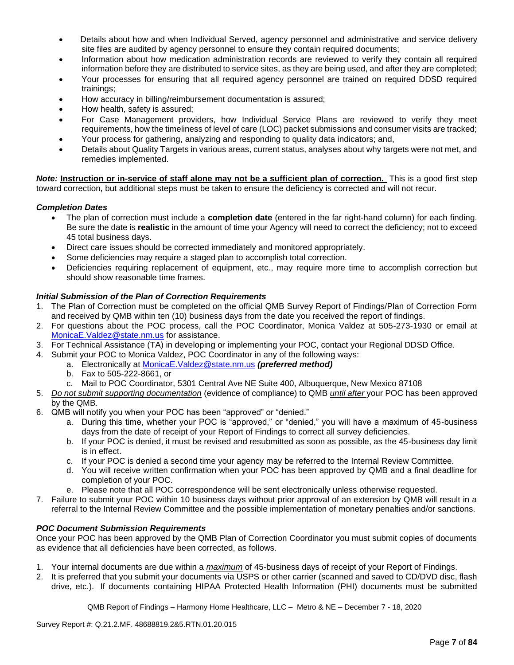- Details about how and when Individual Served, agency personnel and administrative and service delivery site files are audited by agency personnel to ensure they contain required documents;
- Information about how medication administration records are reviewed to verify they contain all required information before they are distributed to service sites, as they are being used, and after they are completed;
- Your processes for ensuring that all required agency personnel are trained on required DDSD required trainings;
- How accuracy in billing/reimbursement documentation is assured;
- How health, safety is assured;
- For Case Management providers, how Individual Service Plans are reviewed to verify they meet requirements, how the timeliness of level of care (LOC) packet submissions and consumer visits are tracked;
- Your process for gathering, analyzing and responding to quality data indicators; and,
- Details about Quality Targets in various areas, current status, analyses about why targets were not met, and remedies implemented.

*Note:* **Instruction or in-service of staff alone may not be a sufficient plan of correction.** This is a good first step toward correction, but additional steps must be taken to ensure the deficiency is corrected and will not recur.

## *Completion Dates*

- The plan of correction must include a **completion date** (entered in the far right-hand column) for each finding. Be sure the date is **realistic** in the amount of time your Agency will need to correct the deficiency; not to exceed 45 total business days.
- Direct care issues should be corrected immediately and monitored appropriately.
- Some deficiencies may require a staged plan to accomplish total correction.
- Deficiencies requiring replacement of equipment, etc., may require more time to accomplish correction but should show reasonable time frames.

## *Initial Submission of the Plan of Correction Requirements*

- 1. The Plan of Correction must be completed on the official QMB Survey Report of Findings/Plan of Correction Form and received by QMB within ten (10) business days from the date you received the report of findings.
- 2. For questions about the POC process, call the POC Coordinator, Monica Valdez at 505-273-1930 or email at [MonicaE.Valdez@state.nm.us](mailto:MonicaE.Valdez@state.nm.us) for assistance.
- 3. For Technical Assistance (TA) in developing or implementing your POC, contact your Regional DDSD Office.
- 4. Submit your POC to Monica Valdez, POC Coordinator in any of the following ways:
	- a. Electronically at [MonicaE.Valdez@state.nm.us](mailto:MonicaE.Valdez@state.nm.us) *(preferred method)*
	- b. Fax to 505-222-8661, or
	- c. Mail to POC Coordinator, 5301 Central Ave NE Suite 400, Albuquerque, New Mexico 87108
- 5. *Do not submit supporting documentation* (evidence of compliance) to QMB *until after* your POC has been approved by the QMB.
- 6. QMB will notify you when your POC has been "approved" or "denied."
	- a. During this time, whether your POC is "approved," or "denied," you will have a maximum of 45-business days from the date of receipt of your Report of Findings to correct all survey deficiencies.
	- b. If your POC is denied, it must be revised and resubmitted as soon as possible, as the 45-business day limit is in effect.
	- c. If your POC is denied a second time your agency may be referred to the Internal Review Committee.
	- d. You will receive written confirmation when your POC has been approved by QMB and a final deadline for completion of your POC.
	- e. Please note that all POC correspondence will be sent electronically unless otherwise requested.
- 7. Failure to submit your POC within 10 business days without prior approval of an extension by QMB will result in a referral to the Internal Review Committee and the possible implementation of monetary penalties and/or sanctions.

## *POC Document Submission Requirements*

Once your POC has been approved by the QMB Plan of Correction Coordinator you must submit copies of documents as evidence that all deficiencies have been corrected, as follows.

- 1. Your internal documents are due within a *maximum* of 45-business days of receipt of your Report of Findings.
- 2. It is preferred that you submit your documents via USPS or other carrier (scanned and saved to CD/DVD disc, flash drive, etc.). If documents containing HIPAA Protected Health Information (PHI) documents must be submitted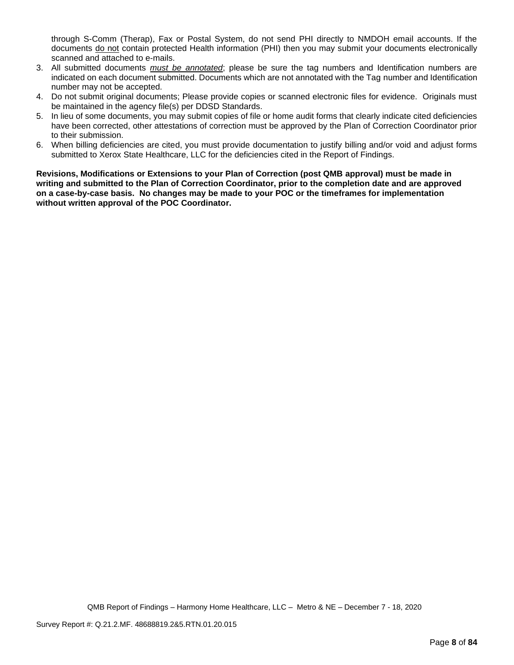through S-Comm (Therap), Fax or Postal System, do not send PHI directly to NMDOH email accounts. If the documents do not contain protected Health information (PHI) then you may submit your documents electronically scanned and attached to e-mails.

- 3. All submitted documents *must be annotated*; please be sure the tag numbers and Identification numbers are indicated on each document submitted. Documents which are not annotated with the Tag number and Identification number may not be accepted.
- 4. Do not submit original documents; Please provide copies or scanned electronic files for evidence. Originals must be maintained in the agency file(s) per DDSD Standards.
- 5. In lieu of some documents, you may submit copies of file or home audit forms that clearly indicate cited deficiencies have been corrected, other attestations of correction must be approved by the Plan of Correction Coordinator prior to their submission.
- 6. When billing deficiencies are cited, you must provide documentation to justify billing and/or void and adjust forms submitted to Xerox State Healthcare, LLC for the deficiencies cited in the Report of Findings.

**Revisions, Modifications or Extensions to your Plan of Correction (post QMB approval) must be made in writing and submitted to the Plan of Correction Coordinator, prior to the completion date and are approved on a case-by-case basis. No changes may be made to your POC or the timeframes for implementation without written approval of the POC Coordinator.**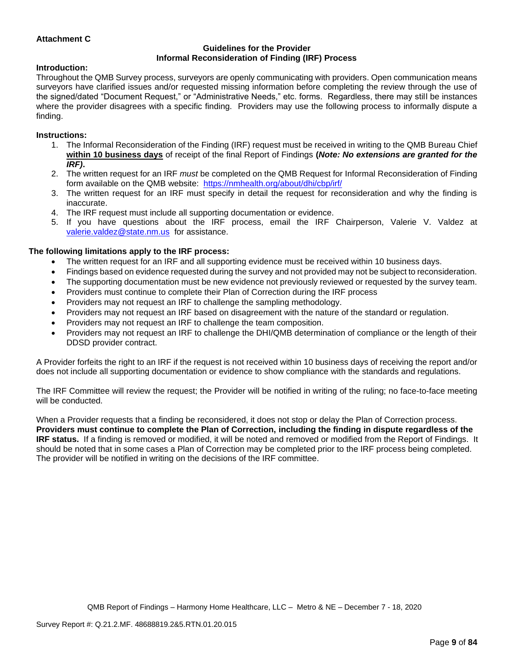## **Attachment C**

## **Guidelines for the Provider Informal Reconsideration of Finding (IRF) Process**

# **Introduction:**

Throughout the QMB Survey process, surveyors are openly communicating with providers. Open communication means surveyors have clarified issues and/or requested missing information before completing the review through the use of the signed/dated "Document Request," or "Administrative Needs," etc. forms. Regardless, there may still be instances where the provider disagrees with a specific finding. Providers may use the following process to informally dispute a finding.

## **Instructions:**

- 1. The Informal Reconsideration of the Finding (IRF) request must be received in writing to the QMB Bureau Chief **within 10 business days** of receipt of the final Report of Findings **(***Note: No extensions are granted for the IRF)***.**
- 2. The written request for an IRF *must* be completed on the QMB Request for Informal Reconsideration of Finding form available on the QMB website: <https://nmhealth.org/about/dhi/cbp/irf/>
- 3. The written request for an IRF must specify in detail the request for reconsideration and why the finding is inaccurate.
- 4. The IRF request must include all supporting documentation or evidence.
- 5. If you have questions about the IRF process, email the IRF Chairperson, Valerie V. Valdez at [valerie.valdez@state.nm.us](mailto:valerie.valdez@state.nm.us) for assistance.

## **The following limitations apply to the IRF process:**

- The written request for an IRF and all supporting evidence must be received within 10 business days.
- Findings based on evidence requested during the survey and not provided may not be subject to reconsideration.
- The supporting documentation must be new evidence not previously reviewed or requested by the survey team.
- Providers must continue to complete their Plan of Correction during the IRF process
- Providers may not request an IRF to challenge the sampling methodology.
- Providers may not request an IRF based on disagreement with the nature of the standard or regulation.
- Providers may not request an IRF to challenge the team composition.
- Providers may not request an IRF to challenge the DHI/QMB determination of compliance or the length of their DDSD provider contract.

A Provider forfeits the right to an IRF if the request is not received within 10 business days of receiving the report and/or does not include all supporting documentation or evidence to show compliance with the standards and regulations.

The IRF Committee will review the request; the Provider will be notified in writing of the ruling; no face-to-face meeting will be conducted.

When a Provider requests that a finding be reconsidered, it does not stop or delay the Plan of Correction process. **Providers must continue to complete the Plan of Correction, including the finding in dispute regardless of the IRF status.** If a finding is removed or modified, it will be noted and removed or modified from the Report of Findings. It should be noted that in some cases a Plan of Correction may be completed prior to the IRF process being completed. The provider will be notified in writing on the decisions of the IRF committee.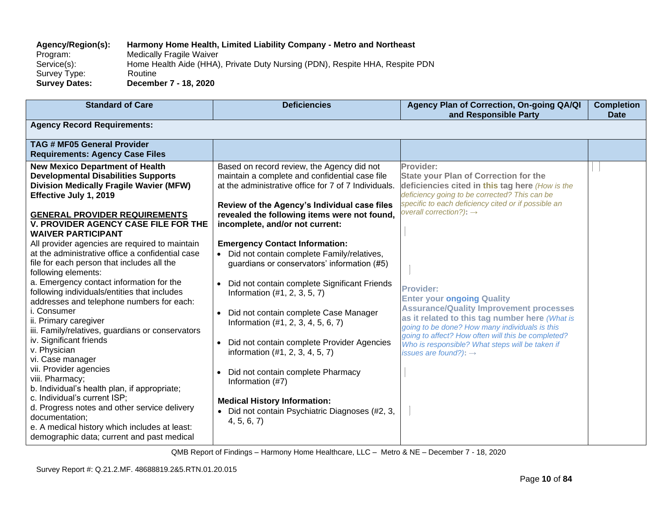# **Agency/Region(s): Harmony Home Health, Limited Liability Company - Metro and Northeast**

Program: Medically Fragile Waiver<br>Service(s): Home Health Aide (HHA) Home Health Aide (HHA), Private Duty Nursing (PDN), Respite HHA, Respite PDN Survey Type: Routine<br> **Survey Dates:** Decemb **Survey Dates: December 7 - 18, 2020**

| <b>Standard of Care</b>                                                                                                                                                                       | <b>Deficiencies</b>                                                                                                                                  | Agency Plan of Correction, On-going QA/QI<br>and Responsible Party                                                                                                                                                   | <b>Completion</b><br><b>Date</b> |  |
|-----------------------------------------------------------------------------------------------------------------------------------------------------------------------------------------------|------------------------------------------------------------------------------------------------------------------------------------------------------|----------------------------------------------------------------------------------------------------------------------------------------------------------------------------------------------------------------------|----------------------------------|--|
| <b>Agency Record Requirements:</b>                                                                                                                                                            |                                                                                                                                                      |                                                                                                                                                                                                                      |                                  |  |
| <b>TAG # MF05 General Provider</b><br><b>Requirements: Agency Case Files</b>                                                                                                                  |                                                                                                                                                      |                                                                                                                                                                                                                      |                                  |  |
| <b>New Mexico Department of Health</b><br><b>Developmental Disabilities Supports</b><br><b>Division Medically Fragile Wavier (MFW)</b><br>Effective July 1, 2019                              | Based on record review, the Agency did not<br>maintain a complete and confidential case file<br>at the administrative office for 7 of 7 Individuals. | Provider:<br><b>State your Plan of Correction for the</b><br>deficiencies cited in this tag here (How is the<br>deficiency going to be corrected? This can be<br>specific to each deficiency cited or if possible an |                                  |  |
| <b>GENERAL PROVIDER REQUIREMENTS</b><br>V. PROVIDER AGENCY CASE FILE FOR THE<br><b>WAIVER PARTICIPANT</b>                                                                                     | Review of the Agency's Individual case files<br>revealed the following items were not found,<br>incomplete, and/or not current:                      | overall correction?): $\rightarrow$                                                                                                                                                                                  |                                  |  |
| All provider agencies are required to maintain<br>at the administrative office a confidential case<br>file for each person that includes all the<br>following elements:                       | <b>Emergency Contact Information:</b><br>Did not contain complete Family/relatives,<br>$\bullet$<br>guardians or conservators' information (#5)      |                                                                                                                                                                                                                      |                                  |  |
| a. Emergency contact information for the<br>following individuals/entities that includes<br>addresses and telephone numbers for each:<br>i. Consumer                                          | Did not contain complete Significant Friends<br>Information $(#1, 2, 3, 5, 7)$                                                                       | <b>Provider:</b><br><b>Enter your ongoing Quality</b><br><b>Assurance/Quality Improvement processes</b>                                                                                                              |                                  |  |
| ii. Primary caregiver<br>iii. Family/relatives, guardians or conservators                                                                                                                     | Did not contain complete Case Manager<br>$\bullet$<br>Information (#1, 2, 3, 4, 5, 6, 7)                                                             | as it related to this tag number here (What is<br>going to be done? How many individuals is this<br>going to affect? How often will this be completed?                                                               |                                  |  |
| iv. Significant friends<br>v. Physician<br>vi. Case manager                                                                                                                                   | Did not contain complete Provider Agencies<br>$\bullet$<br>information (#1, 2, 3, 4, 5, 7)                                                           | Who is responsible? What steps will be taken if<br>issues are found?): $\rightarrow$                                                                                                                                 |                                  |  |
| vii. Provider agencies<br>viii. Pharmacy;<br>b. Individual's health plan, if appropriate;                                                                                                     | Did not contain complete Pharmacy<br>Information (#7)                                                                                                |                                                                                                                                                                                                                      |                                  |  |
| c. Individual's current ISP;<br>d. Progress notes and other service delivery<br>documentation;<br>e. A medical history which includes at least:<br>demographic data; current and past medical | <b>Medical History Information:</b><br>• Did not contain Psychiatric Diagnoses (#2, 3,<br>4, 5, 6, 7                                                 |                                                                                                                                                                                                                      |                                  |  |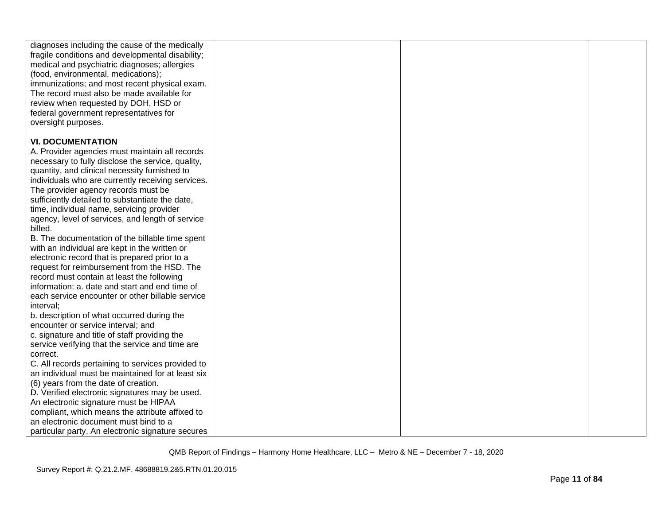| diagnoses including the cause of the medically<br>fragile conditions and developmental disability;<br>medical and psychiatric diagnoses; allergies<br>(food, environmental, medications);<br>immunizations; and most recent physical exam.<br>The record must also be made available for<br>review when requested by DOH, HSD or<br>federal government representatives for<br>oversight purposes. |  |  |
|---------------------------------------------------------------------------------------------------------------------------------------------------------------------------------------------------------------------------------------------------------------------------------------------------------------------------------------------------------------------------------------------------|--|--|
| <b>VI. DOCUMENTATION</b>                                                                                                                                                                                                                                                                                                                                                                          |  |  |
|                                                                                                                                                                                                                                                                                                                                                                                                   |  |  |
| A. Provider agencies must maintain all records                                                                                                                                                                                                                                                                                                                                                    |  |  |
| necessary to fully disclose the service, quality,<br>quantity, and clinical necessity furnished to                                                                                                                                                                                                                                                                                                |  |  |
| individuals who are currently receiving services.                                                                                                                                                                                                                                                                                                                                                 |  |  |
| The provider agency records must be                                                                                                                                                                                                                                                                                                                                                               |  |  |
| sufficiently detailed to substantiate the date,                                                                                                                                                                                                                                                                                                                                                   |  |  |
| time, individual name, servicing provider                                                                                                                                                                                                                                                                                                                                                         |  |  |
| agency, level of services, and length of service                                                                                                                                                                                                                                                                                                                                                  |  |  |
| billed.                                                                                                                                                                                                                                                                                                                                                                                           |  |  |
| B. The documentation of the billable time spent                                                                                                                                                                                                                                                                                                                                                   |  |  |
| with an individual are kept in the written or                                                                                                                                                                                                                                                                                                                                                     |  |  |
| electronic record that is prepared prior to a                                                                                                                                                                                                                                                                                                                                                     |  |  |
| request for reimbursement from the HSD. The                                                                                                                                                                                                                                                                                                                                                       |  |  |
| record must contain at least the following                                                                                                                                                                                                                                                                                                                                                        |  |  |
| information: a. date and start and end time of                                                                                                                                                                                                                                                                                                                                                    |  |  |
| each service encounter or other billable service                                                                                                                                                                                                                                                                                                                                                  |  |  |
| interval;                                                                                                                                                                                                                                                                                                                                                                                         |  |  |
| b. description of what occurred during the                                                                                                                                                                                                                                                                                                                                                        |  |  |
| encounter or service interval; and                                                                                                                                                                                                                                                                                                                                                                |  |  |
| c. signature and title of staff providing the                                                                                                                                                                                                                                                                                                                                                     |  |  |
| service verifying that the service and time are                                                                                                                                                                                                                                                                                                                                                   |  |  |
| correct.                                                                                                                                                                                                                                                                                                                                                                                          |  |  |
| C. All records pertaining to services provided to<br>an individual must be maintained for at least six                                                                                                                                                                                                                                                                                            |  |  |
| (6) years from the date of creation.                                                                                                                                                                                                                                                                                                                                                              |  |  |
| D. Verified electronic signatures may be used.                                                                                                                                                                                                                                                                                                                                                    |  |  |
| An electronic signature must be HIPAA                                                                                                                                                                                                                                                                                                                                                             |  |  |
| compliant, which means the attribute affixed to                                                                                                                                                                                                                                                                                                                                                   |  |  |
| an electronic document must bind to a                                                                                                                                                                                                                                                                                                                                                             |  |  |
| particular party. An electronic signature secures                                                                                                                                                                                                                                                                                                                                                 |  |  |
|                                                                                                                                                                                                                                                                                                                                                                                                   |  |  |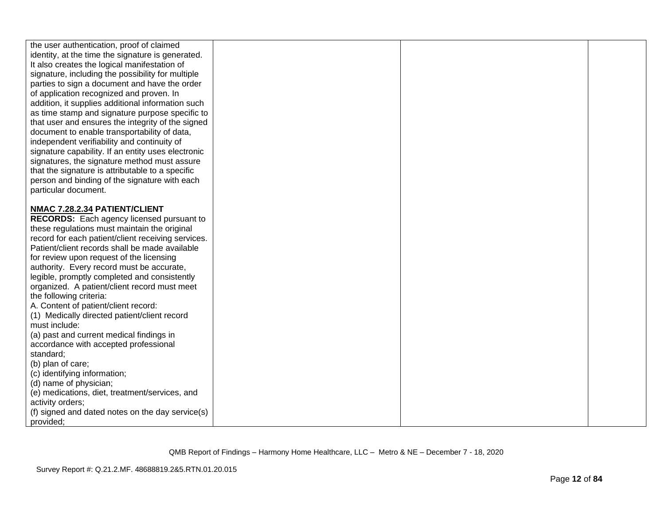| the user authentication, proof of claimed<br>identity, at the time the signature is generated.<br>It also creates the logical manifestation of<br>signature, including the possibility for multiple<br>parties to sign a document and have the order<br>of application recognized and proven. In<br>addition, it supplies additional information such<br>as time stamp and signature purpose specific to<br>that user and ensures the integrity of the signed<br>document to enable transportability of data,<br>independent verifiability and continuity of<br>signature capability. If an entity uses electronic<br>signatures, the signature method must assure<br>that the signature is attributable to a specific<br>person and binding of the signature with each<br>particular document. |  |  |
|-------------------------------------------------------------------------------------------------------------------------------------------------------------------------------------------------------------------------------------------------------------------------------------------------------------------------------------------------------------------------------------------------------------------------------------------------------------------------------------------------------------------------------------------------------------------------------------------------------------------------------------------------------------------------------------------------------------------------------------------------------------------------------------------------|--|--|
|                                                                                                                                                                                                                                                                                                                                                                                                                                                                                                                                                                                                                                                                                                                                                                                                 |  |  |
| NMAC 7.28.2.34 PATIENT/CLIENT<br><b>RECORDS:</b> Each agency licensed pursuant to<br>these regulations must maintain the original<br>record for each patient/client receiving services.<br>Patient/client records shall be made available<br>for review upon request of the licensing<br>authority. Every record must be accurate,<br>legible, promptly completed and consistently<br>organized. A patient/client record must meet<br>the following criteria:<br>A. Content of patient/client record:<br>(1) Medically directed patient/client record<br>must include:<br>(a) past and current medical findings in<br>accordance with accepted professional<br>standard;<br>(b) plan of care;                                                                                                   |  |  |
| (c) identifying information;                                                                                                                                                                                                                                                                                                                                                                                                                                                                                                                                                                                                                                                                                                                                                                    |  |  |
| (d) name of physician;                                                                                                                                                                                                                                                                                                                                                                                                                                                                                                                                                                                                                                                                                                                                                                          |  |  |
| (e) medications, diet, treatment/services, and                                                                                                                                                                                                                                                                                                                                                                                                                                                                                                                                                                                                                                                                                                                                                  |  |  |
| activity orders;                                                                                                                                                                                                                                                                                                                                                                                                                                                                                                                                                                                                                                                                                                                                                                                |  |  |
|                                                                                                                                                                                                                                                                                                                                                                                                                                                                                                                                                                                                                                                                                                                                                                                                 |  |  |
| (f) signed and dated notes on the day service(s)<br>provided;                                                                                                                                                                                                                                                                                                                                                                                                                                                                                                                                                                                                                                                                                                                                   |  |  |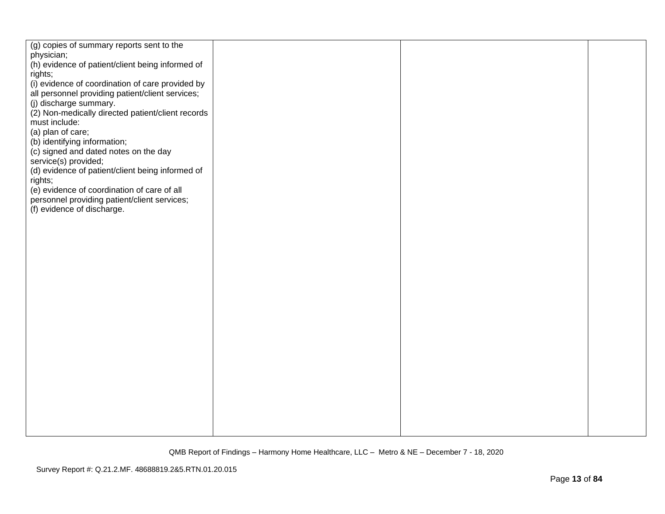| (g) copies of summary reports sent to the                                  |  |  |
|----------------------------------------------------------------------------|--|--|
| physician;                                                                 |  |  |
| (h) evidence of patient/client being informed of                           |  |  |
| rights;                                                                    |  |  |
| (i) evidence of coordination of care provided by                           |  |  |
| all personnel providing patient/client services;                           |  |  |
| (j) discharge summary.                                                     |  |  |
| (2) Non-medically directed patient/client records                          |  |  |
| must include:                                                              |  |  |
| (a) plan of care;                                                          |  |  |
| (b) identifying information;                                               |  |  |
| (c) signed and dated notes on the day                                      |  |  |
| service(s) provided;                                                       |  |  |
|                                                                            |  |  |
| (d) evidence of patient/client being informed of<br>rights;                |  |  |
| (e) evidence of coordination of care of all                                |  |  |
|                                                                            |  |  |
| personnel providing patient/client services;<br>(f) evidence of discharge. |  |  |
|                                                                            |  |  |
|                                                                            |  |  |
|                                                                            |  |  |
|                                                                            |  |  |
|                                                                            |  |  |
|                                                                            |  |  |
|                                                                            |  |  |
|                                                                            |  |  |
|                                                                            |  |  |
|                                                                            |  |  |
|                                                                            |  |  |
|                                                                            |  |  |
|                                                                            |  |  |
|                                                                            |  |  |
|                                                                            |  |  |
|                                                                            |  |  |
|                                                                            |  |  |
|                                                                            |  |  |
|                                                                            |  |  |
|                                                                            |  |  |
|                                                                            |  |  |
|                                                                            |  |  |
|                                                                            |  |  |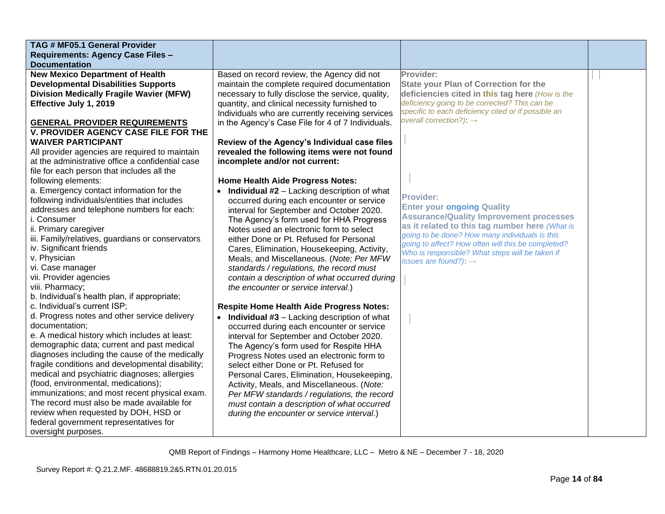| TAG # MF05.1 General Provider                    |                                                                 |                                                                                                  |  |
|--------------------------------------------------|-----------------------------------------------------------------|--------------------------------------------------------------------------------------------------|--|
| Requirements: Agency Case Files -                |                                                                 |                                                                                                  |  |
| <b>Documentation</b>                             |                                                                 |                                                                                                  |  |
| <b>New Mexico Department of Health</b>           | Based on record review, the Agency did not                      | Provider:                                                                                        |  |
| <b>Developmental Disabilities Supports</b>       | maintain the complete required documentation                    | <b>State your Plan of Correction for the</b>                                                     |  |
| <b>Division Medically Fragile Wavier (MFW)</b>   | necessary to fully disclose the service, quality,               | deficiencies cited in this tag here (How is the                                                  |  |
| Effective July 1, 2019                           | quantity, and clinical necessity furnished to                   | deficiency going to be corrected? This can be                                                    |  |
|                                                  | Individuals who are currently receiving services                | specific to each deficiency cited or if possible an                                              |  |
| <b>GENERAL PROVIDER REQUIREMENTS</b>             | in the Agency's Case File for 4 of 7 Individuals.               | overall correction?): $\rightarrow$                                                              |  |
| V. PROVIDER AGENCY CASE FILE FOR THE             |                                                                 |                                                                                                  |  |
| <b>WAIVER PARTICIPANT</b>                        | Review of the Agency's Individual case files                    |                                                                                                  |  |
| All provider agencies are required to maintain   | revealed the following items were not found                     |                                                                                                  |  |
| at the administrative office a confidential case | incomplete and/or not current:                                  |                                                                                                  |  |
| file for each person that includes all the       |                                                                 |                                                                                                  |  |
| following elements:                              | <b>Home Health Aide Progress Notes:</b>                         |                                                                                                  |  |
| a. Emergency contact information for the         | <b>Individual #2</b> – Lacking description of what<br>$\bullet$ |                                                                                                  |  |
| following individuals/entities that includes     | occurred during each encounter or service                       | <b>Provider:</b>                                                                                 |  |
| addresses and telephone numbers for each:        | interval for September and October 2020.                        | <b>Enter your ongoing Quality</b>                                                                |  |
| i. Consumer                                      | The Agency's form used for HHA Progress                         | <b>Assurance/Quality Improvement processes</b>                                                   |  |
| ii. Primary caregiver                            | Notes used an electronic form to select                         | as it related to this tag number here (What is<br>going to be done? How many individuals is this |  |
| iii. Family/relatives, guardians or conservators | either Done or Pt. Refused for Personal                         | going to affect? How often will this be completed?                                               |  |
| iv. Significant friends                          | Cares, Elimination, Housekeeping, Activity,                     | Who is responsible? What steps will be taken if                                                  |  |
| v. Physician                                     | Meals, and Miscellaneous. (Note: Per MFW                        | issues are found?): $\rightarrow$                                                                |  |
| vi. Case manager                                 | standards / regulations, the record must                        |                                                                                                  |  |
| vii. Provider agencies                           | contain a description of what occurred during                   |                                                                                                  |  |
| viii. Pharmacy;                                  | the encounter or service interval.)                             |                                                                                                  |  |
| b. Individual's health plan, if appropriate;     |                                                                 |                                                                                                  |  |
| c. Individual's current ISP;                     | <b>Respite Home Health Aide Progress Notes:</b>                 |                                                                                                  |  |
| d. Progress notes and other service delivery     | • Individual #3 - Lacking description of what                   |                                                                                                  |  |
| documentation;                                   | occurred during each encounter or service                       |                                                                                                  |  |
| e. A medical history which includes at least:    | interval for September and October 2020.                        |                                                                                                  |  |
| demographic data; current and past medical       | The Agency's form used for Respite HHA                          |                                                                                                  |  |
| diagnoses including the cause of the medically   | Progress Notes used an electronic form to                       |                                                                                                  |  |
| fragile conditions and developmental disability; | select either Done or Pt. Refused for                           |                                                                                                  |  |
| medical and psychiatric diagnoses; allergies     | Personal Cares, Elimination, Housekeeping,                      |                                                                                                  |  |
| (food, environmental, medications);              | Activity, Meals, and Miscellaneous. (Note:                      |                                                                                                  |  |
| immunizations; and most recent physical exam.    | Per MFW standards / regulations, the record                     |                                                                                                  |  |
| The record must also be made available for       | must contain a description of what occurred                     |                                                                                                  |  |
| review when requested by DOH, HSD or             | during the encounter or service interval.)                      |                                                                                                  |  |
| federal government representatives for           |                                                                 |                                                                                                  |  |
| oversight purposes.                              |                                                                 |                                                                                                  |  |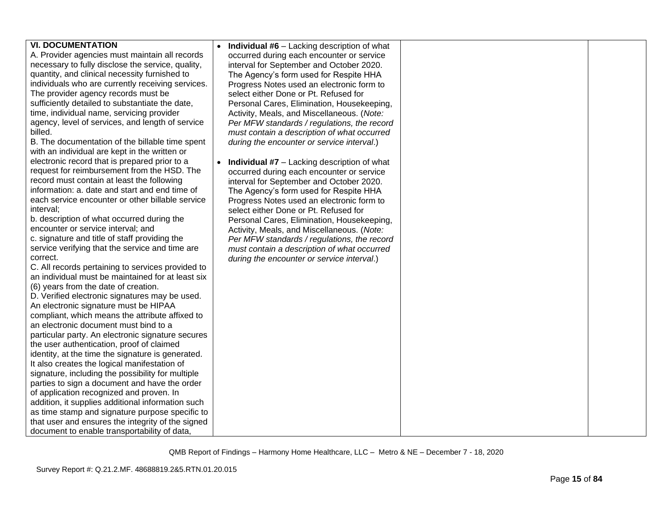| <b>VI. DOCUMENTATION</b>                          | <b>Individual #6</b> - Lacking description of what       |  |
|---------------------------------------------------|----------------------------------------------------------|--|
| A. Provider agencies must maintain all records    | occurred during each encounter or service                |  |
| necessary to fully disclose the service, quality, |                                                          |  |
|                                                   | interval for September and October 2020.                 |  |
| quantity, and clinical necessity furnished to     | The Agency's form used for Respite HHA                   |  |
| individuals who are currently receiving services. | Progress Notes used an electronic form to                |  |
| The provider agency records must be               | select either Done or Pt. Refused for                    |  |
| sufficiently detailed to substantiate the date,   | Personal Cares, Elimination, Housekeeping,               |  |
| time, individual name, servicing provider         | Activity, Meals, and Miscellaneous. (Note:               |  |
| agency, level of services, and length of service  | Per MFW standards / regulations, the record              |  |
| billed.                                           | must contain a description of what occurred              |  |
| B. The documentation of the billable time spent   | during the encounter or service interval.)               |  |
| with an individual are kept in the written or     |                                                          |  |
| electronic record that is prepared prior to a     | Individual #7 - Lacking description of what<br>$\bullet$ |  |
| request for reimbursement from the HSD. The       | occurred during each encounter or service                |  |
| record must contain at least the following        | interval for September and October 2020.                 |  |
| information: a. date and start and end time of    | The Agency's form used for Respite HHA                   |  |
| each service encounter or other billable service  | Progress Notes used an electronic form to                |  |
| interval;                                         | select either Done or Pt. Refused for                    |  |
| b. description of what occurred during the        | Personal Cares, Elimination, Housekeeping,               |  |
| encounter or service interval; and                | Activity, Meals, and Miscellaneous. (Note:               |  |
| c. signature and title of staff providing the     | Per MFW standards / regulations, the record              |  |
| service verifying that the service and time are   | must contain a description of what occurred              |  |
| correct.                                          | during the encounter or service interval.)               |  |
| C. All records pertaining to services provided to |                                                          |  |
| an individual must be maintained for at least six |                                                          |  |
| (6) years from the date of creation.              |                                                          |  |
| D. Verified electronic signatures may be used.    |                                                          |  |
| An electronic signature must be HIPAA             |                                                          |  |
| compliant, which means the attribute affixed to   |                                                          |  |
| an electronic document must bind to a             |                                                          |  |
| particular party. An electronic signature secures |                                                          |  |
| the user authentication, proof of claimed         |                                                          |  |
| identity, at the time the signature is generated. |                                                          |  |
| It also creates the logical manifestation of      |                                                          |  |
|                                                   |                                                          |  |
| signature, including the possibility for multiple |                                                          |  |
| parties to sign a document and have the order     |                                                          |  |
| of application recognized and proven. In          |                                                          |  |
| addition, it supplies additional information such |                                                          |  |
| as time stamp and signature purpose specific to   |                                                          |  |
| that user and ensures the integrity of the signed |                                                          |  |
| document to enable transportability of data,      |                                                          |  |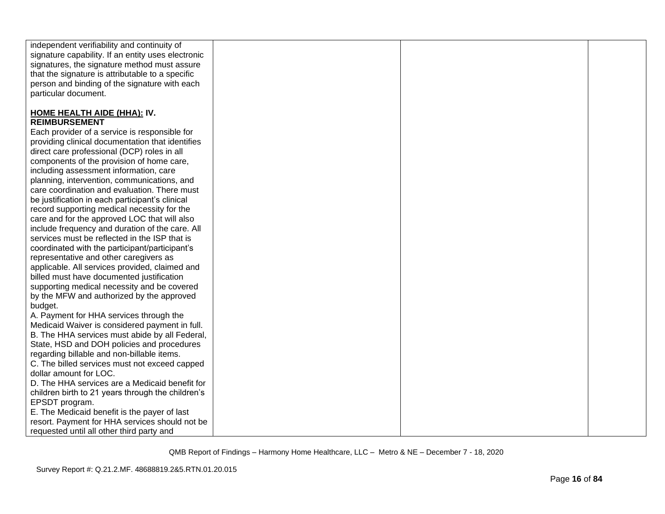| independent verifiability and continuity of        |  |  |
|----------------------------------------------------|--|--|
| signature capability. If an entity uses electronic |  |  |
| signatures, the signature method must assure       |  |  |
| that the signature is attributable to a specific   |  |  |
| person and binding of the signature with each      |  |  |
| particular document.                               |  |  |
|                                                    |  |  |
| <b>HOME HEALTH AIDE (HHA): IV.</b>                 |  |  |
| <b>REIMBURSEMENT</b>                               |  |  |
| Each provider of a service is responsible for      |  |  |
| providing clinical documentation that identifies   |  |  |
| direct care professional (DCP) roles in all        |  |  |
| components of the provision of home care,          |  |  |
| including assessment information, care             |  |  |
| planning, intervention, communications, and        |  |  |
| care coordination and evaluation. There must       |  |  |
| be justification in each participant's clinical    |  |  |
| record supporting medical necessity for the        |  |  |
| care and for the approved LOC that will also       |  |  |
| include frequency and duration of the care. All    |  |  |
| services must be reflected in the ISP that is      |  |  |
| coordinated with the participant/participant's     |  |  |
| representative and other caregivers as             |  |  |
| applicable. All services provided, claimed and     |  |  |
| billed must have documented justification          |  |  |
| supporting medical necessity and be covered        |  |  |
| by the MFW and authorized by the approved          |  |  |
| budget.                                            |  |  |
| A. Payment for HHA services through the            |  |  |
| Medicaid Waiver is considered payment in full.     |  |  |
| B. The HHA services must abide by all Federal,     |  |  |
| State, HSD and DOH policies and procedures         |  |  |
| regarding billable and non-billable items.         |  |  |
| C. The billed services must not exceed capped      |  |  |
| dollar amount for LOC.                             |  |  |
| D. The HHA services are a Medicaid benefit for     |  |  |
| children birth to 21 years through the children's  |  |  |
| EPSDT program.                                     |  |  |
| E. The Medicaid benefit is the payer of last       |  |  |
| resort. Payment for HHA services should not be     |  |  |
| requested until all other third party and          |  |  |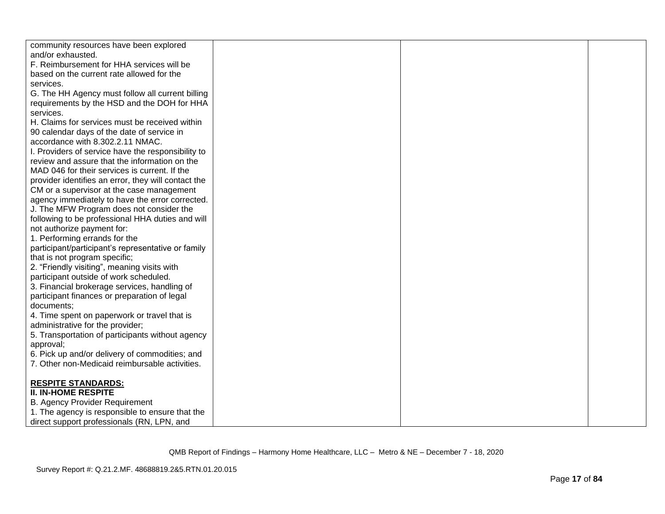| community resources have been explored              |  |  |
|-----------------------------------------------------|--|--|
| and/or exhausted.                                   |  |  |
| F. Reimbursement for HHA services will be           |  |  |
| based on the current rate allowed for the           |  |  |
| services.                                           |  |  |
| G. The HH Agency must follow all current billing    |  |  |
| requirements by the HSD and the DOH for HHA         |  |  |
| services.                                           |  |  |
| H. Claims for services must be received within      |  |  |
| 90 calendar days of the date of service in          |  |  |
| accordance with 8.302.2.11 NMAC.                    |  |  |
| I. Providers of service have the responsibility to  |  |  |
| review and assure that the information on the       |  |  |
| MAD 046 for their services is current. If the       |  |  |
| provider identifies an error, they will contact the |  |  |
| CM or a supervisor at the case management           |  |  |
| agency immediately to have the error corrected.     |  |  |
| J. The MFW Program does not consider the            |  |  |
| following to be professional HHA duties and will    |  |  |
| not authorize payment for:                          |  |  |
| 1. Performing errands for the                       |  |  |
| participant/participant's representative or family  |  |  |
| that is not program specific;                       |  |  |
| 2. "Friendly visiting", meaning visits with         |  |  |
| participant outside of work scheduled.              |  |  |
| 3. Financial brokerage services, handling of        |  |  |
| participant finances or preparation of legal        |  |  |
| documents;                                          |  |  |
| 4. Time spent on paperwork or travel that is        |  |  |
| administrative for the provider;                    |  |  |
| 5. Transportation of participants without agency    |  |  |
| approval;                                           |  |  |
| 6. Pick up and/or delivery of commodities; and      |  |  |
| 7. Other non-Medicaid reimbursable activities.      |  |  |
|                                                     |  |  |
| <b>RESPITE STANDARDS:</b>                           |  |  |
| <b>II. IN-HOME RESPITE</b>                          |  |  |
| <b>B. Agency Provider Requirement</b>               |  |  |
| 1. The agency is responsible to ensure that the     |  |  |
| direct support professionals (RN, LPN, and          |  |  |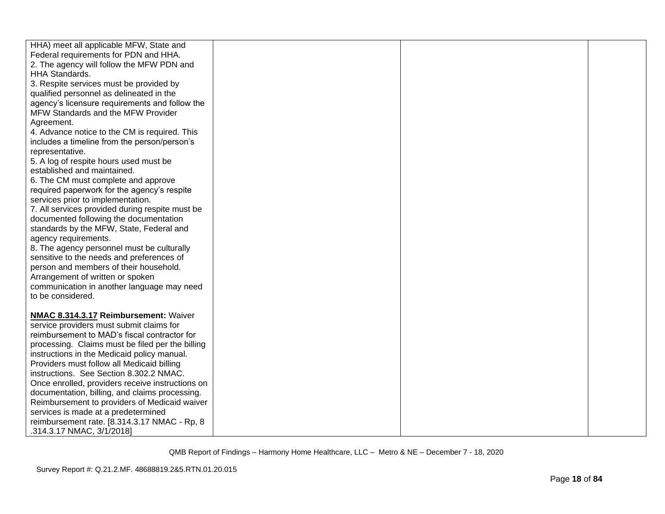| HHA) meet all applicable MFW, State and          |  |  |
|--------------------------------------------------|--|--|
| Federal requirements for PDN and HHA.            |  |  |
| 2. The agency will follow the MFW PDN and        |  |  |
| <b>HHA Standards.</b>                            |  |  |
| 3. Respite services must be provided by          |  |  |
| qualified personnel as delineated in the         |  |  |
| agency's licensure requirements and follow the   |  |  |
| MFW Standards and the MFW Provider               |  |  |
| Agreement.                                       |  |  |
| 4. Advance notice to the CM is required. This    |  |  |
| includes a timeline from the person/person's     |  |  |
| representative.                                  |  |  |
| 5. A log of respite hours used must be           |  |  |
| established and maintained.                      |  |  |
|                                                  |  |  |
| 6. The CM must complete and approve              |  |  |
| required paperwork for the agency's respite      |  |  |
| services prior to implementation.                |  |  |
| 7. All services provided during respite must be  |  |  |
| documented following the documentation           |  |  |
| standards by the MFW, State, Federal and         |  |  |
| agency requirements.                             |  |  |
| 8. The agency personnel must be culturally       |  |  |
| sensitive to the needs and preferences of        |  |  |
| person and members of their household.           |  |  |
| Arrangement of written or spoken                 |  |  |
| communication in another language may need       |  |  |
| to be considered.                                |  |  |
|                                                  |  |  |
| NMAC 8.314.3.17 Reimbursement: Waiver            |  |  |
| service providers must submit claims for         |  |  |
| reimbursement to MAD's fiscal contractor for     |  |  |
| processing. Claims must be filed per the billing |  |  |
| instructions in the Medicaid policy manual.      |  |  |
| Providers must follow all Medicaid billing       |  |  |
| instructions. See Section 8.302.2 NMAC.          |  |  |
| Once enrolled, providers receive instructions on |  |  |
| documentation, billing, and claims processing.   |  |  |
| Reimbursement to providers of Medicaid waiver    |  |  |
| services is made at a predetermined              |  |  |
| reimbursement rate. [8.314.3.17 NMAC - Rp, 8     |  |  |
| .314.3.17 NMAC, 3/1/2018]                        |  |  |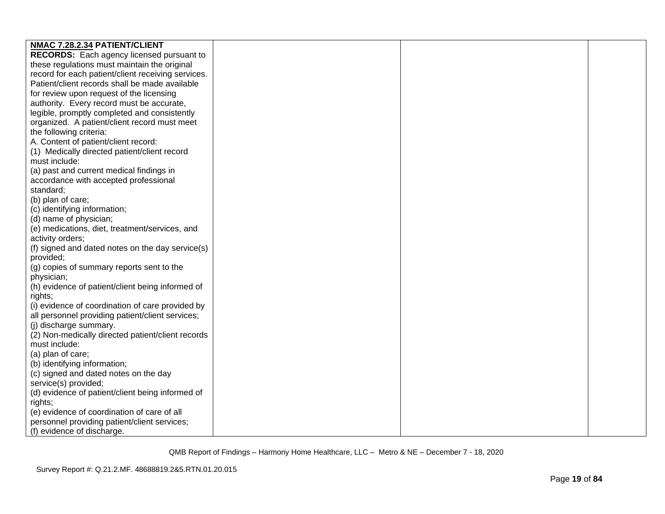| NMAC 7.28.2.34 PATIENT/CLIENT                      |  |  |
|----------------------------------------------------|--|--|
| <b>RECORDS:</b> Each agency licensed pursuant to   |  |  |
| these regulations must maintain the original       |  |  |
| record for each patient/client receiving services. |  |  |
| Patient/client records shall be made available     |  |  |
| for review upon request of the licensing           |  |  |
| authority. Every record must be accurate,          |  |  |
| legible, promptly completed and consistently       |  |  |
| organized. A patient/client record must meet       |  |  |
| the following criteria:                            |  |  |
| A. Content of patient/client record:               |  |  |
| (1) Medically directed patient/client record       |  |  |
| must include:                                      |  |  |
| (a) past and current medical findings in           |  |  |
| accordance with accepted professional              |  |  |
| standard;                                          |  |  |
| (b) plan of care;                                  |  |  |
| (c) identifying information;                       |  |  |
| (d) name of physician;                             |  |  |
| (e) medications, diet, treatment/services, and     |  |  |
| activity orders;                                   |  |  |
| (f) signed and dated notes on the day service(s)   |  |  |
| provided;                                          |  |  |
| (g) copies of summary reports sent to the          |  |  |
| physician;                                         |  |  |
| (h) evidence of patient/client being informed of   |  |  |
| rights;                                            |  |  |
| (i) evidence of coordination of care provided by   |  |  |
| all personnel providing patient/client services;   |  |  |
| (j) discharge summary.                             |  |  |
| (2) Non-medically directed patient/client records  |  |  |
| must include:                                      |  |  |
| (a) plan of care;                                  |  |  |
| (b) identifying information;                       |  |  |
| (c) signed and dated notes on the day              |  |  |
| service(s) provided;                               |  |  |
| (d) evidence of patient/client being informed of   |  |  |
| rights;                                            |  |  |
| (e) evidence of coordination of care of all        |  |  |
| personnel providing patient/client services;       |  |  |
| (f) evidence of discharge.                         |  |  |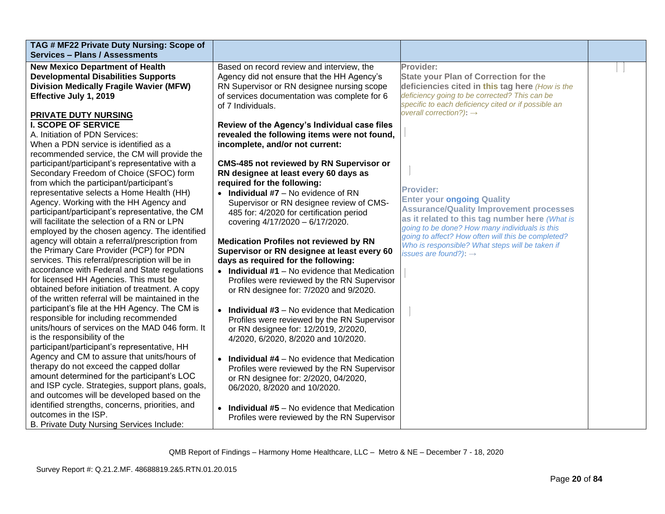| TAG # MF22 Private Duty Nursing: Scope of<br><b>Services - Plans / Assessments</b> |                                                       |                                                                                     |  |
|------------------------------------------------------------------------------------|-------------------------------------------------------|-------------------------------------------------------------------------------------|--|
| <b>New Mexico Department of Health</b>                                             | Based on record review and interview, the             | Provider:                                                                           |  |
| <b>Developmental Disabilities Supports</b>                                         | Agency did not ensure that the HH Agency's            | <b>State your Plan of Correction for the</b>                                        |  |
| <b>Division Medically Fragile Wavier (MFW)</b>                                     | RN Supervisor or RN designee nursing scope            | deficiencies cited in this tag here (How is the                                     |  |
| Effective July 1, 2019                                                             | of services documentation was complete for 6          | deficiency going to be corrected? This can be                                       |  |
|                                                                                    | of 7 Individuals.                                     | specific to each deficiency cited or if possible an                                 |  |
| PRIVATE DUTY NURSING                                                               |                                                       | overall correction?): $\rightarrow$                                                 |  |
| <b>I. SCOPE OF SERVICE</b>                                                         | Review of the Agency's Individual case files          |                                                                                     |  |
| A. Initiation of PDN Services:                                                     | revealed the following items were not found,          |                                                                                     |  |
| When a PDN service is identified as a                                              | incomplete, and/or not current:                       |                                                                                     |  |
| recommended service, the CM will provide the                                       |                                                       |                                                                                     |  |
| participant/participant's representative with a                                    | <b>CMS-485 not reviewed by RN Supervisor or</b>       |                                                                                     |  |
| Secondary Freedom of Choice (SFOC) form                                            | RN designee at least every 60 days as                 |                                                                                     |  |
| from which the participant/participant's                                           | required for the following:                           | <b>Provider:</b>                                                                    |  |
| representative selects a Home Health (HH)                                          | $\bullet$ Individual #7 – No evidence of RN           |                                                                                     |  |
| Agency. Working with the HH Agency and                                             | Supervisor or RN designee review of CMS-              | <b>Enter your ongoing Quality</b><br><b>Assurance/Quality Improvement processes</b> |  |
| participant/participant's representative, the CM                                   | 485 for: 4/2020 for certification period              | as it related to this tag number here (What is                                      |  |
| will facilitate the selection of a RN or LPN                                       | covering 4/17/2020 - 6/17/2020.                       | going to be done? How many individuals is this                                      |  |
| employed by the chosen agency. The identified                                      |                                                       | going to affect? How often will this be completed?                                  |  |
| agency will obtain a referral/prescription from                                    | <b>Medication Profiles not reviewed by RN</b>         | Who is responsible? What steps will be taken if                                     |  |
| the Primary Care Provider (PCP) for PDN                                            | Supervisor or RN designee at least every 60           | issues are found?): $\rightarrow$                                                   |  |
| services. This referral/prescription will be in                                    | days as required for the following:                   |                                                                                     |  |
| accordance with Federal and State regulations                                      | $\bullet$ Individual #1 – No evidence that Medication |                                                                                     |  |
| for licensed HH Agencies. This must be                                             | Profiles were reviewed by the RN Supervisor           |                                                                                     |  |
| obtained before initiation of treatment. A copy                                    | or RN designee for: 7/2020 and 9/2020.                |                                                                                     |  |
| of the written referral will be maintained in the                                  |                                                       |                                                                                     |  |
| participant's file at the HH Agency. The CM is                                     | $\bullet$ Individual #3 – No evidence that Medication |                                                                                     |  |
| responsible for including recommended                                              | Profiles were reviewed by the RN Supervisor           |                                                                                     |  |
| units/hours of services on the MAD 046 form. It                                    | or RN designee for: 12/2019, 2/2020,                  |                                                                                     |  |
| is the responsibility of the                                                       | 4/2020, 6/2020, 8/2020 and 10/2020.                   |                                                                                     |  |
| participant/participant's representative, HH                                       |                                                       |                                                                                     |  |
| Agency and CM to assure that units/hours of                                        | $\bullet$ Individual #4 – No evidence that Medication |                                                                                     |  |
| therapy do not exceed the capped dollar                                            | Profiles were reviewed by the RN Supervisor           |                                                                                     |  |
| amount determined for the participant's LOC                                        | or RN designee for: 2/2020, 04/2020,                  |                                                                                     |  |
| and ISP cycle. Strategies, support plans, goals,                                   | 06/2020, 8/2020 and 10/2020.                          |                                                                                     |  |
| and outcomes will be developed based on the                                        |                                                       |                                                                                     |  |
| identified strengths, concerns, priorities, and<br>outcomes in the ISP.            | <b>Individual #5</b> – No evidence that Medication    |                                                                                     |  |
|                                                                                    | Profiles were reviewed by the RN Supervisor           |                                                                                     |  |
| B. Private Duty Nursing Services Include:                                          |                                                       |                                                                                     |  |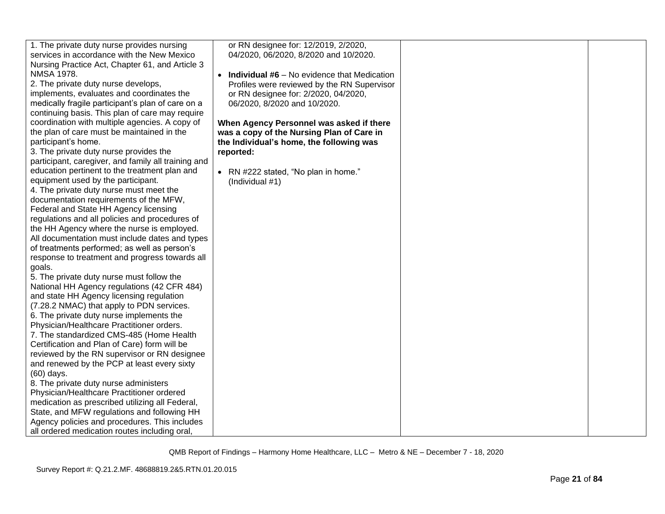| 1. The private duty nurse provides nursing          | or RN designee for: 12/2019, 2/2020,            |  |
|-----------------------------------------------------|-------------------------------------------------|--|
| services in accordance with the New Mexico          | 04/2020, 06/2020, 8/2020 and 10/2020.           |  |
| Nursing Practice Act, Chapter 61, and Article 3     |                                                 |  |
| <b>NMSA 1978.</b>                                   | • Individual $#6 - No$ evidence that Medication |  |
| 2. The private duty nurse develops,                 | Profiles were reviewed by the RN Supervisor     |  |
| implements, evaluates and coordinates the           | or RN designee for: 2/2020, 04/2020,            |  |
| medically fragile participant's plan of care on a   | 06/2020, 8/2020 and 10/2020.                    |  |
| continuing basis. This plan of care may require     |                                                 |  |
| coordination with multiple agencies. A copy of      | When Agency Personnel was asked if there        |  |
| the plan of care must be maintained in the          | was a copy of the Nursing Plan of Care in       |  |
| participant's home.                                 | the Individual's home, the following was        |  |
| 3. The private duty nurse provides the              | reported:                                       |  |
| participant, caregiver, and family all training and |                                                 |  |
| education pertinent to the treatment plan and       | • RN #222 stated, "No plan in home."            |  |
| equipment used by the participant.                  | (Individual #1)                                 |  |
| 4. The private duty nurse must meet the             |                                                 |  |
| documentation requirements of the MFW,              |                                                 |  |
| Federal and State HH Agency licensing               |                                                 |  |
| regulations and all policies and procedures of      |                                                 |  |
| the HH Agency where the nurse is employed.          |                                                 |  |
| All documentation must include dates and types      |                                                 |  |
| of treatments performed; as well as person's        |                                                 |  |
| response to treatment and progress towards all      |                                                 |  |
| goals.                                              |                                                 |  |
| 5. The private duty nurse must follow the           |                                                 |  |
| National HH Agency regulations (42 CFR 484)         |                                                 |  |
| and state HH Agency licensing regulation            |                                                 |  |
| (7.28.2 NMAC) that apply to PDN services.           |                                                 |  |
| 6. The private duty nurse implements the            |                                                 |  |
| Physician/Healthcare Practitioner orders.           |                                                 |  |
| 7. The standardized CMS-485 (Home Health            |                                                 |  |
| Certification and Plan of Care) form will be        |                                                 |  |
| reviewed by the RN supervisor or RN designee        |                                                 |  |
| and renewed by the PCP at least every sixty         |                                                 |  |
| $(60)$ days.                                        |                                                 |  |
| 8. The private duty nurse administers               |                                                 |  |
| Physician/Healthcare Practitioner ordered           |                                                 |  |
| medication as prescribed utilizing all Federal,     |                                                 |  |
| State, and MFW regulations and following HH         |                                                 |  |
| Agency policies and procedures. This includes       |                                                 |  |
| all ordered medication routes including oral,       |                                                 |  |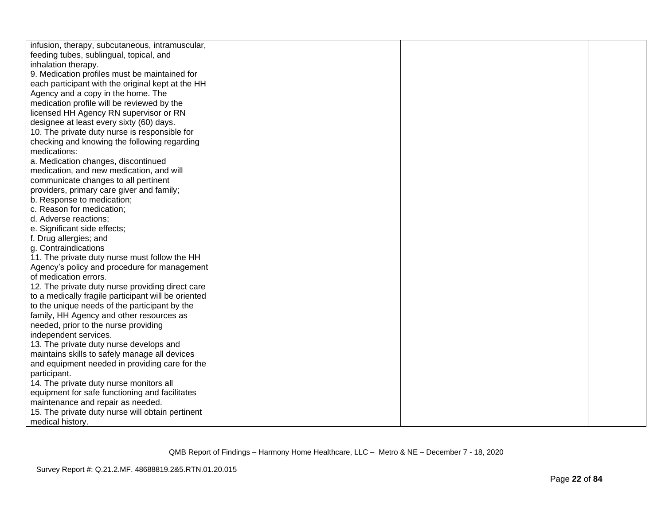| infusion, therapy, subcutaneous, intramuscular,     |  |  |
|-----------------------------------------------------|--|--|
| feeding tubes, sublingual, topical, and             |  |  |
| inhalation therapy.                                 |  |  |
| 9. Medication profiles must be maintained for       |  |  |
| each participant with the original kept at the HH   |  |  |
| Agency and a copy in the home. The                  |  |  |
| medication profile will be reviewed by the          |  |  |
| licensed HH Agency RN supervisor or RN              |  |  |
| designee at least every sixty (60) days.            |  |  |
| 10. The private duty nurse is responsible for       |  |  |
| checking and knowing the following regarding        |  |  |
| medications:                                        |  |  |
| a. Medication changes, discontinued                 |  |  |
| medication, and new medication, and will            |  |  |
| communicate changes to all pertinent                |  |  |
| providers, primary care giver and family;           |  |  |
| b. Response to medication;                          |  |  |
| c. Reason for medication;                           |  |  |
| d. Adverse reactions;                               |  |  |
| e. Significant side effects;                        |  |  |
| f. Drug allergies; and                              |  |  |
| g. Contraindications                                |  |  |
| 11. The private duty nurse must follow the HH       |  |  |
| Agency's policy and procedure for management        |  |  |
| of medication errors.                               |  |  |
| 12. The private duty nurse providing direct care    |  |  |
| to a medically fragile participant will be oriented |  |  |
| to the unique needs of the participant by the       |  |  |
| family, HH Agency and other resources as            |  |  |
| needed, prior to the nurse providing                |  |  |
| independent services.                               |  |  |
| 13. The private duty nurse develops and             |  |  |
| maintains skills to safely manage all devices       |  |  |
| and equipment needed in providing care for the      |  |  |
| participant.                                        |  |  |
| 14. The private duty nurse monitors all             |  |  |
| equipment for safe functioning and facilitates      |  |  |
| maintenance and repair as needed.                   |  |  |
| 15. The private duty nurse will obtain pertinent    |  |  |
| medical history.                                    |  |  |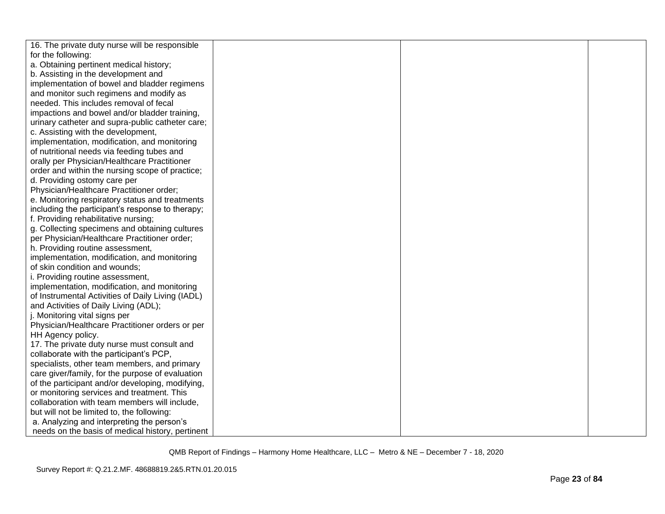| 16. The private duty nurse will be responsible    |  |  |
|---------------------------------------------------|--|--|
| for the following:                                |  |  |
| a. Obtaining pertinent medical history;           |  |  |
| b. Assisting in the development and               |  |  |
| implementation of bowel and bladder regimens      |  |  |
| and monitor such regimens and modify as           |  |  |
| needed. This includes removal of fecal            |  |  |
| impactions and bowel and/or bladder training,     |  |  |
| urinary catheter and supra-public catheter care;  |  |  |
| c. Assisting with the development,                |  |  |
| implementation, modification, and monitoring      |  |  |
| of nutritional needs via feeding tubes and        |  |  |
| orally per Physician/Healthcare Practitioner      |  |  |
| order and within the nursing scope of practice;   |  |  |
| d. Providing ostomy care per                      |  |  |
| Physician/Healthcare Practitioner order;          |  |  |
| e. Monitoring respiratory status and treatments   |  |  |
| including the participant's response to therapy;  |  |  |
| f. Providing rehabilitative nursing;              |  |  |
| g. Collecting specimens and obtaining cultures    |  |  |
| per Physician/Healthcare Practitioner order;      |  |  |
| h. Providing routine assessment,                  |  |  |
| implementation, modification, and monitoring      |  |  |
| of skin condition and wounds;                     |  |  |
| i. Providing routine assessment,                  |  |  |
| implementation, modification, and monitoring      |  |  |
| of Instrumental Activities of Daily Living (IADL) |  |  |
| and Activities of Daily Living (ADL);             |  |  |
| j. Monitoring vital signs per                     |  |  |
| Physician/Healthcare Practitioner orders or per   |  |  |
| HH Agency policy.                                 |  |  |
| 17. The private duty nurse must consult and       |  |  |
| collaborate with the participant's PCP,           |  |  |
| specialists, other team members, and primary      |  |  |
| care giver/family, for the purpose of evaluation  |  |  |
| of the participant and/or developing, modifying,  |  |  |
| or monitoring services and treatment. This        |  |  |
| collaboration with team members will include,     |  |  |
| but will not be limited to, the following:        |  |  |
| a. Analyzing and interpreting the person's        |  |  |
| needs on the basis of medical history, pertinent  |  |  |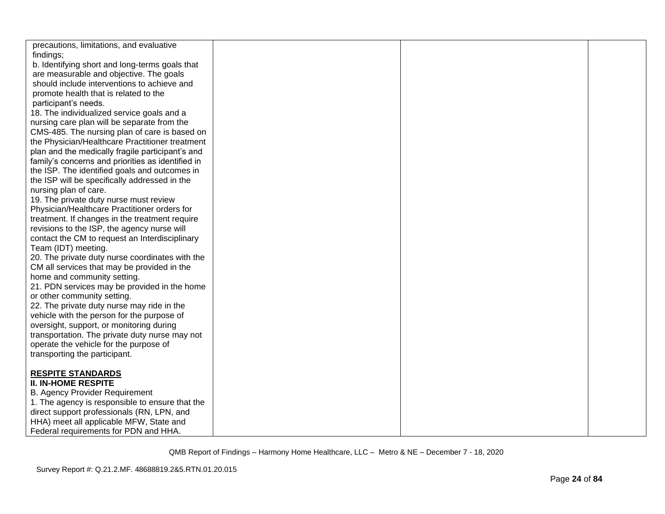| precautions, limitations, and evaluative          |  |  |
|---------------------------------------------------|--|--|
| findings;                                         |  |  |
| b. Identifying short and long-terms goals that    |  |  |
| are measurable and objective. The goals           |  |  |
| should include interventions to achieve and       |  |  |
| promote health that is related to the             |  |  |
| participant's needs.                              |  |  |
| 18. The individualized service goals and a        |  |  |
| nursing care plan will be separate from the       |  |  |
| CMS-485. The nursing plan of care is based on     |  |  |
| the Physician/Healthcare Practitioner treatment   |  |  |
| plan and the medically fragile participant's and  |  |  |
| family's concerns and priorities as identified in |  |  |
| the ISP. The identified goals and outcomes in     |  |  |
| the ISP will be specifically addressed in the     |  |  |
| nursing plan of care.                             |  |  |
| 19. The private duty nurse must review            |  |  |
| Physician/Healthcare Practitioner orders for      |  |  |
| treatment. If changes in the treatment require    |  |  |
| revisions to the ISP, the agency nurse will       |  |  |
| contact the CM to request an Interdisciplinary    |  |  |
| Team (IDT) meeting.                               |  |  |
| 20. The private duty nurse coordinates with the   |  |  |
| CM all services that may be provided in the       |  |  |
| home and community setting.                       |  |  |
| 21. PDN services may be provided in the home      |  |  |
| or other community setting.                       |  |  |
| 22. The private duty nurse may ride in the        |  |  |
| vehicle with the person for the purpose of        |  |  |
| oversight, support, or monitoring during          |  |  |
| transportation. The private duty nurse may not    |  |  |
| operate the vehicle for the purpose of            |  |  |
| transporting the participant.                     |  |  |
|                                                   |  |  |
| <b>RESPITE STANDARDS</b>                          |  |  |
| <b>II. IN-HOME RESPITE</b>                        |  |  |
| <b>B. Agency Provider Requirement</b>             |  |  |
| 1. The agency is responsible to ensure that the   |  |  |
| direct support professionals (RN, LPN, and        |  |  |
| HHA) meet all applicable MFW, State and           |  |  |
| Federal requirements for PDN and HHA.             |  |  |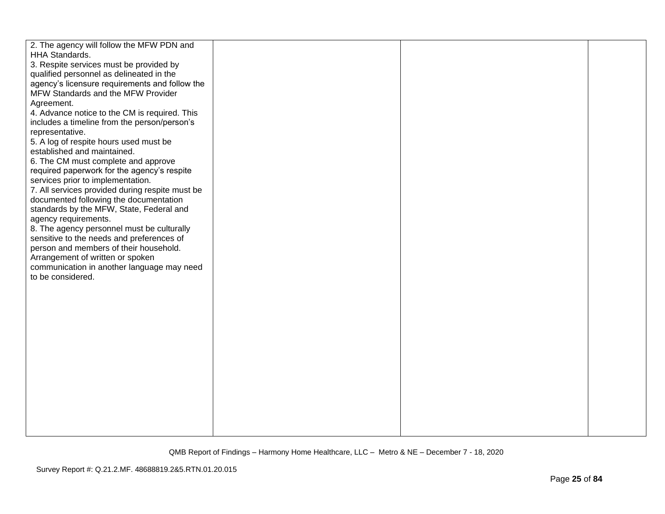| 2. The agency will follow the MFW PDN and                                  |  |  |
|----------------------------------------------------------------------------|--|--|
| HHA Standards.                                                             |  |  |
| 3. Respite services must be provided by                                    |  |  |
| qualified personnel as delineated in the                                   |  |  |
| agency's licensure requirements and follow the                             |  |  |
| MFW Standards and the MFW Provider                                         |  |  |
| Agreement.                                                                 |  |  |
| 4. Advance notice to the CM is required. This                              |  |  |
| includes a timeline from the person/person's                               |  |  |
| representative.                                                            |  |  |
| 5. A log of respite hours used must be                                     |  |  |
| established and maintained.                                                |  |  |
| 6. The CM must complete and approve                                        |  |  |
| required paperwork for the agency's respite                                |  |  |
| services prior to implementation.                                          |  |  |
| 7. All services provided during respite must be                            |  |  |
| documented following the documentation                                     |  |  |
| standards by the MFW, State, Federal and                                   |  |  |
| agency requirements.                                                       |  |  |
| 8. The agency personnel must be culturally                                 |  |  |
| sensitive to the needs and preferences of                                  |  |  |
| person and members of their household.<br>Arrangement of written or spoken |  |  |
| communication in another language may need                                 |  |  |
| to be considered.                                                          |  |  |
|                                                                            |  |  |
|                                                                            |  |  |
|                                                                            |  |  |
|                                                                            |  |  |
|                                                                            |  |  |
|                                                                            |  |  |
|                                                                            |  |  |
|                                                                            |  |  |
|                                                                            |  |  |
|                                                                            |  |  |
|                                                                            |  |  |
|                                                                            |  |  |
|                                                                            |  |  |
|                                                                            |  |  |
|                                                                            |  |  |
|                                                                            |  |  |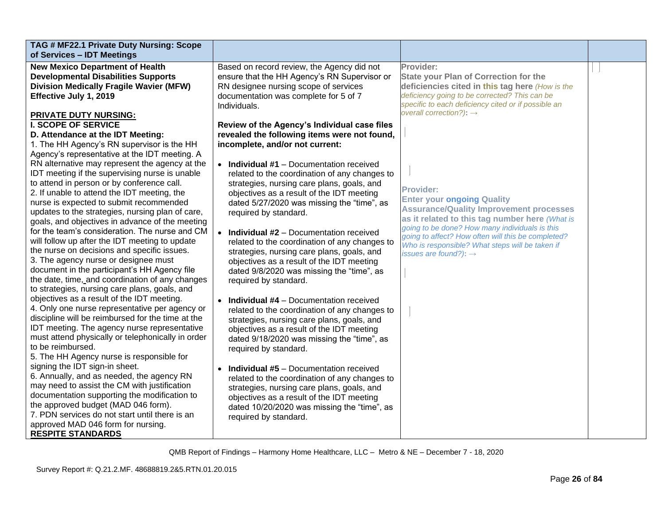| TAG # MF22.1 Private Duty Nursing: Scope<br>of Services - IDT Meetings |                                                  |                                                                                                  |  |
|------------------------------------------------------------------------|--------------------------------------------------|--------------------------------------------------------------------------------------------------|--|
| <b>New Mexico Department of Health</b>                                 | Based on record review, the Agency did not       | Provider:                                                                                        |  |
| <b>Developmental Disabilities Supports</b>                             | ensure that the HH Agency's RN Supervisor or     | <b>State your Plan of Correction for the</b>                                                     |  |
| <b>Division Medically Fragile Wavier (MFW)</b>                         | RN designee nursing scope of services            | deficiencies cited in this tag here (How is the                                                  |  |
| Effective July 1, 2019                                                 | documentation was complete for 5 of 7            | deficiency going to be corrected? This can be                                                    |  |
|                                                                        | Individuals.                                     | specific to each deficiency cited or if possible an                                              |  |
| <b>PRIVATE DUTY NURSING:</b>                                           |                                                  | overall correction?): $\rightarrow$                                                              |  |
| <b>I. SCOPE OF SERVICE</b>                                             | Review of the Agency's Individual case files     |                                                                                                  |  |
| D. Attendance at the IDT Meeting:                                      | revealed the following items were not found,     |                                                                                                  |  |
| 1. The HH Agency's RN supervisor is the HH                             | incomplete, and/or not current:                  |                                                                                                  |  |
| Agency's representative at the IDT meeting. A                          |                                                  |                                                                                                  |  |
| RN alternative may represent the agency at the                         | • Individual #1 - Documentation received         |                                                                                                  |  |
| IDT meeting if the supervising nurse is unable                         | related to the coordination of any changes to    |                                                                                                  |  |
| to attend in person or by conference call.                             | strategies, nursing care plans, goals, and       | <b>Provider:</b>                                                                                 |  |
| 2. If unable to attend the IDT meeting, the                            | objectives as a result of the IDT meeting        |                                                                                                  |  |
| nurse is expected to submit recommended                                | dated 5/27/2020 was missing the "time", as       | <b>Enter your ongoing Quality</b>                                                                |  |
| updates to the strategies, nursing plan of care,                       | required by standard.                            | <b>Assurance/Quality Improvement processes</b><br>as it related to this tag number here (What is |  |
| goals, and objectives in advance of the meeting                        |                                                  | going to be done? How many individuals is this                                                   |  |
| for the team's consideration. The nurse and CM                         | $\bullet$ Individual #2 – Documentation received | going to affect? How often will this be completed?                                               |  |
| will follow up after the IDT meeting to update                         | related to the coordination of any changes to    | Who is responsible? What steps will be taken if                                                  |  |
| the nurse on decisions and specific issues.                            | strategies, nursing care plans, goals, and       | issues are found?): $\rightarrow$                                                                |  |
| 3. The agency nurse or designee must                                   | objectives as a result of the IDT meeting        |                                                                                                  |  |
| document in the participant's HH Agency file                           | dated 9/8/2020 was missing the "time", as        |                                                                                                  |  |
| the date, time, and coordination of any changes                        | required by standard.                            |                                                                                                  |  |
| to strategies, nursing care plans, goals, and                          |                                                  |                                                                                                  |  |
| objectives as a result of the IDT meeting.                             | <b>Individual #4</b> - Documentation received    |                                                                                                  |  |
| 4. Only one nurse representative per agency or                         | related to the coordination of any changes to    |                                                                                                  |  |
| discipline will be reimbursed for the time at the                      | strategies, nursing care plans, goals, and       |                                                                                                  |  |
| IDT meeting. The agency nurse representative                           | objectives as a result of the IDT meeting        |                                                                                                  |  |
| must attend physically or telephonically in order                      | dated 9/18/2020 was missing the "time", as       |                                                                                                  |  |
| to be reimbursed.                                                      | required by standard.                            |                                                                                                  |  |
| 5. The HH Agency nurse is responsible for                              |                                                  |                                                                                                  |  |
| signing the IDT sign-in sheet.                                         | <b>Individual #5</b> - Documentation received    |                                                                                                  |  |
| 6. Annually, and as needed, the agency RN                              | related to the coordination of any changes to    |                                                                                                  |  |
| may need to assist the CM with justification                           | strategies, nursing care plans, goals, and       |                                                                                                  |  |
| documentation supporting the modification to                           | objectives as a result of the IDT meeting        |                                                                                                  |  |
| the approved budget (MAD 046 form).                                    | dated 10/20/2020 was missing the "time", as      |                                                                                                  |  |
| 7. PDN services do not start until there is an                         | required by standard.                            |                                                                                                  |  |
| approved MAD 046 form for nursing.                                     |                                                  |                                                                                                  |  |
| <b>RESPITE STANDARDS</b>                                               |                                                  |                                                                                                  |  |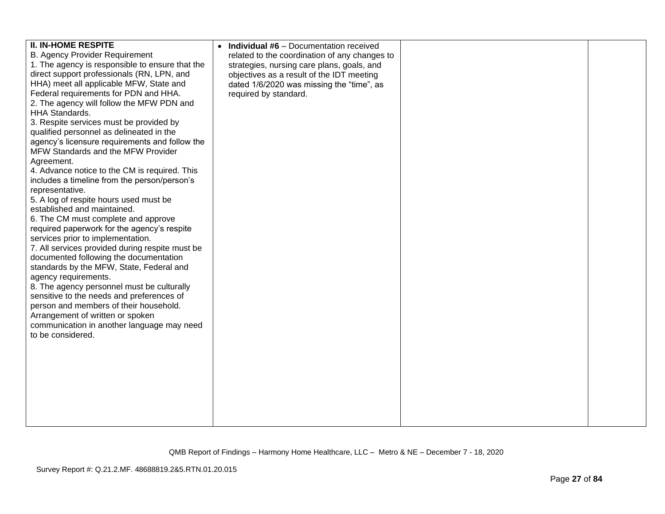| <b>II. IN-HOME RESPITE</b><br><b>B. Agency Provider Requirement</b>                  | <b>Individual #6</b> – Documentation received<br>related to the coordination of any changes to |  |
|--------------------------------------------------------------------------------------|------------------------------------------------------------------------------------------------|--|
| 1. The agency is responsible to ensure that the                                      |                                                                                                |  |
| direct support professionals (RN, LPN, and                                           | strategies, nursing care plans, goals, and                                                     |  |
|                                                                                      | objectives as a result of the IDT meeting                                                      |  |
| HHA) meet all applicable MFW, State and                                              | dated 1/6/2020 was missing the "time", as                                                      |  |
| Federal requirements for PDN and HHA.                                                | required by standard.                                                                          |  |
| 2. The agency will follow the MFW PDN and                                            |                                                                                                |  |
| <b>HHA Standards.</b>                                                                |                                                                                                |  |
| 3. Respite services must be provided by                                              |                                                                                                |  |
| qualified personnel as delineated in the                                             |                                                                                                |  |
| agency's licensure requirements and follow the<br>MFW Standards and the MFW Provider |                                                                                                |  |
| Agreement.                                                                           |                                                                                                |  |
| 4. Advance notice to the CM is required. This                                        |                                                                                                |  |
| includes a timeline from the person/person's                                         |                                                                                                |  |
| representative.                                                                      |                                                                                                |  |
| 5. A log of respite hours used must be                                               |                                                                                                |  |
| established and maintained.                                                          |                                                                                                |  |
| 6. The CM must complete and approve                                                  |                                                                                                |  |
| required paperwork for the agency's respite                                          |                                                                                                |  |
| services prior to implementation.                                                    |                                                                                                |  |
| 7. All services provided during respite must be                                      |                                                                                                |  |
| documented following the documentation                                               |                                                                                                |  |
| standards by the MFW, State, Federal and                                             |                                                                                                |  |
| agency requirements.                                                                 |                                                                                                |  |
| 8. The agency personnel must be culturally                                           |                                                                                                |  |
| sensitive to the needs and preferences of                                            |                                                                                                |  |
| person and members of their household.                                               |                                                                                                |  |
| Arrangement of written or spoken                                                     |                                                                                                |  |
| communication in another language may need                                           |                                                                                                |  |
| to be considered.                                                                    |                                                                                                |  |
|                                                                                      |                                                                                                |  |
|                                                                                      |                                                                                                |  |
|                                                                                      |                                                                                                |  |
|                                                                                      |                                                                                                |  |
|                                                                                      |                                                                                                |  |
|                                                                                      |                                                                                                |  |
|                                                                                      |                                                                                                |  |
|                                                                                      |                                                                                                |  |
|                                                                                      |                                                                                                |  |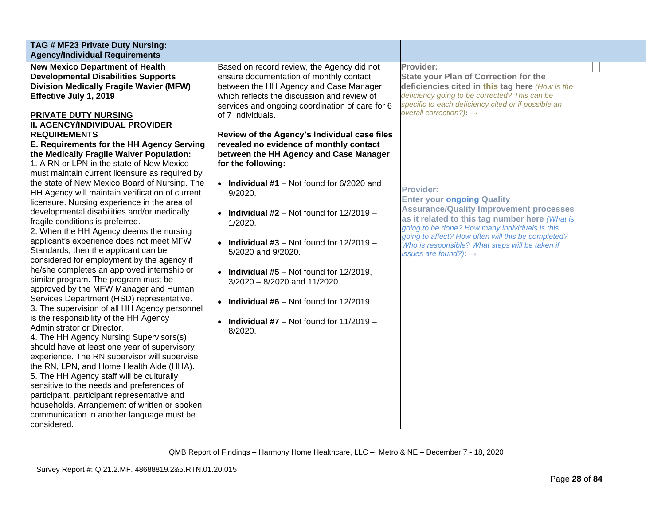| TAG # MF23 Private Duty Nursing:<br><b>Agency/Individual Requirements</b>                                                                                                                                                                                                                                                                                                                                                                                                                                                                                                                                                                                                                                                                                                                                                                                                                                                                                                                                                                                                                                                                                                                                                                                                                                                                                                        |                                                                                                                                                                                                                                                                                                                                                                                                                                                                                                                                                                  |                                                                                                                                                                                                                                                                                                                                                           |  |
|----------------------------------------------------------------------------------------------------------------------------------------------------------------------------------------------------------------------------------------------------------------------------------------------------------------------------------------------------------------------------------------------------------------------------------------------------------------------------------------------------------------------------------------------------------------------------------------------------------------------------------------------------------------------------------------------------------------------------------------------------------------------------------------------------------------------------------------------------------------------------------------------------------------------------------------------------------------------------------------------------------------------------------------------------------------------------------------------------------------------------------------------------------------------------------------------------------------------------------------------------------------------------------------------------------------------------------------------------------------------------------|------------------------------------------------------------------------------------------------------------------------------------------------------------------------------------------------------------------------------------------------------------------------------------------------------------------------------------------------------------------------------------------------------------------------------------------------------------------------------------------------------------------------------------------------------------------|-----------------------------------------------------------------------------------------------------------------------------------------------------------------------------------------------------------------------------------------------------------------------------------------------------------------------------------------------------------|--|
| <b>New Mexico Department of Health</b><br><b>Developmental Disabilities Supports</b><br><b>Division Medically Fragile Wavier (MFW)</b><br>Effective July 1, 2019<br>PRIVATE DUTY NURSING<br><b>II. AGENCY/INDIVIDUAL PROVIDER</b>                                                                                                                                                                                                                                                                                                                                                                                                                                                                                                                                                                                                                                                                                                                                                                                                                                                                                                                                                                                                                                                                                                                                                | Based on record review, the Agency did not<br>ensure documentation of monthly contact<br>between the HH Agency and Case Manager<br>which reflects the discussion and review of<br>services and ongoing coordination of care for 6<br>of 7 Individuals.                                                                                                                                                                                                                                                                                                           | Provider:<br><b>State your Plan of Correction for the</b><br>deficiencies cited in this tag here (How is the<br>deficiency going to be corrected? This can be<br>specific to each deficiency cited or if possible an<br>overall correction?): $\rightarrow$                                                                                               |  |
| <b>REQUIREMENTS</b><br>E. Requirements for the HH Agency Serving<br>the Medically Fragile Waiver Population:<br>1. A RN or LPN in the state of New Mexico<br>must maintain current licensure as required by<br>the state of New Mexico Board of Nursing. The<br>HH Agency will maintain verification of current<br>licensure. Nursing experience in the area of<br>developmental disabilities and/or medically<br>fragile conditions is preferred.<br>2. When the HH Agency deems the nursing<br>applicant's experience does not meet MFW<br>Standards, then the applicant can be<br>considered for employment by the agency if<br>he/she completes an approved internship or<br>similar program. The program must be<br>approved by the MFW Manager and Human<br>Services Department (HSD) representative.<br>3. The supervision of all HH Agency personnel<br>is the responsibility of the HH Agency<br>Administrator or Director.<br>4. The HH Agency Nursing Supervisors(s)<br>should have at least one year of supervisory<br>experience. The RN supervisor will supervise<br>the RN, LPN, and Home Health Aide (HHA).<br>5. The HH Agency staff will be culturally<br>sensitive to the needs and preferences of<br>participant, participant representative and<br>households. Arrangement of written or spoken<br>communication in another language must be<br>considered. | Review of the Agency's Individual case files<br>revealed no evidence of monthly contact<br>between the HH Agency and Case Manager<br>for the following:<br>• Individual $#1$ – Not found for 6/2020 and<br>9/2020.<br>• Individual $#2$ – Not found for $12/2019$ –<br>1/2020.<br>• Individual #3 – Not found for $12/2019$ –<br>5/2020 and 9/2020.<br>• Individual $#5 -$ Not found for 12/2019.<br>3/2020 - 8/2020 and 11/2020.<br><b>Individual #6</b> $-$ Not found for 12/2019.<br>$\bullet$<br><b>Individual #7</b> – Not found for $11/2019$ –<br>8/2020. | <b>Provider:</b><br><b>Enter your ongoing Quality</b><br><b>Assurance/Quality Improvement processes</b><br>as it related to this tag number here (What is<br>going to be done? How many individuals is this<br>going to affect? How often will this be completed?<br>Who is responsible? What steps will be taken if<br>issues are found?): $\rightarrow$ |  |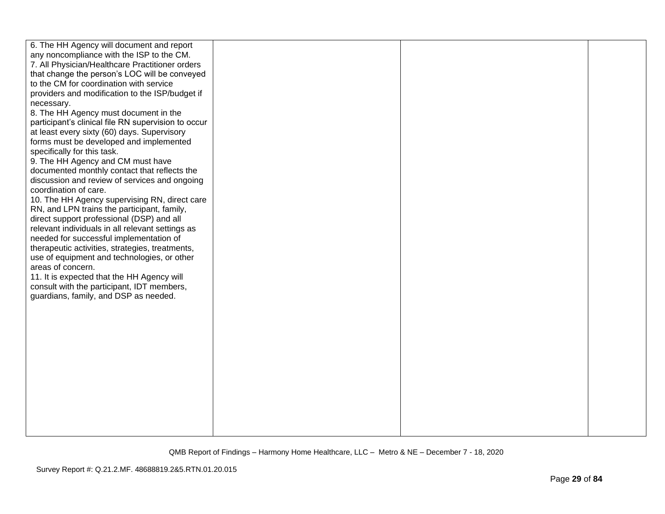| 6. The HH Agency will document and report           |  |  |
|-----------------------------------------------------|--|--|
| any noncompliance with the ISP to the CM.           |  |  |
| 7. All Physician/Healthcare Practitioner orders     |  |  |
| that change the person's LOC will be conveyed       |  |  |
| to the CM for coordination with service             |  |  |
| providers and modification to the ISP/budget if     |  |  |
| necessary.                                          |  |  |
| 8. The HH Agency must document in the               |  |  |
| participant's clinical file RN supervision to occur |  |  |
| at least every sixty (60) days. Supervisory         |  |  |
| forms must be developed and implemented             |  |  |
| specifically for this task.                         |  |  |
| 9. The HH Agency and CM must have                   |  |  |
| documented monthly contact that reflects the        |  |  |
| discussion and review of services and ongoing       |  |  |
| coordination of care.                               |  |  |
| 10. The HH Agency supervising RN, direct care       |  |  |
| RN, and LPN trains the participant, family,         |  |  |
| direct support professional (DSP) and all           |  |  |
| relevant individuals in all relevant settings as    |  |  |
| needed for successful implementation of             |  |  |
| therapeutic activities, strategies, treatments,     |  |  |
| use of equipment and technologies, or other         |  |  |
| areas of concern.                                   |  |  |
| 11. It is expected that the HH Agency will          |  |  |
| consult with the participant, IDT members,          |  |  |
| guardians, family, and DSP as needed.               |  |  |
|                                                     |  |  |
|                                                     |  |  |
|                                                     |  |  |
|                                                     |  |  |
|                                                     |  |  |
|                                                     |  |  |
|                                                     |  |  |
|                                                     |  |  |
|                                                     |  |  |
|                                                     |  |  |
|                                                     |  |  |
|                                                     |  |  |
|                                                     |  |  |
|                                                     |  |  |
|                                                     |  |  |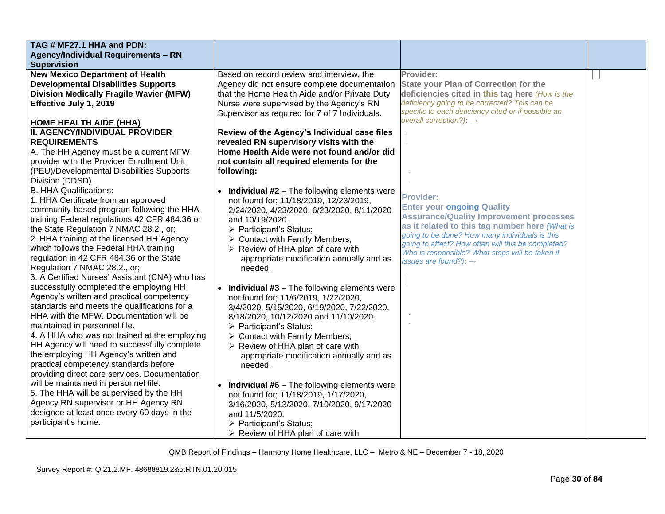| TAG # MF27.1 HHA and PDN:                      |                                                  |                                                                                                       |  |
|------------------------------------------------|--------------------------------------------------|-------------------------------------------------------------------------------------------------------|--|
| <b>Agency/Individual Requirements - RN</b>     |                                                  |                                                                                                       |  |
| <b>Supervision</b>                             |                                                  |                                                                                                       |  |
| <b>New Mexico Department of Health</b>         | Based on record review and interview, the        | Provider:                                                                                             |  |
| <b>Developmental Disabilities Supports</b>     | Agency did not ensure complete documentation     | <b>State your Plan of Correction for the</b>                                                          |  |
| <b>Division Medically Fragile Wavier (MFW)</b> | that the Home Health Aide and/or Private Duty    | deficiencies cited in this tag here (How is the                                                       |  |
| Effective July 1, 2019                         | Nurse were supervised by the Agency's RN         | deficiency going to be corrected? This can be                                                         |  |
|                                                | Supervisor as required for 7 of 7 Individuals.   | specific to each deficiency cited or if possible an                                                   |  |
| <b>HOME HEALTH AIDE (HHA)</b>                  |                                                  | overall correction?): $\rightarrow$                                                                   |  |
| <b>II. AGENCY/INDIVIDUAL PROVIDER</b>          | Review of the Agency's Individual case files     |                                                                                                       |  |
| <b>REQUIREMENTS</b>                            | revealed RN supervisory visits with the          |                                                                                                       |  |
| A. The HH Agency must be a current MFW         | Home Health Aide were not found and/or did       |                                                                                                       |  |
| provider with the Provider Enrollment Unit     | not contain all required elements for the        |                                                                                                       |  |
| (PEU)/Developmental Disabilities Supports      | following:                                       |                                                                                                       |  |
| Division (DDSD).                               |                                                  |                                                                                                       |  |
| <b>B. HHA Qualifications:</b>                  | • Individual $#2$ – The following elements were  |                                                                                                       |  |
| 1. HHA Certificate from an approved            | not found for; 11/18/2019, 12/23/2019,           | <b>Provider:</b>                                                                                      |  |
| community-based program following the HHA      | 2/24/2020, 4/23/2020, 6/23/2020, 8/11/2020       | <b>Enter your ongoing Quality</b>                                                                     |  |
| training Federal regulations 42 CFR 484.36 or  | and 10/19/2020.                                  | <b>Assurance/Quality Improvement processes</b>                                                        |  |
| the State Regulation 7 NMAC 28.2., or;         | > Participant's Status;                          | as it related to this tag number here (What is                                                        |  |
| 2. HHA training at the licensed HH Agency      | $\triangleright$ Contact with Family Members;    | going to be done? How many individuals is this                                                        |  |
| which follows the Federal HHA training         | $\triangleright$ Review of HHA plan of care with | going to affect? How often will this be completed?<br>Who is responsible? What steps will be taken if |  |
| regulation in 42 CFR 484.36 or the State       | appropriate modification annually and as         | issues are found?): $\rightarrow$                                                                     |  |
| Regulation 7 NMAC 28.2., or;                   | needed.                                          |                                                                                                       |  |
| 3. A Certified Nurses' Assistant (CNA) who has |                                                  |                                                                                                       |  |
| successfully completed the employing HH        | • Individual $#3$ – The following elements were  |                                                                                                       |  |
| Agency's written and practical competency      | not found for; 11/6/2019, 1/22/2020,             |                                                                                                       |  |
| standards and meets the qualifications for a   | 3/4/2020, 5/15/2020, 6/19/2020, 7/22/2020,       |                                                                                                       |  |
| HHA with the MFW. Documentation will be        | 8/18/2020, 10/12/2020 and 11/10/2020.            |                                                                                                       |  |
| maintained in personnel file.                  | > Participant's Status;                          |                                                                                                       |  |
| 4. A HHA who was not trained at the employing  | $\triangleright$ Contact with Family Members;    |                                                                                                       |  |
| HH Agency will need to successfully complete   | $\triangleright$ Review of HHA plan of care with |                                                                                                       |  |
| the employing HH Agency's written and          | appropriate modification annually and as         |                                                                                                       |  |
| practical competency standards before          | needed.                                          |                                                                                                       |  |
| providing direct care services. Documentation  |                                                  |                                                                                                       |  |
| will be maintained in personnel file.          | • Individual $#6$ – The following elements were  |                                                                                                       |  |
| 5. The HHA will be supervised by the HH        | not found for; 11/18/2019, 1/17/2020,            |                                                                                                       |  |
| Agency RN supervisor or HH Agency RN           | 3/16/2020, 5/13/2020, 7/10/2020, 9/17/2020       |                                                                                                       |  |
| designee at least once every 60 days in the    | and 11/5/2020.                                   |                                                                                                       |  |
| participant's home.                            | > Participant's Status;                          |                                                                                                       |  |
|                                                | > Review of HHA plan of care with                |                                                                                                       |  |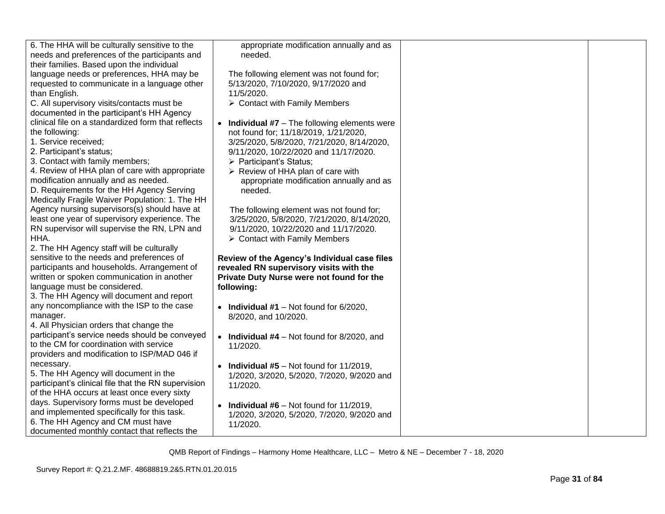| 6. The HHA will be culturally sensitive to the<br>appropriate modification annually and as<br>needs and preferences of the participants and<br>needed.<br>their families. Based upon the individual<br>language needs or preferences, HHA may be<br>The following element was not found for;<br>requested to communicate in a language other<br>5/13/2020, 7/10/2020, 9/17/2020 and<br>11/5/2020.<br>than English. |
|--------------------------------------------------------------------------------------------------------------------------------------------------------------------------------------------------------------------------------------------------------------------------------------------------------------------------------------------------------------------------------------------------------------------|
|                                                                                                                                                                                                                                                                                                                                                                                                                    |
|                                                                                                                                                                                                                                                                                                                                                                                                                    |
|                                                                                                                                                                                                                                                                                                                                                                                                                    |
|                                                                                                                                                                                                                                                                                                                                                                                                                    |
|                                                                                                                                                                                                                                                                                                                                                                                                                    |
|                                                                                                                                                                                                                                                                                                                                                                                                                    |
| C. All supervisory visits/contacts must be<br>$\triangleright$ Contact with Family Members                                                                                                                                                                                                                                                                                                                         |
| documented in the participant's HH Agency                                                                                                                                                                                                                                                                                                                                                                          |
| clinical file on a standardized form that reflects<br><b>Individual #7</b> – The following elements were<br>$\bullet$                                                                                                                                                                                                                                                                                              |
| the following:<br>not found for; 11/18/2019, 1/21/2020,                                                                                                                                                                                                                                                                                                                                                            |
| 1. Service received;<br>3/25/2020, 5/8/2020, 7/21/2020, 8/14/2020,                                                                                                                                                                                                                                                                                                                                                 |
| 2. Participant's status;<br>9/11/2020, 10/22/2020 and 11/17/2020.                                                                                                                                                                                                                                                                                                                                                  |
| 3. Contact with family members;<br>> Participant's Status;                                                                                                                                                                                                                                                                                                                                                         |
| 4. Review of HHA plan of care with appropriate<br>$\triangleright$ Review of HHA plan of care with                                                                                                                                                                                                                                                                                                                 |
| modification annually and as needed.<br>appropriate modification annually and as                                                                                                                                                                                                                                                                                                                                   |
| D. Requirements for the HH Agency Serving<br>needed.                                                                                                                                                                                                                                                                                                                                                               |
| Medically Fragile Waiver Population: 1. The HH                                                                                                                                                                                                                                                                                                                                                                     |
| Agency nursing supervisors(s) should have at<br>The following element was not found for;                                                                                                                                                                                                                                                                                                                           |
| least one year of supervisory experience. The<br>3/25/2020, 5/8/2020, 7/21/2020, 8/14/2020,                                                                                                                                                                                                                                                                                                                        |
| RN supervisor will supervise the RN, LPN and<br>9/11/2020, 10/22/2020 and 11/17/2020.                                                                                                                                                                                                                                                                                                                              |
| HHA.<br>$\triangleright$ Contact with Family Members                                                                                                                                                                                                                                                                                                                                                               |
| 2. The HH Agency staff will be culturally                                                                                                                                                                                                                                                                                                                                                                          |
| sensitive to the needs and preferences of<br>Review of the Agency's Individual case files                                                                                                                                                                                                                                                                                                                          |
| participants and households. Arrangement of<br>revealed RN supervisory visits with the                                                                                                                                                                                                                                                                                                                             |
| written or spoken communication in another<br>Private Duty Nurse were not found for the                                                                                                                                                                                                                                                                                                                            |
| language must be considered.<br>following:                                                                                                                                                                                                                                                                                                                                                                         |
| 3. The HH Agency will document and report                                                                                                                                                                                                                                                                                                                                                                          |
| any noncompliance with the ISP to the case<br>• Individual #1 – Not found for $6/2020$ ,                                                                                                                                                                                                                                                                                                                           |
| manager.<br>8/2020, and 10/2020.                                                                                                                                                                                                                                                                                                                                                                                   |
| 4. All Physician orders that change the                                                                                                                                                                                                                                                                                                                                                                            |
| participant's service needs should be conveyed<br><b>Individual #4</b> $-$ Not found for 8/2020, and                                                                                                                                                                                                                                                                                                               |
| to the CM for coordination with service<br>11/2020.                                                                                                                                                                                                                                                                                                                                                                |
| providers and modification to ISP/MAD 046 if                                                                                                                                                                                                                                                                                                                                                                       |
| necessary.<br><b>Individual #5</b> – Not found for $11/2019$ ,                                                                                                                                                                                                                                                                                                                                                     |
| 5. The HH Agency will document in the<br>1/2020, 3/2020, 5/2020, 7/2020, 9/2020 and                                                                                                                                                                                                                                                                                                                                |
| participant's clinical file that the RN supervision<br>11/2020.                                                                                                                                                                                                                                                                                                                                                    |
| of the HHA occurs at least once every sixty                                                                                                                                                                                                                                                                                                                                                                        |
| days. Supervisory forms must be developed                                                                                                                                                                                                                                                                                                                                                                          |
| <b>Individual #6</b> – Not found for $11/2019$ ,<br>and implemented specifically for this task.                                                                                                                                                                                                                                                                                                                    |
| 1/2020, 3/2020, 5/2020, 7/2020, 9/2020 and<br>6. The HH Agency and CM must have<br>11/2020.                                                                                                                                                                                                                                                                                                                        |
| documented monthly contact that reflects the                                                                                                                                                                                                                                                                                                                                                                       |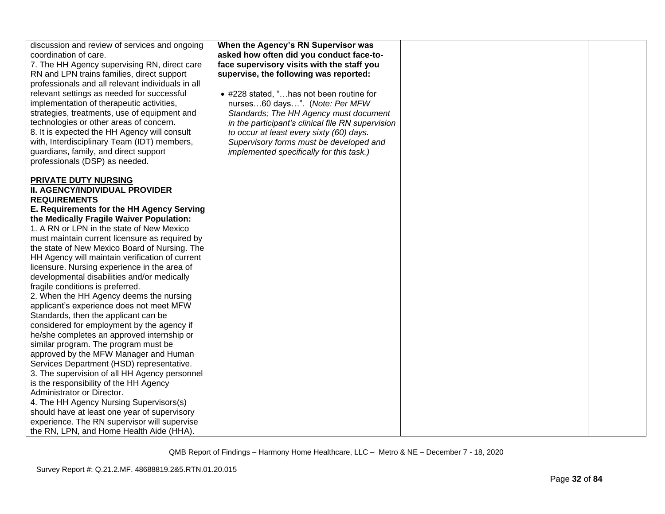| discussion and review of services and ongoing     | When the Agency's RN Supervisor was               |  |
|---------------------------------------------------|---------------------------------------------------|--|
| coordination of care.                             | asked how often did you conduct face-to-          |  |
| 7. The HH Agency supervising RN, direct care      | face supervisory visits with the staff you        |  |
| RN and LPN trains families, direct support        | supervise, the following was reported:            |  |
| professionals and all relevant individuals in all |                                                   |  |
| relevant settings as needed for successful        | • #228 stated, "has not been routine for          |  |
| implementation of therapeutic activities,         | nurses60 days". (Note: Per MFW                    |  |
| strategies, treatments, use of equipment and      | Standards; The HH Agency must document            |  |
| technologies or other areas of concern.           | in the participant's clinical file RN supervision |  |
| 8. It is expected the HH Agency will consult      | to occur at least every sixty (60) days.          |  |
| with, Interdisciplinary Team (IDT) members,       |                                                   |  |
|                                                   | Supervisory forms must be developed and           |  |
| guardians, family, and direct support             | implemented specifically for this task.)          |  |
| professionals (DSP) as needed.                    |                                                   |  |
|                                                   |                                                   |  |
| PRIVATE DUTY NURSING                              |                                                   |  |
| II. AGENCY/INDIVIDUAL PROVIDER                    |                                                   |  |
| <b>REQUIREMENTS</b>                               |                                                   |  |
| E. Requirements for the HH Agency Serving         |                                                   |  |
| the Medically Fragile Waiver Population:          |                                                   |  |
| 1. A RN or LPN in the state of New Mexico         |                                                   |  |
| must maintain current licensure as required by    |                                                   |  |
| the state of New Mexico Board of Nursing. The     |                                                   |  |
| HH Agency will maintain verification of current   |                                                   |  |
| licensure. Nursing experience in the area of      |                                                   |  |
| developmental disabilities and/or medically       |                                                   |  |
| fragile conditions is preferred.                  |                                                   |  |
| 2. When the HH Agency deems the nursing           |                                                   |  |
| applicant's experience does not meet MFW          |                                                   |  |
| Standards, then the applicant can be              |                                                   |  |
| considered for employment by the agency if        |                                                   |  |
| he/she completes an approved internship or        |                                                   |  |
| similar program. The program must be              |                                                   |  |
| approved by the MFW Manager and Human             |                                                   |  |
| Services Department (HSD) representative.         |                                                   |  |
| 3. The supervision of all HH Agency personnel     |                                                   |  |
| is the responsibility of the HH Agency            |                                                   |  |
| Administrator or Director.                        |                                                   |  |
| 4. The HH Agency Nursing Supervisors(s)           |                                                   |  |
| should have at least one year of supervisory      |                                                   |  |
| experience. The RN supervisor will supervise      |                                                   |  |
| the RN, LPN, and Home Health Aide (HHA).          |                                                   |  |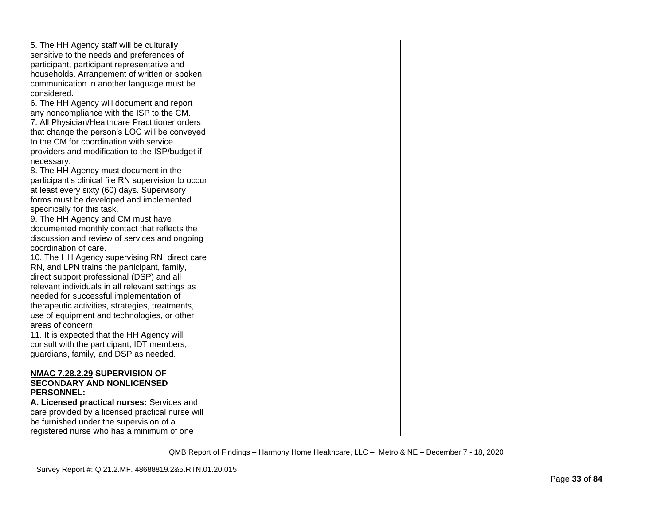| 5. The HH Agency staff will be culturally           |  |  |
|-----------------------------------------------------|--|--|
| sensitive to the needs and preferences of           |  |  |
| participant, participant representative and         |  |  |
| households. Arrangement of written or spoken        |  |  |
| communication in another language must be           |  |  |
| considered.                                         |  |  |
| 6. The HH Agency will document and report           |  |  |
| any noncompliance with the ISP to the CM.           |  |  |
| 7. All Physician/Healthcare Practitioner orders     |  |  |
| that change the person's LOC will be conveyed       |  |  |
| to the CM for coordination with service             |  |  |
| providers and modification to the ISP/budget if     |  |  |
| necessary.                                          |  |  |
| 8. The HH Agency must document in the               |  |  |
| participant's clinical file RN supervision to occur |  |  |
| at least every sixty (60) days. Supervisory         |  |  |
| forms must be developed and implemented             |  |  |
| specifically for this task.                         |  |  |
| 9. The HH Agency and CM must have                   |  |  |
| documented monthly contact that reflects the        |  |  |
| discussion and review of services and ongoing       |  |  |
| coordination of care.                               |  |  |
| 10. The HH Agency supervising RN, direct care       |  |  |
| RN, and LPN trains the participant, family,         |  |  |
| direct support professional (DSP) and all           |  |  |
| relevant individuals in all relevant settings as    |  |  |
| needed for successful implementation of             |  |  |
| therapeutic activities, strategies, treatments,     |  |  |
| use of equipment and technologies, or other         |  |  |
| areas of concern.                                   |  |  |
| 11. It is expected that the HH Agency will          |  |  |
| consult with the participant, IDT members,          |  |  |
| guardians, family, and DSP as needed.               |  |  |
|                                                     |  |  |
| NMAC 7.28.2.29 SUPERVISION OF                       |  |  |
| <b>SECONDARY AND NONLICENSED</b>                    |  |  |
| <b>PERSONNEL:</b>                                   |  |  |
| A. Licensed practical nurses: Services and          |  |  |
| care provided by a licensed practical nurse will    |  |  |
| be furnished under the supervision of a             |  |  |
| registered nurse who has a minimum of one           |  |  |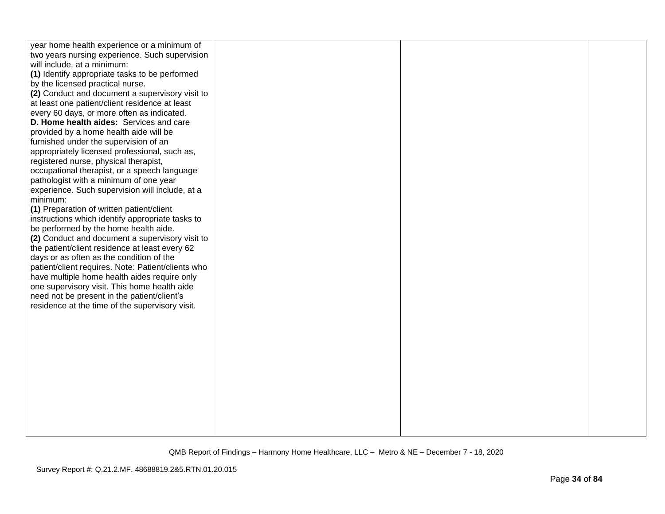| year home health experience or a minimum of<br>two years nursing experience. Such supervision<br>will include, at a minimum:<br>(1) Identify appropriate tasks to be performed<br>by the licensed practical nurse.<br>(2) Conduct and document a supervisory visit to<br>at least one patient/client residence at least<br>every 60 days, or more often as indicated.<br>D. Home health aides: Services and care<br>provided by a home health aide will be<br>furnished under the supervision of an<br>appropriately licensed professional, such as,                                                                                                                                                                                              |  |  |
|---------------------------------------------------------------------------------------------------------------------------------------------------------------------------------------------------------------------------------------------------------------------------------------------------------------------------------------------------------------------------------------------------------------------------------------------------------------------------------------------------------------------------------------------------------------------------------------------------------------------------------------------------------------------------------------------------------------------------------------------------|--|--|
| registered nurse, physical therapist,<br>occupational therapist, or a speech language<br>pathologist with a minimum of one year<br>experience. Such supervision will include, at a<br>minimum:<br>(1) Preparation of written patient/client<br>instructions which identify appropriate tasks to<br>be performed by the home health aide.<br>(2) Conduct and document a supervisory visit to<br>the patient/client residence at least every 62<br>days or as often as the condition of the<br>patient/client requires. Note: Patient/clients who<br>have multiple home health aides require only<br>one supervisory visit. This home health aide<br>need not be present in the patient/client's<br>residence at the time of the supervisory visit. |  |  |
|                                                                                                                                                                                                                                                                                                                                                                                                                                                                                                                                                                                                                                                                                                                                                   |  |  |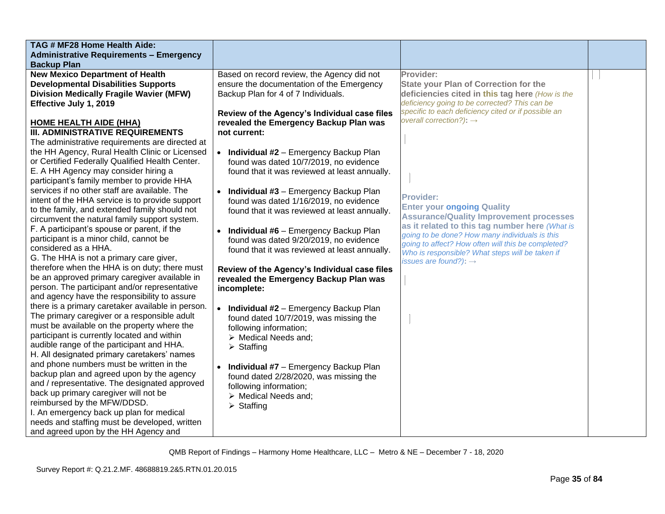| TAG # MF28 Home Health Aide:                                                               |                                                           |                                                     |  |
|--------------------------------------------------------------------------------------------|-----------------------------------------------------------|-----------------------------------------------------|--|
| <b>Administrative Requirements - Emergency</b>                                             |                                                           |                                                     |  |
| <b>Backup Plan</b>                                                                         |                                                           |                                                     |  |
| <b>New Mexico Department of Health</b>                                                     | Based on record review, the Agency did not                | Provider:                                           |  |
| <b>Developmental Disabilities Supports</b>                                                 | ensure the documentation of the Emergency                 | <b>State your Plan of Correction for the</b>        |  |
| <b>Division Medically Fragile Wavier (MFW)</b>                                             | Backup Plan for 4 of 7 Individuals.                       | deficiencies cited in this tag here (How is the     |  |
| Effective July 1, 2019                                                                     |                                                           | deficiency going to be corrected? This can be       |  |
|                                                                                            | Review of the Agency's Individual case files              | specific to each deficiency cited or if possible an |  |
| <b>HOME HEALTH AIDE (HHA)</b>                                                              | revealed the Emergency Backup Plan was                    | overall correction?): $\rightarrow$                 |  |
| <b>III. ADMINISTRATIVE REQUIREMENTS</b>                                                    | not current:                                              |                                                     |  |
| The administrative requirements are directed at                                            |                                                           |                                                     |  |
| the HH Agency, Rural Health Clinic or Licensed                                             | • Individual #2 - Emergency Backup Plan                   |                                                     |  |
| or Certified Federally Qualified Health Center.                                            | found was dated 10/7/2019, no evidence                    |                                                     |  |
| E. A HH Agency may consider hiring a                                                       | found that it was reviewed at least annually.             |                                                     |  |
| participant's family member to provide HHA                                                 |                                                           |                                                     |  |
| services if no other staff are available. The                                              | • Individual #3 - Emergency Backup Plan                   |                                                     |  |
| intent of the HHA service is to provide support                                            | found was dated 1/16/2019, no evidence                    | <b>Provider:</b>                                    |  |
| to the family, and extended family should not                                              | found that it was reviewed at least annually.             | <b>Enter your ongoing Quality</b>                   |  |
| circumvent the natural family support system.                                              |                                                           | <b>Assurance/Quality Improvement processes</b>      |  |
| F. A participant's spouse or parent, if the                                                |                                                           | as it related to this tag number here (What is      |  |
| participant is a minor child, cannot be                                                    | • Individual #6 - Emergency Backup Plan                   | going to be done? How many individuals is this      |  |
| considered as a HHA.                                                                       | found was dated 9/20/2019, no evidence                    | going to affect? How often will this be completed?  |  |
| G. The HHA is not a primary care giver,                                                    | found that it was reviewed at least annually.             | Who is responsible? What steps will be taken if     |  |
| therefore when the HHA is on duty; there must                                              |                                                           | issues are found?): $\rightarrow$                   |  |
| be an approved primary caregiver available in                                              | Review of the Agency's Individual case files              |                                                     |  |
| person. The participant and/or representative                                              | revealed the Emergency Backup Plan was                    |                                                     |  |
| and agency have the responsibility to assure                                               | incomplete:                                               |                                                     |  |
|                                                                                            |                                                           |                                                     |  |
| there is a primary caretaker available in person.                                          | $\bullet$<br><b>Individual #2</b> - Emergency Backup Plan |                                                     |  |
| The primary caregiver or a responsible adult                                               | found dated 10/7/2019, was missing the                    |                                                     |  |
| must be available on the property where the<br>participant is currently located and within | following information;                                    |                                                     |  |
|                                                                                            | > Medical Needs and:                                      |                                                     |  |
| audible range of the participant and HHA.<br>H. All designated primary caretakers' names   | $\triangleright$ Staffing                                 |                                                     |  |
|                                                                                            |                                                           |                                                     |  |
| and phone numbers must be written in the                                                   | Individual #7 - Emergency Backup Plan                     |                                                     |  |
| backup plan and agreed upon by the agency                                                  | found dated 2/28/2020, was missing the                    |                                                     |  |
| and / representative. The designated approved                                              | following information;                                    |                                                     |  |
| back up primary caregiver will not be                                                      | > Medical Needs and;                                      |                                                     |  |
| reimbursed by the MFW/DDSD.                                                                | $\triangleright$ Staffing                                 |                                                     |  |
| I. An emergency back up plan for medical                                                   |                                                           |                                                     |  |
| needs and staffing must be developed, written                                              |                                                           |                                                     |  |
| and agreed upon by the HH Agency and                                                       |                                                           |                                                     |  |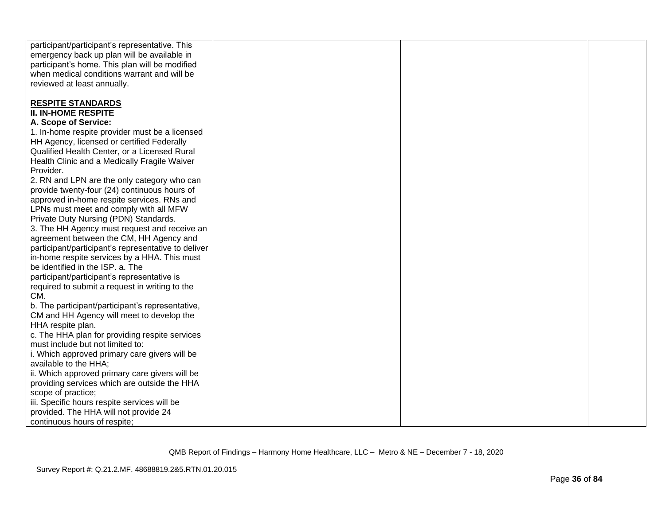| participant/participant's representative. This                                        |  |  |
|---------------------------------------------------------------------------------------|--|--|
| emergency back up plan will be available in                                           |  |  |
| participant's home. This plan will be modified                                        |  |  |
| when medical conditions warrant and will be                                           |  |  |
| reviewed at least annually.                                                           |  |  |
|                                                                                       |  |  |
| <b>RESPITE STANDARDS</b>                                                              |  |  |
| <b>II. IN-HOME RESPITE</b>                                                            |  |  |
| A. Scope of Service:                                                                  |  |  |
| 1. In-home respite provider must be a licensed                                        |  |  |
| HH Agency, licensed or certified Federally                                            |  |  |
| Qualified Health Center, or a Licensed Rural                                          |  |  |
| Health Clinic and a Medically Fragile Waiver                                          |  |  |
| Provider.                                                                             |  |  |
| 2. RN and LPN are the only category who can                                           |  |  |
| provide twenty-four (24) continuous hours of                                          |  |  |
| approved in-home respite services. RNs and                                            |  |  |
| LPNs must meet and comply with all MFW                                                |  |  |
|                                                                                       |  |  |
| Private Duty Nursing (PDN) Standards.<br>3. The HH Agency must request and receive an |  |  |
|                                                                                       |  |  |
| agreement between the CM, HH Agency and                                               |  |  |
| participant/participant's representative to deliver                                   |  |  |
| in-home respite services by a HHA. This must                                          |  |  |
| be identified in the ISP. a. The                                                      |  |  |
| participant/participant's representative is                                           |  |  |
| required to submit a request in writing to the                                        |  |  |
| CM.                                                                                   |  |  |
| b. The participant/participant's representative,                                      |  |  |
| CM and HH Agency will meet to develop the                                             |  |  |
| HHA respite plan.                                                                     |  |  |
| c. The HHA plan for providing respite services                                        |  |  |
| must include but not limited to:                                                      |  |  |
| i. Which approved primary care givers will be                                         |  |  |
| available to the HHA;                                                                 |  |  |
| ii. Which approved primary care givers will be                                        |  |  |
| providing services which are outside the HHA                                          |  |  |
| scope of practice;                                                                    |  |  |
| iii. Specific hours respite services will be                                          |  |  |
| provided. The HHA will not provide 24                                                 |  |  |
| continuous hours of respite;                                                          |  |  |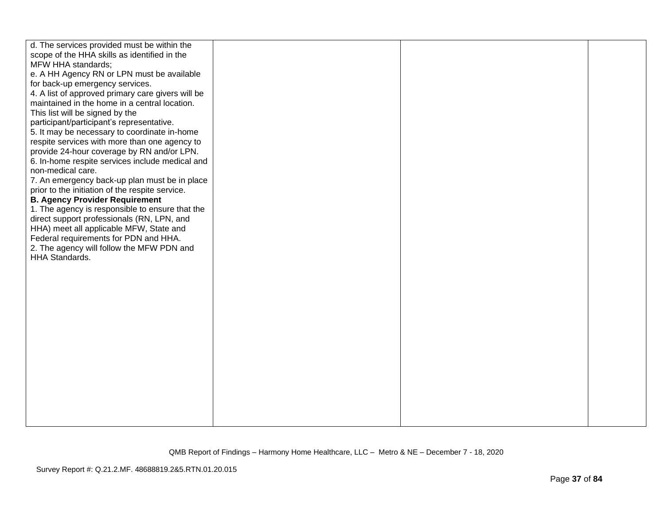| d. The services provided must be within the                                      |  |  |
|----------------------------------------------------------------------------------|--|--|
| scope of the HHA skills as identified in the                                     |  |  |
| MFW HHA standards;                                                               |  |  |
| e. A HH Agency RN or LPN must be available                                       |  |  |
| for back-up emergency services.                                                  |  |  |
| 4. A list of approved primary care givers will be                                |  |  |
| maintained in the home in a central location.                                    |  |  |
| This list will be signed by the                                                  |  |  |
| participant/participant's representative.                                        |  |  |
| 5. It may be necessary to coordinate in-home                                     |  |  |
| respite services with more than one agency to                                    |  |  |
| provide 24-hour coverage by RN and/or LPN.                                       |  |  |
| 6. In-home respite services include medical and                                  |  |  |
| non-medical care.                                                                |  |  |
| 7. An emergency back-up plan must be in place                                    |  |  |
| prior to the initiation of the respite service.                                  |  |  |
| <b>B. Agency Provider Requirement</b>                                            |  |  |
| 1. The agency is responsible to ensure that the                                  |  |  |
| direct support professionals (RN, LPN, and                                       |  |  |
| HHA) meet all applicable MFW, State and<br>Federal requirements for PDN and HHA. |  |  |
| 2. The agency will follow the MFW PDN and                                        |  |  |
| HHA Standards.                                                                   |  |  |
|                                                                                  |  |  |
|                                                                                  |  |  |
|                                                                                  |  |  |
|                                                                                  |  |  |
|                                                                                  |  |  |
|                                                                                  |  |  |
|                                                                                  |  |  |
|                                                                                  |  |  |
|                                                                                  |  |  |
|                                                                                  |  |  |
|                                                                                  |  |  |
|                                                                                  |  |  |
|                                                                                  |  |  |
|                                                                                  |  |  |
|                                                                                  |  |  |
|                                                                                  |  |  |
|                                                                                  |  |  |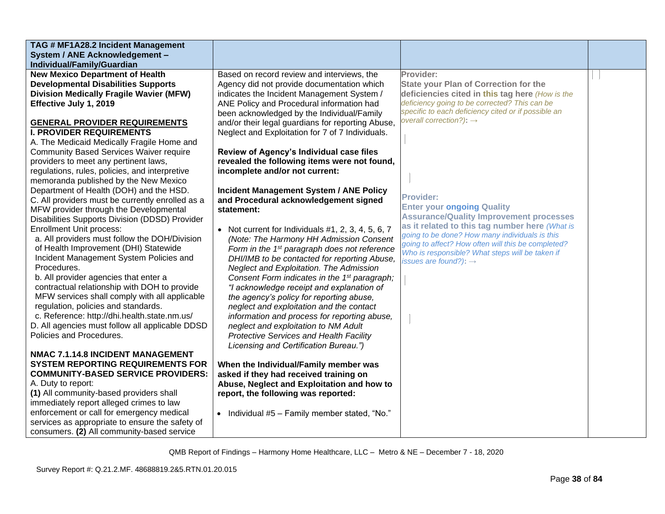| TAG # MF1A28.2 Incident Management               |                                                          |                                                                                                      |  |
|--------------------------------------------------|----------------------------------------------------------|------------------------------------------------------------------------------------------------------|--|
| System / ANE Acknowledgement -                   |                                                          |                                                                                                      |  |
| Individual/Family/Guardian                       |                                                          |                                                                                                      |  |
| <b>New Mexico Department of Health</b>           | Based on record review and interviews, the               | Provider:                                                                                            |  |
| <b>Developmental Disabilities Supports</b>       | Agency did not provide documentation which               | <b>State your Plan of Correction for the</b>                                                         |  |
| <b>Division Medically Fragile Wavier (MFW)</b>   | indicates the Incident Management System /               | deficiencies cited in this tag here (How is the                                                      |  |
| Effective July 1, 2019                           | ANE Policy and Procedural information had                | deficiency going to be corrected? This can be                                                        |  |
|                                                  | been acknowledged by the Individual/Family               | specific to each deficiency cited or if possible an                                                  |  |
| <b>GENERAL PROVIDER REQUIREMENTS</b>             | and/or their legal guardians for reporting Abuse,        | overall correction?): $\rightarrow$                                                                  |  |
| <b>I. PROVIDER REQUIREMENTS</b>                  | Neglect and Exploitation for 7 of 7 Individuals.         |                                                                                                      |  |
| A. The Medicaid Medically Fragile Home and       |                                                          |                                                                                                      |  |
| <b>Community Based Services Waiver require</b>   | Review of Agency's Individual case files                 |                                                                                                      |  |
| providers to meet any pertinent laws,            | revealed the following items were not found,             |                                                                                                      |  |
| regulations, rules, policies, and interpretive   | incomplete and/or not current:                           |                                                                                                      |  |
| memoranda published by the New Mexico            |                                                          |                                                                                                      |  |
| Department of Health (DOH) and the HSD.          | <b>Incident Management System / ANE Policy</b>           |                                                                                                      |  |
| C. All providers must be currently enrolled as a | and Procedural acknowledgement signed                    | <b>Provider:</b>                                                                                     |  |
| MFW provider through the Developmental           | statement:                                               | <b>Enter your ongoing Quality</b>                                                                    |  |
| Disabilities Supports Division (DDSD) Provider   |                                                          | <b>Assurance/Quality Improvement processes</b>                                                       |  |
| <b>Enrollment Unit process:</b>                  | • Not current for Individuals $#1, 2, 3, 4, 5, 6, 7$     | as it related to this tag number here (What is                                                       |  |
| a. All providers must follow the DOH/Division    | (Note: The Harmony HH Admission Consent                  | going to be done? How many individuals is this<br>going to affect? How often will this be completed? |  |
| of Health Improvement (DHI) Statewide            | Form in the 1 <sup>st</sup> paragraph does not reference | Who is responsible? What steps will be taken if                                                      |  |
| Incident Management System Policies and          | DHI/IMB to be contacted for reporting Abuse,             | issues are found?): $\rightarrow$                                                                    |  |
| Procedures.                                      | Neglect and Exploitation. The Admission                  |                                                                                                      |  |
| b. All provider agencies that enter a            | Consent Form indicates in the 1 <sup>st</sup> paragraph; |                                                                                                      |  |
| contractual relationship with DOH to provide     | "I acknowledge receipt and explanation of                |                                                                                                      |  |
| MFW services shall comply with all applicable    | the agency's policy for reporting abuse,                 |                                                                                                      |  |
| regulation, policies and standards.              | neglect and exploitation and the contact                 |                                                                                                      |  |
| c. Reference: http://dhi.health.state.nm.us/     | information and process for reporting abuse,             |                                                                                                      |  |
| D. All agencies must follow all applicable DDSD  | neglect and exploitation to NM Adult                     |                                                                                                      |  |
| Policies and Procedures.                         | <b>Protective Services and Health Facility</b>           |                                                                                                      |  |
|                                                  | Licensing and Certification Bureau.")                    |                                                                                                      |  |
| NMAC 7.1.14.8 INCIDENT MANAGEMENT                |                                                          |                                                                                                      |  |
| <b>SYSTEM REPORTING REQUIREMENTS FOR</b>         | When the Individual/Family member was                    |                                                                                                      |  |
| <b>COMMUNITY-BASED SERVICE PROVIDERS:</b>        | asked if they had received training on                   |                                                                                                      |  |
| A. Duty to report:                               | Abuse, Neglect and Exploitation and how to               |                                                                                                      |  |
| (1) All community-based providers shall          | report, the following was reported:                      |                                                                                                      |  |
| immediately report alleged crimes to law         |                                                          |                                                                                                      |  |
| enforcement or call for emergency medical        | • Individual #5 - Family member stated, "No."            |                                                                                                      |  |
| services as appropriate to ensure the safety of  |                                                          |                                                                                                      |  |
| consumers. (2) All community-based service       |                                                          |                                                                                                      |  |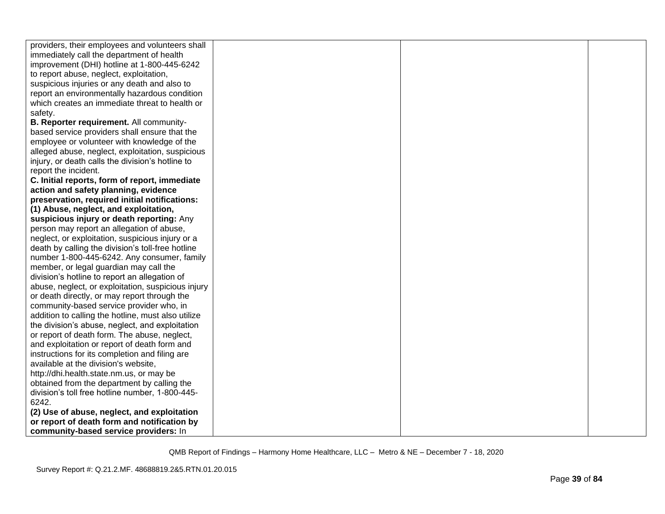| providers, their employees and volunteers shall    |  |  |
|----------------------------------------------------|--|--|
| immediately call the department of health          |  |  |
| improvement (DHI) hotline at 1-800-445-6242        |  |  |
| to report abuse, neglect, exploitation,            |  |  |
| suspicious injuries or any death and also to       |  |  |
| report an environmentally hazardous condition      |  |  |
| which creates an immediate threat to health or     |  |  |
| safety.                                            |  |  |
| B. Reporter requirement. All community-            |  |  |
| based service providers shall ensure that the      |  |  |
| employee or volunteer with knowledge of the        |  |  |
| alleged abuse, neglect, exploitation, suspicious   |  |  |
| injury, or death calls the division's hotline to   |  |  |
| report the incident.                               |  |  |
| C. Initial reports, form of report, immediate      |  |  |
| action and safety planning, evidence               |  |  |
| preservation, required initial notifications:      |  |  |
| (1) Abuse, neglect, and exploitation,              |  |  |
| suspicious injury or death reporting: Any          |  |  |
| person may report an allegation of abuse,          |  |  |
| neglect, or exploitation, suspicious injury or a   |  |  |
| death by calling the division's toll-free hotline  |  |  |
| number 1-800-445-6242. Any consumer, family        |  |  |
| member, or legal guardian may call the             |  |  |
| division's hotline to report an allegation of      |  |  |
| abuse, neglect, or exploitation, suspicious injury |  |  |
| or death directly, or may report through the       |  |  |
| community-based service provider who, in           |  |  |
| addition to calling the hotline, must also utilize |  |  |
| the division's abuse, neglect, and exploitation    |  |  |
| or report of death form. The abuse, neglect,       |  |  |
| and exploitation or report of death form and       |  |  |
| instructions for its completion and filing are     |  |  |
| available at the division's website,               |  |  |
| http://dhi.health.state.nm.us, or may be           |  |  |
| obtained from the department by calling the        |  |  |
| division's toll free hotline number, 1-800-445-    |  |  |
| 6242.                                              |  |  |
| (2) Use of abuse, neglect, and exploitation        |  |  |
| or report of death form and notification by        |  |  |
| community-based service providers: In              |  |  |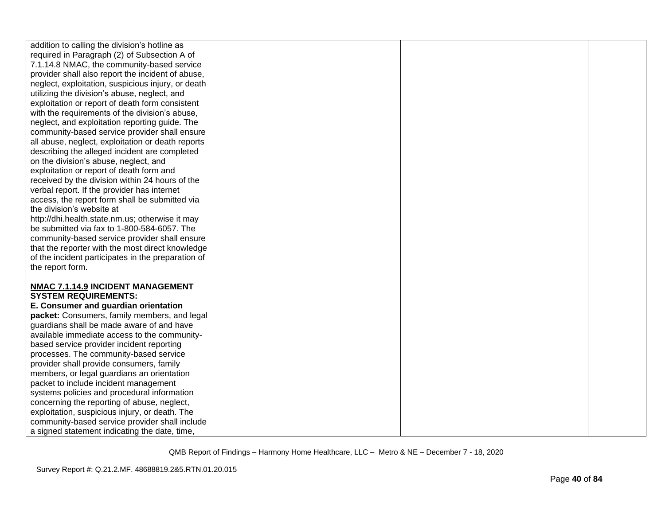| addition to calling the division's hotline as                                                                                                                                                                                                                                                                                                                                                                                                                                                                             |  |  |
|---------------------------------------------------------------------------------------------------------------------------------------------------------------------------------------------------------------------------------------------------------------------------------------------------------------------------------------------------------------------------------------------------------------------------------------------------------------------------------------------------------------------------|--|--|
| required in Paragraph (2) of Subsection A of                                                                                                                                                                                                                                                                                                                                                                                                                                                                              |  |  |
| 7.1.14.8 NMAC, the community-based service                                                                                                                                                                                                                                                                                                                                                                                                                                                                                |  |  |
| provider shall also report the incident of abuse,                                                                                                                                                                                                                                                                                                                                                                                                                                                                         |  |  |
| neglect, exploitation, suspicious injury, or death                                                                                                                                                                                                                                                                                                                                                                                                                                                                        |  |  |
| utilizing the division's abuse, neglect, and                                                                                                                                                                                                                                                                                                                                                                                                                                                                              |  |  |
| exploitation or report of death form consistent                                                                                                                                                                                                                                                                                                                                                                                                                                                                           |  |  |
| with the requirements of the division's abuse,                                                                                                                                                                                                                                                                                                                                                                                                                                                                            |  |  |
| neglect, and exploitation reporting guide. The                                                                                                                                                                                                                                                                                                                                                                                                                                                                            |  |  |
| community-based service provider shall ensure                                                                                                                                                                                                                                                                                                                                                                                                                                                                             |  |  |
| all abuse, neglect, exploitation or death reports                                                                                                                                                                                                                                                                                                                                                                                                                                                                         |  |  |
| describing the alleged incident are completed                                                                                                                                                                                                                                                                                                                                                                                                                                                                             |  |  |
| on the division's abuse, neglect, and                                                                                                                                                                                                                                                                                                                                                                                                                                                                                     |  |  |
| exploitation or report of death form and                                                                                                                                                                                                                                                                                                                                                                                                                                                                                  |  |  |
| received by the division within 24 hours of the                                                                                                                                                                                                                                                                                                                                                                                                                                                                           |  |  |
| verbal report. If the provider has internet                                                                                                                                                                                                                                                                                                                                                                                                                                                                               |  |  |
| access, the report form shall be submitted via                                                                                                                                                                                                                                                                                                                                                                                                                                                                            |  |  |
| the division's website at                                                                                                                                                                                                                                                                                                                                                                                                                                                                                                 |  |  |
| http://dhi.health.state.nm.us; otherwise it may                                                                                                                                                                                                                                                                                                                                                                                                                                                                           |  |  |
| be submitted via fax to 1-800-584-6057. The                                                                                                                                                                                                                                                                                                                                                                                                                                                                               |  |  |
| community-based service provider shall ensure                                                                                                                                                                                                                                                                                                                                                                                                                                                                             |  |  |
| that the reporter with the most direct knowledge                                                                                                                                                                                                                                                                                                                                                                                                                                                                          |  |  |
| of the incident participates in the preparation of                                                                                                                                                                                                                                                                                                                                                                                                                                                                        |  |  |
| the report form.                                                                                                                                                                                                                                                                                                                                                                                                                                                                                                          |  |  |
|                                                                                                                                                                                                                                                                                                                                                                                                                                                                                                                           |  |  |
| NMAC 7.1.14.9 INCIDENT MANAGEMENT                                                                                                                                                                                                                                                                                                                                                                                                                                                                                         |  |  |
| <b>SYSTEM REQUIREMENTS:</b>                                                                                                                                                                                                                                                                                                                                                                                                                                                                                               |  |  |
| E. Consumer and guardian orientation                                                                                                                                                                                                                                                                                                                                                                                                                                                                                      |  |  |
| packet: Consumers, family members, and legal                                                                                                                                                                                                                                                                                                                                                                                                                                                                              |  |  |
| guardians shall be made aware of and have                                                                                                                                                                                                                                                                                                                                                                                                                                                                                 |  |  |
|                                                                                                                                                                                                                                                                                                                                                                                                                                                                                                                           |  |  |
|                                                                                                                                                                                                                                                                                                                                                                                                                                                                                                                           |  |  |
|                                                                                                                                                                                                                                                                                                                                                                                                                                                                                                                           |  |  |
|                                                                                                                                                                                                                                                                                                                                                                                                                                                                                                                           |  |  |
|                                                                                                                                                                                                                                                                                                                                                                                                                                                                                                                           |  |  |
|                                                                                                                                                                                                                                                                                                                                                                                                                                                                                                                           |  |  |
|                                                                                                                                                                                                                                                                                                                                                                                                                                                                                                                           |  |  |
|                                                                                                                                                                                                                                                                                                                                                                                                                                                                                                                           |  |  |
|                                                                                                                                                                                                                                                                                                                                                                                                                                                                                                                           |  |  |
|                                                                                                                                                                                                                                                                                                                                                                                                                                                                                                                           |  |  |
|                                                                                                                                                                                                                                                                                                                                                                                                                                                                                                                           |  |  |
| available immediate access to the community-<br>based service provider incident reporting<br>processes. The community-based service<br>provider shall provide consumers, family<br>members, or legal guardians an orientation<br>packet to include incident management<br>systems policies and procedural information<br>concerning the reporting of abuse, neglect,<br>exploitation, suspicious injury, or death. The<br>community-based service provider shall include<br>a signed statement indicating the date, time, |  |  |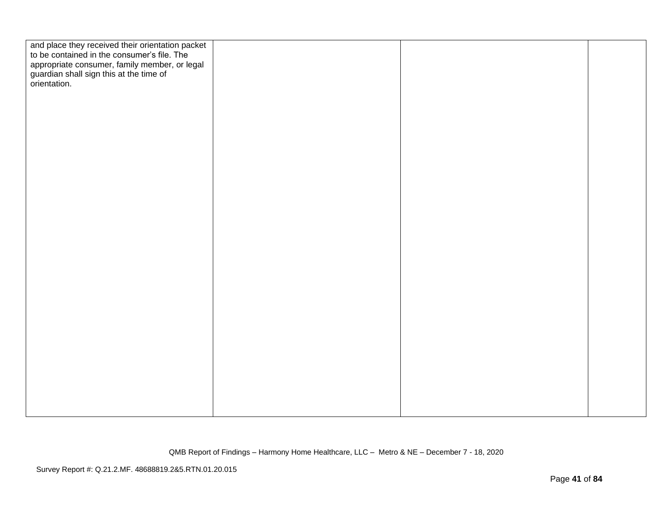| and place they received their orientation packet<br>to be contained in the consumer's file. The |  |  |
|-------------------------------------------------------------------------------------------------|--|--|
|                                                                                                 |  |  |
| appropriate consumer, family member, or legal                                                   |  |  |
| guardian shall sign this at the time of<br>orientation.                                         |  |  |
|                                                                                                 |  |  |
|                                                                                                 |  |  |
|                                                                                                 |  |  |
|                                                                                                 |  |  |
|                                                                                                 |  |  |
|                                                                                                 |  |  |
|                                                                                                 |  |  |
|                                                                                                 |  |  |
|                                                                                                 |  |  |
|                                                                                                 |  |  |
|                                                                                                 |  |  |
|                                                                                                 |  |  |
|                                                                                                 |  |  |
|                                                                                                 |  |  |
|                                                                                                 |  |  |
|                                                                                                 |  |  |
|                                                                                                 |  |  |
|                                                                                                 |  |  |
|                                                                                                 |  |  |
|                                                                                                 |  |  |
|                                                                                                 |  |  |
|                                                                                                 |  |  |
|                                                                                                 |  |  |
|                                                                                                 |  |  |
|                                                                                                 |  |  |
|                                                                                                 |  |  |
|                                                                                                 |  |  |
|                                                                                                 |  |  |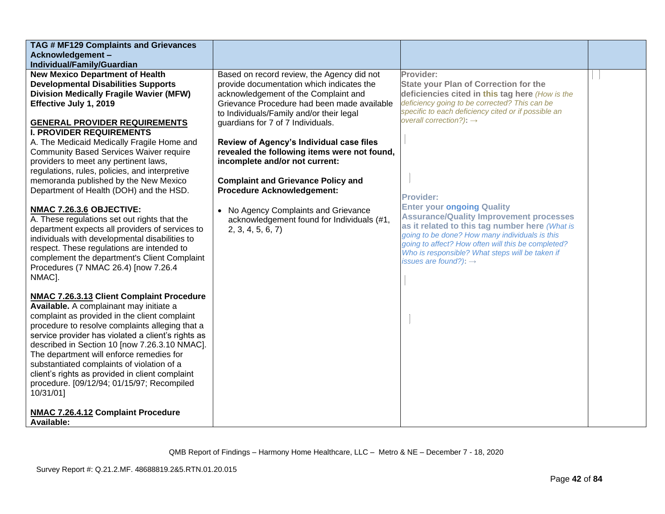| TAG # MF129 Complaints and Grievances                                                                                                                                                                                                                                                                                                                                                                                                                                                                   |                                                                                                                                                                                                                                                                                                                                                                                                                                            |                                                                                                                                                                                                                                                             |  |
|---------------------------------------------------------------------------------------------------------------------------------------------------------------------------------------------------------------------------------------------------------------------------------------------------------------------------------------------------------------------------------------------------------------------------------------------------------------------------------------------------------|--------------------------------------------------------------------------------------------------------------------------------------------------------------------------------------------------------------------------------------------------------------------------------------------------------------------------------------------------------------------------------------------------------------------------------------------|-------------------------------------------------------------------------------------------------------------------------------------------------------------------------------------------------------------------------------------------------------------|--|
| Acknowledgement-                                                                                                                                                                                                                                                                                                                                                                                                                                                                                        |                                                                                                                                                                                                                                                                                                                                                                                                                                            |                                                                                                                                                                                                                                                             |  |
| Individual/Family/Guardian                                                                                                                                                                                                                                                                                                                                                                                                                                                                              |                                                                                                                                                                                                                                                                                                                                                                                                                                            |                                                                                                                                                                                                                                                             |  |
| <b>New Mexico Department of Health</b><br><b>Developmental Disabilities Supports</b><br><b>Division Medically Fragile Wavier (MFW)</b><br>Effective July 1, 2019<br><b>GENERAL PROVIDER REQUIREMENTS</b><br><b>I. PROVIDER REQUIREMENTS</b><br>A. The Medicaid Medically Fragile Home and<br><b>Community Based Services Waiver require</b><br>providers to meet any pertinent laws,<br>regulations, rules, policies, and interpretive<br>memoranda published by the New Mexico                         | Based on record review, the Agency did not<br>provide documentation which indicates the<br>acknowledgement of the Complaint and<br>Grievance Procedure had been made available<br>to Individuals/Family and/or their legal<br>guardians for 7 of 7 Individuals.<br>Review of Agency's Individual case files<br>revealed the following items were not found,<br>incomplete and/or not current:<br><b>Complaint and Grievance Policy and</b> | Provider:<br><b>State your Plan of Correction for the</b><br>deficiencies cited in this tag here (How is the<br>deficiency going to be corrected? This can be<br>specific to each deficiency cited or if possible an<br>overall correction?): $\rightarrow$ |  |
| Department of Health (DOH) and the HSD.<br>NMAC 7.26.3.6 OBJECTIVE:<br>A. These regulations set out rights that the                                                                                                                                                                                                                                                                                                                                                                                     | <b>Procedure Acknowledgement:</b><br>No Agency Complaints and Grievance<br>acknowledgement found for Individuals (#1,                                                                                                                                                                                                                                                                                                                      | <b>Provider:</b><br><b>Enter your ongoing Quality</b><br><b>Assurance/Quality Improvement processes</b>                                                                                                                                                     |  |
| department expects all providers of services to<br>individuals with developmental disabilities to<br>respect. These regulations are intended to<br>complement the department's Client Complaint<br>Procedures (7 NMAC 26.4) [now 7.26.4<br>NMAC].                                                                                                                                                                                                                                                       | 2, 3, 4, 5, 6, 7                                                                                                                                                                                                                                                                                                                                                                                                                           | as it related to this tag number here (What is<br>going to be done? How many individuals is this<br>going to affect? How often will this be completed?<br>Who is responsible? What steps will be taken if<br>issues are found?): $\rightarrow$              |  |
| NMAC 7.26.3.13 Client Complaint Procedure<br>Available. A complainant may initiate a<br>complaint as provided in the client complaint<br>procedure to resolve complaints alleging that a<br>service provider has violated a client's rights as<br>described in Section 10 [now 7.26.3.10 NMAC].<br>The department will enforce remedies for<br>substantiated complaints of violation of a<br>client's rights as provided in client complaint<br>procedure. [09/12/94; 01/15/97; Recompiled<br>10/31/01] |                                                                                                                                                                                                                                                                                                                                                                                                                                            |                                                                                                                                                                                                                                                             |  |
| NMAC 7.26.4.12 Complaint Procedure<br>Available:                                                                                                                                                                                                                                                                                                                                                                                                                                                        |                                                                                                                                                                                                                                                                                                                                                                                                                                            |                                                                                                                                                                                                                                                             |  |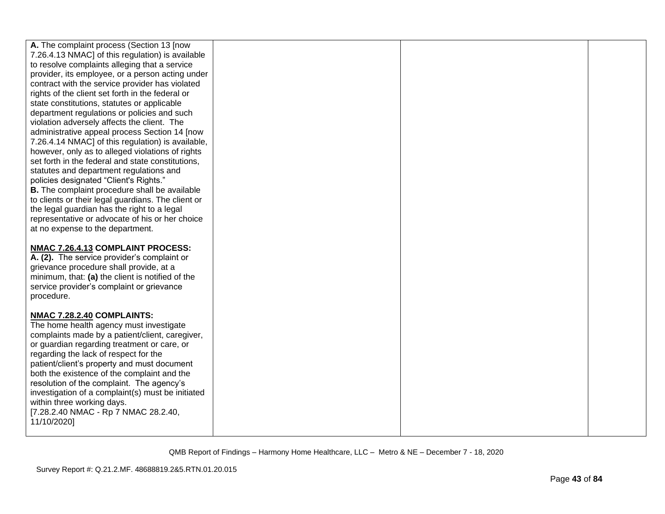| A. The complaint process (Section 13 [now          |  |  |
|----------------------------------------------------|--|--|
| 7.26.4.13 NMAC] of this regulation) is available   |  |  |
| to resolve complaints alleging that a service      |  |  |
| provider, its employee, or a person acting under   |  |  |
| contract with the service provider has violated    |  |  |
| rights of the client set forth in the federal or   |  |  |
| state constitutions, statutes or applicable        |  |  |
| department regulations or policies and such        |  |  |
| violation adversely affects the client. The        |  |  |
| administrative appeal process Section 14 [now      |  |  |
| 7.26.4.14 NMAC] of this regulation) is available,  |  |  |
| however, only as to alleged violations of rights   |  |  |
| set forth in the federal and state constitutions,  |  |  |
| statutes and department regulations and            |  |  |
| policies designated "Client's Rights."             |  |  |
| B. The complaint procedure shall be available      |  |  |
| to clients or their legal guardians. The client or |  |  |
| the legal guardian has the right to a legal        |  |  |
| representative or advocate of his or her choice    |  |  |
| at no expense to the department.                   |  |  |
|                                                    |  |  |
| NMAC 7.26.4.13 COMPLAINT PROCESS:                  |  |  |
| A. (2). The service provider's complaint or        |  |  |
| grievance procedure shall provide, at a            |  |  |
| minimum, that: (a) the client is notified of the   |  |  |
| service provider's complaint or grievance          |  |  |
| procedure.                                         |  |  |
|                                                    |  |  |
| NMAC 7.28.2.40 COMPLAINTS:                         |  |  |
| The home health agency must investigate            |  |  |
| complaints made by a patient/client, caregiver,    |  |  |
| or guardian regarding treatment or care, or        |  |  |
| regarding the lack of respect for the              |  |  |
| patient/client's property and must document        |  |  |
| both the existence of the complaint and the        |  |  |
| resolution of the complaint. The agency's          |  |  |
| investigation of a complaint(s) must be initiated  |  |  |
| within three working days.                         |  |  |
| [7.28.2.40 NMAC - Rp 7 NMAC 28.2.40,               |  |  |
| 11/10/2020]                                        |  |  |
|                                                    |  |  |
|                                                    |  |  |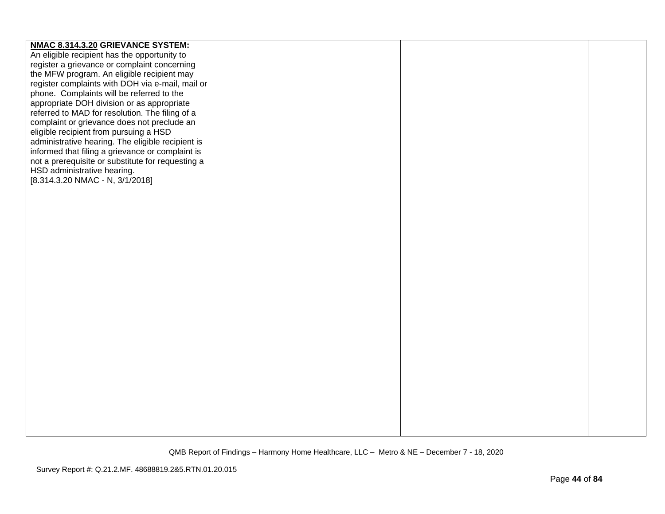| NMAC 8.314.3.20 GRIEVANCE SYSTEM:                 |  |  |
|---------------------------------------------------|--|--|
| An eligible recipient has the opportunity to      |  |  |
| register a grievance or complaint concerning      |  |  |
| the MFW program. An eligible recipient may        |  |  |
| register complaints with DOH via e-mail, mail or  |  |  |
| phone. Complaints will be referred to the         |  |  |
| appropriate DOH division or as appropriate        |  |  |
| referred to MAD for resolution. The filing of a   |  |  |
| complaint or grievance does not preclude an       |  |  |
| eligible recipient from pursuing a HSD            |  |  |
| administrative hearing. The eligible recipient is |  |  |
|                                                   |  |  |
| informed that filing a grievance or complaint is  |  |  |
| not a prerequisite or substitute for requesting a |  |  |
| HSD administrative hearing.                       |  |  |
| [8.314.3.20 NMAC - N, 3/1/2018]                   |  |  |
|                                                   |  |  |
|                                                   |  |  |
|                                                   |  |  |
|                                                   |  |  |
|                                                   |  |  |
|                                                   |  |  |
|                                                   |  |  |
|                                                   |  |  |
|                                                   |  |  |
|                                                   |  |  |
|                                                   |  |  |
|                                                   |  |  |
|                                                   |  |  |
|                                                   |  |  |
|                                                   |  |  |
|                                                   |  |  |
|                                                   |  |  |
|                                                   |  |  |
|                                                   |  |  |
|                                                   |  |  |
|                                                   |  |  |
|                                                   |  |  |
|                                                   |  |  |
|                                                   |  |  |
|                                                   |  |  |
|                                                   |  |  |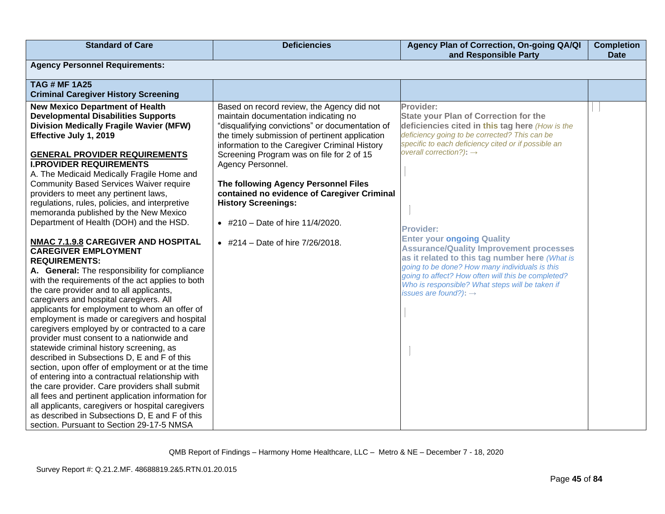| <b>Standard of Care</b>                                                                                                                                                                                                                                                                                                                                                                                                                                                                                                                                                                                                                                                                                                                                                                                                                                                                                                                                                                                                                                                                                                                                                                                                                                                                                                                                                                                                                                                             | <b>Deficiencies</b>                                                                                                                                                                                                                                                                                                                                                                                                                                                                                           | Agency Plan of Correction, On-going QA/QI<br>and Responsible Party                                                                                                                                                                                                                                                                                                                                                                                                                                                                                                                                                       | <b>Completion</b><br><b>Date</b> |
|-------------------------------------------------------------------------------------------------------------------------------------------------------------------------------------------------------------------------------------------------------------------------------------------------------------------------------------------------------------------------------------------------------------------------------------------------------------------------------------------------------------------------------------------------------------------------------------------------------------------------------------------------------------------------------------------------------------------------------------------------------------------------------------------------------------------------------------------------------------------------------------------------------------------------------------------------------------------------------------------------------------------------------------------------------------------------------------------------------------------------------------------------------------------------------------------------------------------------------------------------------------------------------------------------------------------------------------------------------------------------------------------------------------------------------------------------------------------------------------|---------------------------------------------------------------------------------------------------------------------------------------------------------------------------------------------------------------------------------------------------------------------------------------------------------------------------------------------------------------------------------------------------------------------------------------------------------------------------------------------------------------|--------------------------------------------------------------------------------------------------------------------------------------------------------------------------------------------------------------------------------------------------------------------------------------------------------------------------------------------------------------------------------------------------------------------------------------------------------------------------------------------------------------------------------------------------------------------------------------------------------------------------|----------------------------------|
| <b>Agency Personnel Requirements:</b>                                                                                                                                                                                                                                                                                                                                                                                                                                                                                                                                                                                                                                                                                                                                                                                                                                                                                                                                                                                                                                                                                                                                                                                                                                                                                                                                                                                                                                               |                                                                                                                                                                                                                                                                                                                                                                                                                                                                                                               |                                                                                                                                                                                                                                                                                                                                                                                                                                                                                                                                                                                                                          |                                  |
| <b>TAG # MF 1A25</b><br><b>Criminal Caregiver History Screening</b>                                                                                                                                                                                                                                                                                                                                                                                                                                                                                                                                                                                                                                                                                                                                                                                                                                                                                                                                                                                                                                                                                                                                                                                                                                                                                                                                                                                                                 |                                                                                                                                                                                                                                                                                                                                                                                                                                                                                                               |                                                                                                                                                                                                                                                                                                                                                                                                                                                                                                                                                                                                                          |                                  |
| <b>New Mexico Department of Health</b><br><b>Developmental Disabilities Supports</b><br><b>Division Medically Fragile Wavier (MFW)</b><br>Effective July 1, 2019<br><b>GENERAL PROVIDER REQUIREMENTS</b><br><b>I.PROVIDER REQUIREMENTS</b><br>A. The Medicaid Medically Fragile Home and<br><b>Community Based Services Waiver require</b><br>providers to meet any pertinent laws,<br>regulations, rules, policies, and interpretive<br>memoranda published by the New Mexico<br>Department of Health (DOH) and the HSD.<br>NMAC 7.1.9.8 CAREGIVER AND HOSPITAL<br><b>CAREGIVER EMPLOYMENT</b><br><b>REQUIREMENTS:</b><br>A. General: The responsibility for compliance<br>with the requirements of the act applies to both<br>the care provider and to all applicants,<br>caregivers and hospital caregivers. All<br>applicants for employment to whom an offer of<br>employment is made or caregivers and hospital<br>caregivers employed by or contracted to a care<br>provider must consent to a nationwide and<br>statewide criminal history screening, as<br>described in Subsections D, E and F of this<br>section, upon offer of employment or at the time<br>of entering into a contractual relationship with<br>the care provider. Care providers shall submit<br>all fees and pertinent application information for<br>all applicants, caregivers or hospital caregivers<br>as described in Subsections D, E and F of this<br>section. Pursuant to Section 29-17-5 NMSA | Based on record review, the Agency did not<br>maintain documentation indicating no<br>"disqualifying convictions" or documentation of<br>the timely submission of pertinent application<br>information to the Caregiver Criminal History<br>Screening Program was on file for 2 of 15<br>Agency Personnel.<br>The following Agency Personnel Files<br>contained no evidence of Caregiver Criminal<br><b>History Screenings:</b><br>• #210 - Date of hire $11/4/2020$ .<br>• #214 - Date of hire $7/26/2018$ . | Provider:<br><b>State your Plan of Correction for the</b><br>deficiencies cited in this tag here (How is the<br>deficiency going to be corrected? This can be<br>specific to each deficiency cited or if possible an<br>overall correction?): $\rightarrow$<br><b>Provider:</b><br><b>Enter your ongoing Quality</b><br><b>Assurance/Quality Improvement processes</b><br>as it related to this tag number here (What is<br>going to be done? How many individuals is this<br>going to affect? How often will this be completed?<br>Who is responsible? What steps will be taken if<br>issues are found?): $\rightarrow$ |                                  |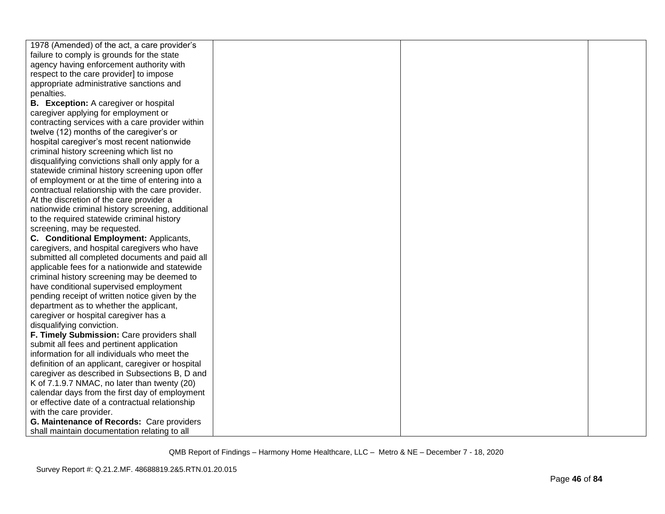| 1978 (Amended) of the act, a care provider's      |  |  |
|---------------------------------------------------|--|--|
| failure to comply is grounds for the state        |  |  |
| agency having enforcement authority with          |  |  |
| respect to the care provider] to impose           |  |  |
| appropriate administrative sanctions and          |  |  |
| penalties.                                        |  |  |
| <b>B.</b> Exception: A caregiver or hospital      |  |  |
| caregiver applying for employment or              |  |  |
| contracting services with a care provider within  |  |  |
| twelve (12) months of the caregiver's or          |  |  |
| hospital caregiver's most recent nationwide       |  |  |
| criminal history screening which list no          |  |  |
| disqualifying convictions shall only apply for a  |  |  |
| statewide criminal history screening upon offer   |  |  |
| of employment or at the time of entering into a   |  |  |
| contractual relationship with the care provider.  |  |  |
| At the discretion of the care provider a          |  |  |
| nationwide criminal history screening, additional |  |  |
| to the required statewide criminal history        |  |  |
| screening, may be requested.                      |  |  |
| C. Conditional Employment: Applicants,            |  |  |
| caregivers, and hospital caregivers who have      |  |  |
| submitted all completed documents and paid all    |  |  |
| applicable fees for a nationwide and statewide    |  |  |
| criminal history screening may be deemed to       |  |  |
| have conditional supervised employment            |  |  |
| pending receipt of written notice given by the    |  |  |
| department as to whether the applicant,           |  |  |
| caregiver or hospital caregiver has a             |  |  |
| disqualifying conviction.                         |  |  |
| F. Timely Submission: Care providers shall        |  |  |
| submit all fees and pertinent application         |  |  |
| information for all individuals who meet the      |  |  |
| definition of an applicant, caregiver or hospital |  |  |
| caregiver as described in Subsections B, D and    |  |  |
| K of 7.1.9.7 NMAC, no later than twenty (20)      |  |  |
| calendar days from the first day of employment    |  |  |
| or effective date of a contractual relationship   |  |  |
| with the care provider.                           |  |  |
| G. Maintenance of Records: Care providers         |  |  |
| shall maintain documentation relating to all      |  |  |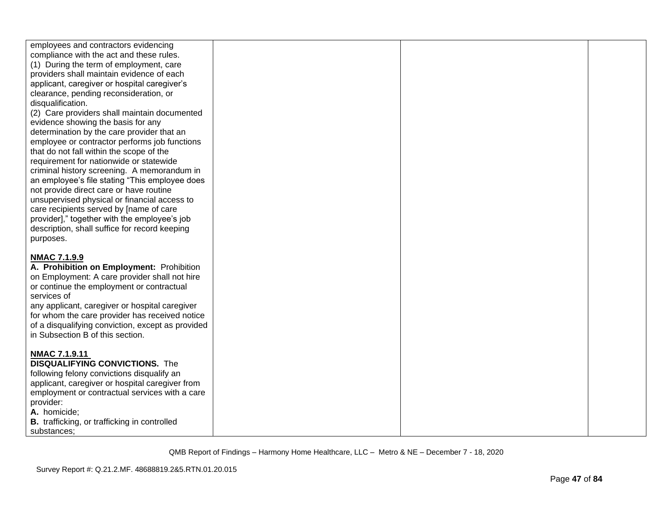| employees and contractors evidencing<br>compliance with the act and these rules.<br>(1) During the term of employment, care<br>providers shall maintain evidence of each<br>applicant, caregiver or hospital caregiver's<br>clearance, pending reconsideration, or<br>disqualification.<br>(2) Care providers shall maintain documented<br>evidence showing the basis for any<br>determination by the care provider that an<br>employee or contractor performs job functions<br>that do not fall within the scope of the<br>requirement for nationwide or statewide<br>criminal history screening. A memorandum in<br>an employee's file stating "This employee does<br>not provide direct care or have routine<br>unsupervised physical or financial access to<br>care recipients served by [name of care<br>provider]," together with the employee's job<br>description, shall suffice for record keeping<br>purposes. |  |  |
|--------------------------------------------------------------------------------------------------------------------------------------------------------------------------------------------------------------------------------------------------------------------------------------------------------------------------------------------------------------------------------------------------------------------------------------------------------------------------------------------------------------------------------------------------------------------------------------------------------------------------------------------------------------------------------------------------------------------------------------------------------------------------------------------------------------------------------------------------------------------------------------------------------------------------|--|--|
| <b>NMAC 7.1.9.9</b><br>A. Prohibition on Employment: Prohibition<br>on Employment: A care provider shall not hire<br>or continue the employment or contractual<br>services of<br>any applicant, caregiver or hospital caregiver<br>for whom the care provider has received notice<br>of a disqualifying conviction, except as provided<br>in Subsection B of this section.                                                                                                                                                                                                                                                                                                                                                                                                                                                                                                                                               |  |  |
| <b>NMAC 7.1.9.11</b><br><b>DISQUALIFYING CONVICTIONS.</b> The<br>following felony convictions disqualify an<br>applicant, caregiver or hospital caregiver from<br>employment or contractual services with a care<br>provider:<br>A. homicide;<br>B. trafficking, or trafficking in controlled<br>substances:                                                                                                                                                                                                                                                                                                                                                                                                                                                                                                                                                                                                             |  |  |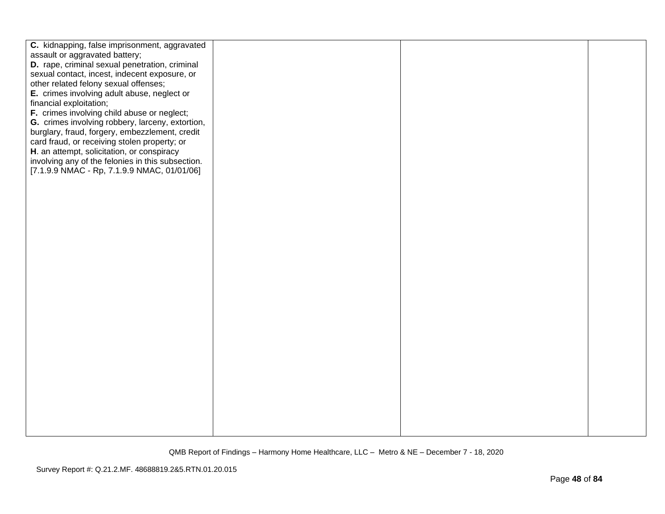| C. kidnapping, false imprisonment, aggravated<br>assault or aggravated battery;<br>D. rape, criminal sexual penetration, criminal<br>sexual contact, incest, indecent exposure, or<br>other related felony sexual offenses;<br>E. crimes involving adult abuse, neglect or<br>financial exploitation;<br>F. crimes involving child abuse or neglect;<br>G. crimes involving robbery, larceny, extortion,<br>burglary, fraud, forgery, embezzlement, credit<br>card fraud, or receiving stolen property; or<br>H. an attempt, solicitation, or conspiracy<br>involving any of the felonies in this subsection.<br>[7.1.9.9 NMAC - Rp, 7.1.9.9 NMAC, 01/01/06] |  |  |
|--------------------------------------------------------------------------------------------------------------------------------------------------------------------------------------------------------------------------------------------------------------------------------------------------------------------------------------------------------------------------------------------------------------------------------------------------------------------------------------------------------------------------------------------------------------------------------------------------------------------------------------------------------------|--|--|
|                                                                                                                                                                                                                                                                                                                                                                                                                                                                                                                                                                                                                                                              |  |  |
|                                                                                                                                                                                                                                                                                                                                                                                                                                                                                                                                                                                                                                                              |  |  |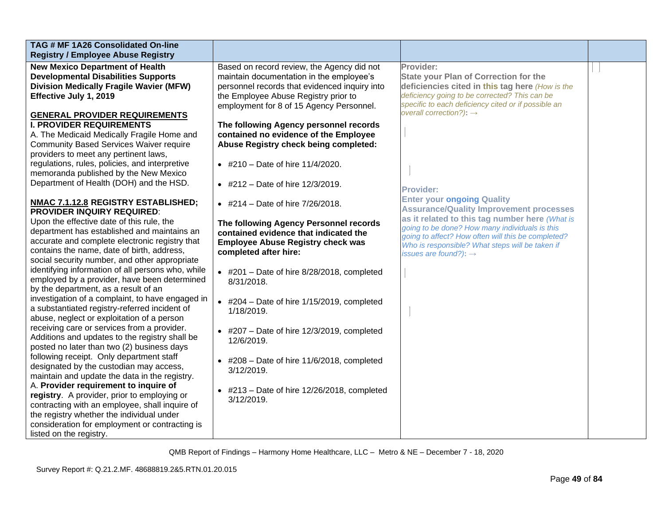| TAG # MF 1A26 Consolidated On-line<br><b>Registry / Employee Abuse Registry</b><br><b>New Mexico Department of Health</b><br>Based on record review, the Agency did not<br>Provider:<br><b>Developmental Disabilities Supports</b><br>maintain documentation in the employee's<br><b>State your Plan of Correction for the</b> |
|--------------------------------------------------------------------------------------------------------------------------------------------------------------------------------------------------------------------------------------------------------------------------------------------------------------------------------|
|                                                                                                                                                                                                                                                                                                                                |
|                                                                                                                                                                                                                                                                                                                                |
|                                                                                                                                                                                                                                                                                                                                |
| <b>Division Medically Fragile Wavier (MFW)</b><br>personnel records that evidenced inquiry into<br>deficiencies cited in this tag here (How is the                                                                                                                                                                             |
| deficiency going to be corrected? This can be<br>Effective July 1, 2019<br>the Employee Abuse Registry prior to                                                                                                                                                                                                                |
| specific to each deficiency cited or if possible an<br>employment for 8 of 15 Agency Personnel.                                                                                                                                                                                                                                |
| overall correction?): $\rightarrow$<br><b>GENERAL PROVIDER REQUIREMENTS</b>                                                                                                                                                                                                                                                    |
| <b>I. PROVIDER REQUIREMENTS</b><br>The following Agency personnel records                                                                                                                                                                                                                                                      |
| contained no evidence of the Employee<br>A. The Medicaid Medically Fragile Home and                                                                                                                                                                                                                                            |
| <b>Community Based Services Waiver require</b><br>Abuse Registry check being completed:                                                                                                                                                                                                                                        |
| providers to meet any pertinent laws,                                                                                                                                                                                                                                                                                          |
| regulations, rules, policies, and interpretive<br>• #210 - Date of hire $11/4/2020$ .                                                                                                                                                                                                                                          |
| memoranda published by the New Mexico                                                                                                                                                                                                                                                                                          |
| Department of Health (DOH) and the HSD.<br>• #212 - Date of hire $12/3/2019$ .                                                                                                                                                                                                                                                 |
| <b>Provider:</b>                                                                                                                                                                                                                                                                                                               |
| <b>Enter your ongoing Quality</b><br>NMAC 7.1.12.8 REGISTRY ESTABLISHED;<br>• #214 – Date of hire $7/26/2018$ .                                                                                                                                                                                                                |
| <b>Assurance/Quality Improvement processes</b><br><b>PROVIDER INQUIRY REQUIRED:</b>                                                                                                                                                                                                                                            |
| as it related to this tag number here (What is<br>Upon the effective date of this rule, the<br>The following Agency Personnel records                                                                                                                                                                                          |
| going to be done? How many individuals is this<br>department has established and maintains an<br>contained evidence that indicated the<br>going to affect? How often will this be completed?                                                                                                                                   |
| accurate and complete electronic registry that<br><b>Employee Abuse Registry check was</b><br>Who is responsible? What steps will be taken if                                                                                                                                                                                  |
| contains the name, date of birth, address,<br>completed after hire:<br>issues are found?): $\rightarrow$                                                                                                                                                                                                                       |
| social security number, and other appropriate                                                                                                                                                                                                                                                                                  |
| identifying information of all persons who, while<br>$\bullet$ #201 - Date of hire 8/28/2018, completed                                                                                                                                                                                                                        |
| employed by a provider, have been determined<br>8/31/2018.                                                                                                                                                                                                                                                                     |
| by the department, as a result of an                                                                                                                                                                                                                                                                                           |
| investigation of a complaint, to have engaged in<br>$\bullet$ #204 - Date of hire 1/15/2019, completed                                                                                                                                                                                                                         |
| a substantiated registry-referred incident of<br>1/18/2019.                                                                                                                                                                                                                                                                    |
| abuse, neglect or exploitation of a person                                                                                                                                                                                                                                                                                     |
| receiving care or services from a provider.<br>$\bullet$ #207 - Date of hire 12/3/2019, completed                                                                                                                                                                                                                              |
| Additions and updates to the registry shall be<br>12/6/2019.                                                                                                                                                                                                                                                                   |
| posted no later than two (2) business days                                                                                                                                                                                                                                                                                     |
| following receipt. Only department staff<br>$\bullet$ #208 - Date of hire 11/6/2018, completed                                                                                                                                                                                                                                 |
| designated by the custodian may access,<br>3/12/2019.                                                                                                                                                                                                                                                                          |
| maintain and update the data in the registry.                                                                                                                                                                                                                                                                                  |
| A. Provider requirement to inquire of<br>$\bullet$ #213 - Date of hire 12/26/2018, completed                                                                                                                                                                                                                                   |
| registry. A provider, prior to employing or<br>$3/12/2019$ .<br>contracting with an employee, shall inquire of                                                                                                                                                                                                                 |
| the registry whether the individual under                                                                                                                                                                                                                                                                                      |
| consideration for employment or contracting is                                                                                                                                                                                                                                                                                 |
| listed on the registry.                                                                                                                                                                                                                                                                                                        |
|                                                                                                                                                                                                                                                                                                                                |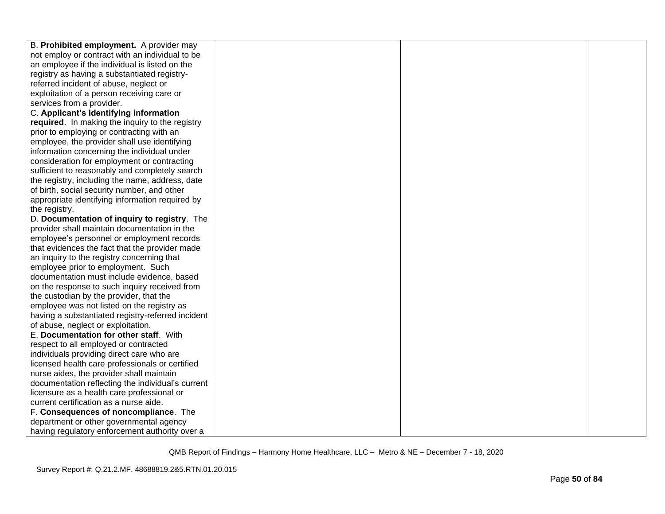| B. Prohibited employment. A provider may          |  |  |
|---------------------------------------------------|--|--|
| not employ or contract with an individual to be   |  |  |
| an employee if the individual is listed on the    |  |  |
| registry as having a substantiated registry-      |  |  |
| referred incident of abuse, neglect or            |  |  |
| exploitation of a person receiving care or        |  |  |
| services from a provider.                         |  |  |
| C. Applicant's identifying information            |  |  |
| required. In making the inquiry to the registry   |  |  |
| prior to employing or contracting with an         |  |  |
| employee, the provider shall use identifying      |  |  |
| information concerning the individual under       |  |  |
| consideration for employment or contracting       |  |  |
| sufficient to reasonably and completely search    |  |  |
| the registry, including the name, address, date   |  |  |
| of birth, social security number, and other       |  |  |
| appropriate identifying information required by   |  |  |
| the registry.                                     |  |  |
| D. Documentation of inquiry to registry. The      |  |  |
| provider shall maintain documentation in the      |  |  |
| employee's personnel or employment records        |  |  |
| that evidences the fact that the provider made    |  |  |
| an inquiry to the registry concerning that        |  |  |
| employee prior to employment. Such                |  |  |
| documentation must include evidence, based        |  |  |
| on the response to such inquiry received from     |  |  |
| the custodian by the provider, that the           |  |  |
| employee was not listed on the registry as        |  |  |
| having a substantiated registry-referred incident |  |  |
| of abuse, neglect or exploitation.                |  |  |
| E. Documentation for other staff. With            |  |  |
| respect to all employed or contracted             |  |  |
| individuals providing direct care who are         |  |  |
| licensed health care professionals or certified   |  |  |
| nurse aides, the provider shall maintain          |  |  |
| documentation reflecting the individual's current |  |  |
| licensure as a health care professional or        |  |  |
| current certification as a nurse aide.            |  |  |
| F. Consequences of noncompliance. The             |  |  |
| department or other governmental agency           |  |  |
| having regulatory enforcement authority over a    |  |  |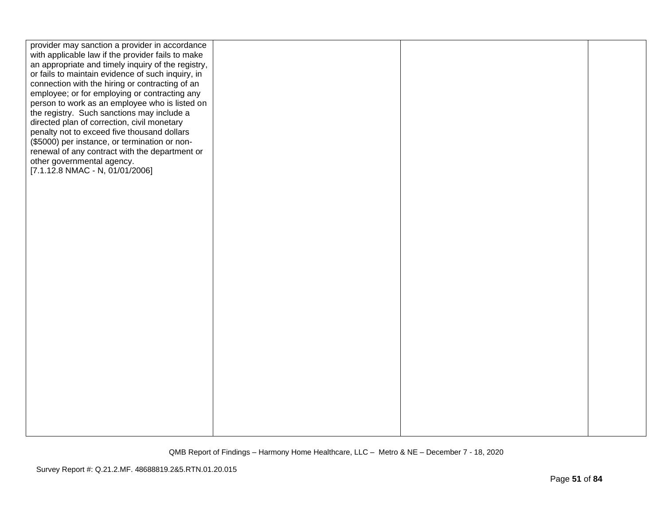| provider may sanction a provider in accordance                                                          |  |  |
|---------------------------------------------------------------------------------------------------------|--|--|
| with applicable law if the provider fails to make<br>an appropriate and timely inquiry of the registry, |  |  |
| or fails to maintain evidence of such inquiry, in                                                       |  |  |
| connection with the hiring or contracting of an                                                         |  |  |
| employee; or for employing or contracting any                                                           |  |  |
| person to work as an employee who is listed on                                                          |  |  |
| the registry. Such sanctions may include a                                                              |  |  |
| directed plan of correction, civil monetary                                                             |  |  |
| penalty not to exceed five thousand dollars                                                             |  |  |
| (\$5000) per instance, or termination or non-<br>renewal of any contract with the department or         |  |  |
| other governmental agency.                                                                              |  |  |
| $[7.1.12.8 NMAC - N, 01/01/2006]$                                                                       |  |  |
|                                                                                                         |  |  |
|                                                                                                         |  |  |
|                                                                                                         |  |  |
|                                                                                                         |  |  |
|                                                                                                         |  |  |
|                                                                                                         |  |  |
|                                                                                                         |  |  |
|                                                                                                         |  |  |
|                                                                                                         |  |  |
|                                                                                                         |  |  |
|                                                                                                         |  |  |
|                                                                                                         |  |  |
|                                                                                                         |  |  |
|                                                                                                         |  |  |
|                                                                                                         |  |  |
|                                                                                                         |  |  |
|                                                                                                         |  |  |
|                                                                                                         |  |  |
|                                                                                                         |  |  |
|                                                                                                         |  |  |
|                                                                                                         |  |  |
|                                                                                                         |  |  |
|                                                                                                         |  |  |
|                                                                                                         |  |  |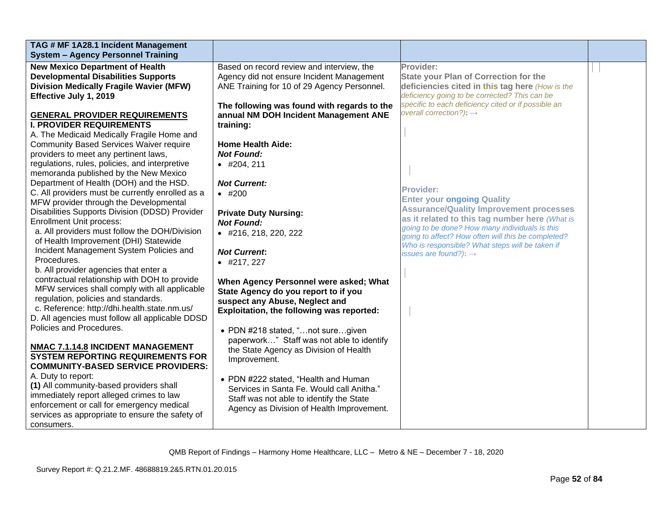| TAG # MF 1A28.1 Incident Management              |                                             |                                                                                            |  |
|--------------------------------------------------|---------------------------------------------|--------------------------------------------------------------------------------------------|--|
| <b>System - Agency Personnel Training</b>        |                                             |                                                                                            |  |
| <b>New Mexico Department of Health</b>           | Based on record review and interview, the   | Provider:                                                                                  |  |
| <b>Developmental Disabilities Supports</b>       | Agency did not ensure Incident Management   | <b>State your Plan of Correction for the</b>                                               |  |
| <b>Division Medically Fragile Wavier (MFW)</b>   | ANE Training for 10 of 29 Agency Personnel. | deficiencies cited in this tag here (How is the                                            |  |
| Effective July 1, 2019                           |                                             | deficiency going to be corrected? This can be                                              |  |
|                                                  | The following was found with regards to the | specific to each deficiency cited or if possible an<br>overall correction?): $\rightarrow$ |  |
| <b>GENERAL PROVIDER REQUIREMENTS</b>             | annual NM DOH Incident Management ANE       |                                                                                            |  |
| <b>I. PROVIDER REQUIREMENTS</b>                  | training:                                   |                                                                                            |  |
| A. The Medicaid Medically Fragile Home and       |                                             |                                                                                            |  |
| <b>Community Based Services Waiver require</b>   | <b>Home Health Aide:</b>                    |                                                                                            |  |
| providers to meet any pertinent laws,            | <b>Not Found:</b>                           |                                                                                            |  |
| regulations, rules, policies, and interpretive   | $\bullet$ #204, 211                         |                                                                                            |  |
| memoranda published by the New Mexico            |                                             |                                                                                            |  |
| Department of Health (DOH) and the HSD.          | <b>Not Current:</b>                         | <b>Provider:</b>                                                                           |  |
| C. All providers must be currently enrolled as a | $•$ #200                                    |                                                                                            |  |
| MFW provider through the Developmental           |                                             | <b>Enter your ongoing Quality</b><br><b>Assurance/Quality Improvement processes</b>        |  |
| Disabilities Supports Division (DDSD) Provider   | <b>Private Duty Nursing:</b>                | as it related to this tag number here (What is                                             |  |
| <b>Enrollment Unit process:</b>                  | <b>Not Found:</b>                           | going to be done? How many individuals is this                                             |  |
| a. All providers must follow the DOH/Division    | • #216, 218, 220, 222                       | going to affect? How often will this be completed?                                         |  |
| of Health Improvement (DHI) Statewide            |                                             | Who is responsible? What steps will be taken if                                            |  |
| Incident Management System Policies and          | <b>Not Current:</b>                         | issues are found?): $\rightarrow$                                                          |  |
| Procedures.                                      | $\bullet$ #217, 227                         |                                                                                            |  |
| b. All provider agencies that enter a            |                                             |                                                                                            |  |
| contractual relationship with DOH to provide     | When Agency Personnel were asked; What      |                                                                                            |  |
| MFW services shall comply with all applicable    | State Agency do you report to if you        |                                                                                            |  |
| regulation, policies and standards.              | suspect any Abuse, Neglect and              |                                                                                            |  |
| c. Reference: http://dhi.health.state.nm.us/     | Exploitation, the following was reported:   |                                                                                            |  |
| D. All agencies must follow all applicable DDSD  |                                             |                                                                                            |  |
| Policies and Procedures.                         | • PDN #218 stated, "not suregiven           |                                                                                            |  |
|                                                  | paperwork" Staff was not able to identify   |                                                                                            |  |
| NMAC 7.1.14.8 INCIDENT MANAGEMENT                | the State Agency as Division of Health      |                                                                                            |  |
| <b>SYSTEM REPORTING REQUIREMENTS FOR</b>         | Improvement.                                |                                                                                            |  |
| <b>COMMUNITY-BASED SERVICE PROVIDERS:</b>        |                                             |                                                                                            |  |
| A. Duty to report:                               | • PDN #222 stated, "Health and Human        |                                                                                            |  |
| (1) All community-based providers shall          | Services in Santa Fe. Would call Anitha."   |                                                                                            |  |
| immediately report alleged crimes to law         | Staff was not able to identify the State    |                                                                                            |  |
| enforcement or call for emergency medical        | Agency as Division of Health Improvement.   |                                                                                            |  |
| services as appropriate to ensure the safety of  |                                             |                                                                                            |  |
| consumers.                                       |                                             |                                                                                            |  |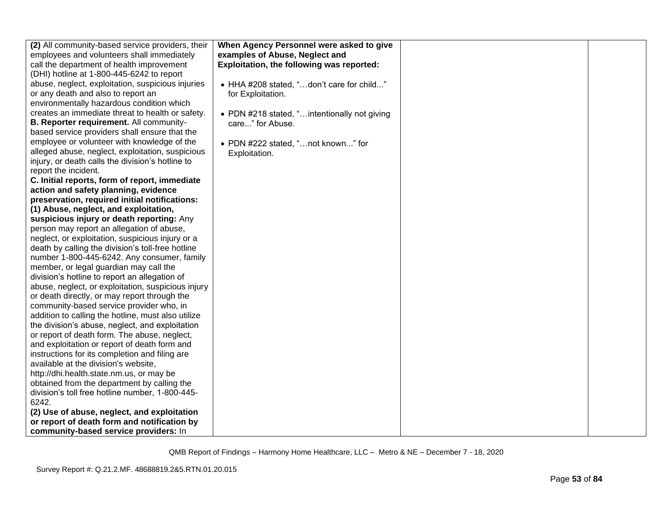| (2) All community-based service providers, their                                        | When Agency Personnel were asked to give     |  |
|-----------------------------------------------------------------------------------------|----------------------------------------------|--|
| employees and volunteers shall immediately                                              | examples of Abuse, Neglect and               |  |
| call the department of health improvement                                               | Exploitation, the following was reported:    |  |
| (DHI) hotline at 1-800-445-6242 to report                                               |                                              |  |
| abuse, neglect, exploitation, suspicious injuries                                       | • HHA #208 stated, "don't care for child"    |  |
| or any death and also to report an                                                      | for Exploitation.                            |  |
| environmentally hazardous condition which                                               |                                              |  |
| creates an immediate threat to health or safety.                                        | • PDN #218 stated, "intentionally not giving |  |
| B. Reporter requirement. All community-                                                 | care" for Abuse.                             |  |
| based service providers shall ensure that the                                           |                                              |  |
| employee or volunteer with knowledge of the                                             | • PDN #222 stated, "not known" for           |  |
| alleged abuse, neglect, exploitation, suspicious                                        | Exploitation.                                |  |
| injury, or death calls the division's hotline to                                        |                                              |  |
| report the incident.                                                                    |                                              |  |
| C. Initial reports, form of report, immediate                                           |                                              |  |
| action and safety planning, evidence                                                    |                                              |  |
| preservation, required initial notifications:                                           |                                              |  |
| (1) Abuse, neglect, and exploitation,                                                   |                                              |  |
| suspicious injury or death reporting: Any                                               |                                              |  |
| person may report an allegation of abuse,                                               |                                              |  |
| neglect, or exploitation, suspicious injury or a                                        |                                              |  |
| death by calling the division's toll-free hotline                                       |                                              |  |
| number 1-800-445-6242. Any consumer, family                                             |                                              |  |
| member, or legal guardian may call the                                                  |                                              |  |
| division's hotline to report an allegation of                                           |                                              |  |
| abuse, neglect, or exploitation, suspicious injury                                      |                                              |  |
| or death directly, or may report through the                                            |                                              |  |
| community-based service provider who, in                                                |                                              |  |
| addition to calling the hotline, must also utilize                                      |                                              |  |
| the division's abuse, neglect, and exploitation                                         |                                              |  |
| or report of death form. The abuse, neglect,                                            |                                              |  |
| and exploitation or report of death form and                                            |                                              |  |
| instructions for its completion and filing are<br>available at the division's website,  |                                              |  |
|                                                                                         |                                              |  |
| http://dhi.health.state.nm.us, or may be<br>obtained from the department by calling the |                                              |  |
| division's toll free hotline number, 1-800-445-                                         |                                              |  |
| 6242.                                                                                   |                                              |  |
| (2) Use of abuse, neglect, and exploitation                                             |                                              |  |
| or report of death form and notification by                                             |                                              |  |
| community-based service providers: In                                                   |                                              |  |
|                                                                                         |                                              |  |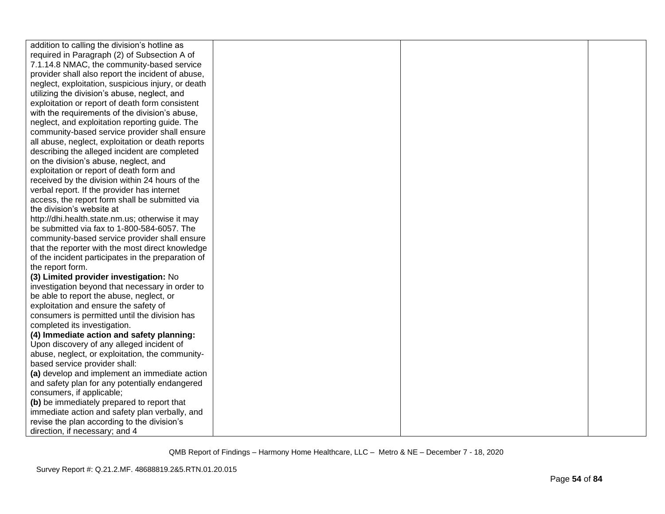| addition to calling the division's hotline as      |  |  |
|----------------------------------------------------|--|--|
| required in Paragraph (2) of Subsection A of       |  |  |
| 7.1.14.8 NMAC, the community-based service         |  |  |
| provider shall also report the incident of abuse,  |  |  |
| neglect, exploitation, suspicious injury, or death |  |  |
| utilizing the division's abuse, neglect, and       |  |  |
| exploitation or report of death form consistent    |  |  |
| with the requirements of the division's abuse,     |  |  |
| neglect, and exploitation reporting guide. The     |  |  |
| community-based service provider shall ensure      |  |  |
| all abuse, neglect, exploitation or death reports  |  |  |
| describing the alleged incident are completed      |  |  |
| on the division's abuse, neglect, and              |  |  |
| exploitation or report of death form and           |  |  |
| received by the division within 24 hours of the    |  |  |
| verbal report. If the provider has internet        |  |  |
| access, the report form shall be submitted via     |  |  |
| the division's website at                          |  |  |
| http://dhi.health.state.nm.us; otherwise it may    |  |  |
| be submitted via fax to 1-800-584-6057. The        |  |  |
| community-based service provider shall ensure      |  |  |
| that the reporter with the most direct knowledge   |  |  |
| of the incident participates in the preparation of |  |  |
| the report form.                                   |  |  |
| (3) Limited provider investigation: No             |  |  |
| investigation beyond that necessary in order to    |  |  |
| be able to report the abuse, neglect, or           |  |  |
| exploitation and ensure the safety of              |  |  |
| consumers is permitted until the division has      |  |  |
| completed its investigation.                       |  |  |
| (4) Immediate action and safety planning:          |  |  |
| Upon discovery of any alleged incident of          |  |  |
| abuse, neglect, or exploitation, the community-    |  |  |
| based service provider shall:                      |  |  |
| (a) develop and implement an immediate action      |  |  |
| and safety plan for any potentially endangered     |  |  |
| consumers, if applicable;                          |  |  |
| (b) be immediately prepared to report that         |  |  |
| immediate action and safety plan verbally, and     |  |  |
| revise the plan according to the division's        |  |  |
| direction, if necessary; and 4                     |  |  |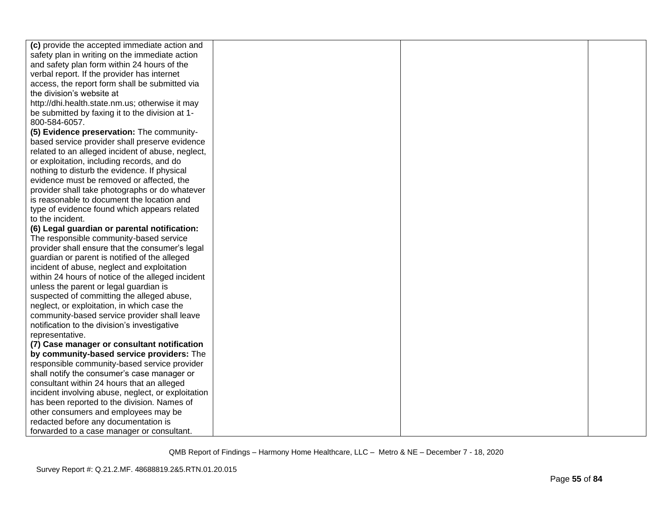| (c) provide the accepted immediate action and      |  |  |
|----------------------------------------------------|--|--|
| safety plan in writing on the immediate action     |  |  |
| and safety plan form within 24 hours of the        |  |  |
| verbal report. If the provider has internet        |  |  |
| access, the report form shall be submitted via     |  |  |
| the division's website at                          |  |  |
| http://dhi.health.state.nm.us; otherwise it may    |  |  |
| be submitted by faxing it to the division at 1-    |  |  |
| 800-584-6057.                                      |  |  |
| (5) Evidence preservation: The community-          |  |  |
| based service provider shall preserve evidence     |  |  |
| related to an alleged incident of abuse, neglect,  |  |  |
| or exploitation, including records, and do         |  |  |
| nothing to disturb the evidence. If physical       |  |  |
| evidence must be removed or affected, the          |  |  |
| provider shall take photographs or do whatever     |  |  |
| is reasonable to document the location and         |  |  |
| type of evidence found which appears related       |  |  |
| to the incident.                                   |  |  |
| (6) Legal guardian or parental notification:       |  |  |
| The responsible community-based service            |  |  |
| provider shall ensure that the consumer's legal    |  |  |
| guardian or parent is notified of the alleged      |  |  |
| incident of abuse, neglect and exploitation        |  |  |
| within 24 hours of notice of the alleged incident  |  |  |
| unless the parent or legal guardian is             |  |  |
| suspected of committing the alleged abuse,         |  |  |
| neglect, or exploitation, in which case the        |  |  |
| community-based service provider shall leave       |  |  |
| notification to the division's investigative       |  |  |
| representative.                                    |  |  |
| (7) Case manager or consultant notification        |  |  |
| by community-based service providers: The          |  |  |
| responsible community-based service provider       |  |  |
| shall notify the consumer's case manager or        |  |  |
| consultant within 24 hours that an alleged         |  |  |
| incident involving abuse, neglect, or exploitation |  |  |
| has been reported to the division. Names of        |  |  |
| other consumers and employees may be               |  |  |
| redacted before any documentation is               |  |  |
| forwarded to a case manager or consultant.         |  |  |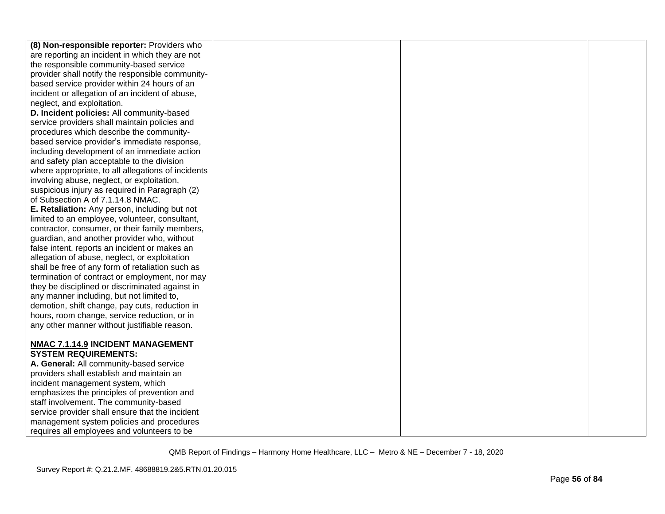| (8) Non-responsible reporter: Providers who                                                  |  |  |
|----------------------------------------------------------------------------------------------|--|--|
| are reporting an incident in which they are not                                              |  |  |
| the responsible community-based service                                                      |  |  |
| provider shall notify the responsible community-                                             |  |  |
| based service provider within 24 hours of an                                                 |  |  |
| incident or allegation of an incident of abuse,                                              |  |  |
| neglect, and exploitation.                                                                   |  |  |
| D. Incident policies: All community-based                                                    |  |  |
| service providers shall maintain policies and                                                |  |  |
| procedures which describe the community-                                                     |  |  |
|                                                                                              |  |  |
| based service provider's immediate response,<br>including development of an immediate action |  |  |
|                                                                                              |  |  |
| and safety plan acceptable to the division                                                   |  |  |
| where appropriate, to all allegations of incidents                                           |  |  |
| involving abuse, neglect, or exploitation,                                                   |  |  |
| suspicious injury as required in Paragraph (2)                                               |  |  |
| of Subsection A of 7.1.14.8 NMAC.                                                            |  |  |
| E. Retaliation: Any person, including but not                                                |  |  |
| limited to an employee, volunteer, consultant,                                               |  |  |
| contractor, consumer, or their family members,                                               |  |  |
| guardian, and another provider who, without                                                  |  |  |
| false intent, reports an incident or makes an                                                |  |  |
| allegation of abuse, neglect, or exploitation                                                |  |  |
| shall be free of any form of retaliation such as                                             |  |  |
| termination of contract or employment, nor may                                               |  |  |
| they be disciplined or discriminated against in                                              |  |  |
| any manner including, but not limited to,                                                    |  |  |
| demotion, shift change, pay cuts, reduction in                                               |  |  |
| hours, room change, service reduction, or in                                                 |  |  |
| any other manner without justifiable reason.                                                 |  |  |
|                                                                                              |  |  |
| NMAC 7.1.14.9 INCIDENT MANAGEMENT                                                            |  |  |
| <b>SYSTEM REQUIREMENTS:</b>                                                                  |  |  |
| A. General: All community-based service                                                      |  |  |
| providers shall establish and maintain an                                                    |  |  |
| incident management system, which                                                            |  |  |
| emphasizes the principles of prevention and                                                  |  |  |
| staff involvement. The community-based                                                       |  |  |
| service provider shall ensure that the incident                                              |  |  |
| management system policies and procedures                                                    |  |  |
| requires all employees and volunteers to be                                                  |  |  |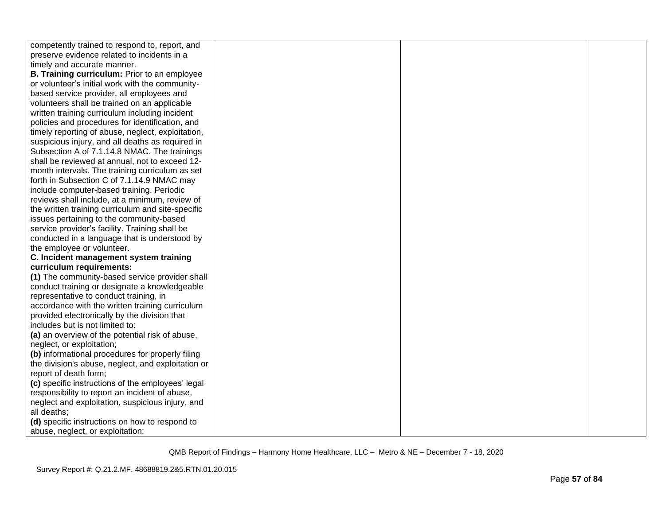| competently trained to respond to, report, and      |  |  |
|-----------------------------------------------------|--|--|
| preserve evidence related to incidents in a         |  |  |
| timely and accurate manner.                         |  |  |
| <b>B. Training curriculum: Prior to an employee</b> |  |  |
| or volunteer's initial work with the community-     |  |  |
| based service provider, all employees and           |  |  |
| volunteers shall be trained on an applicable        |  |  |
| written training curriculum including incident      |  |  |
| policies and procedures for identification, and     |  |  |
| timely reporting of abuse, neglect, exploitation,   |  |  |
| suspicious injury, and all deaths as required in    |  |  |
| Subsection A of 7.1.14.8 NMAC. The trainings        |  |  |
| shall be reviewed at annual, not to exceed 12-      |  |  |
| month intervals. The training curriculum as set     |  |  |
| forth in Subsection C of 7.1.14.9 NMAC may          |  |  |
| include computer-based training. Periodic           |  |  |
| reviews shall include, at a minimum, review of      |  |  |
| the written training curriculum and site-specific   |  |  |
| issues pertaining to the community-based            |  |  |
| service provider's facility. Training shall be      |  |  |
| conducted in a language that is understood by       |  |  |
| the employee or volunteer.                          |  |  |
| C. Incident management system training              |  |  |
| curriculum requirements:                            |  |  |
| (1) The community-based service provider shall      |  |  |
| conduct training or designate a knowledgeable       |  |  |
| representative to conduct training, in              |  |  |
| accordance with the written training curriculum     |  |  |
| provided electronically by the division that        |  |  |
| includes but is not limited to:                     |  |  |
| (a) an overview of the potential risk of abuse,     |  |  |
| neglect, or exploitation;                           |  |  |
| (b) informational procedures for properly filing    |  |  |
| the division's abuse, neglect, and exploitation or  |  |  |
| report of death form;                               |  |  |
| (c) specific instructions of the employees' legal   |  |  |
| responsibility to report an incident of abuse,      |  |  |
| neglect and exploitation, suspicious injury, and    |  |  |
| all deaths:                                         |  |  |
| (d) specific instructions on how to respond to      |  |  |
| abuse, neglect, or exploitation;                    |  |  |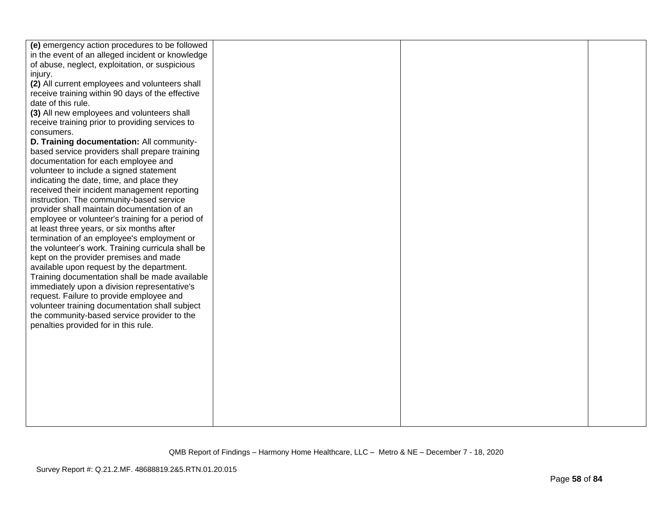| (e) emergency action procedures to be followed                                      |  |  |
|-------------------------------------------------------------------------------------|--|--|
| in the event of an alleged incident or knowledge                                    |  |  |
| of abuse, neglect, exploitation, or suspicious                                      |  |  |
| injury.                                                                             |  |  |
| (2) All current employees and volunteers shall                                      |  |  |
| receive training within 90 days of the effective                                    |  |  |
| date of this rule.                                                                  |  |  |
| (3) All new employees and volunteers shall                                          |  |  |
| receive training prior to providing services to                                     |  |  |
| consumers.                                                                          |  |  |
| D. Training documentation: All community-                                           |  |  |
| based service providers shall prepare training                                      |  |  |
| documentation for each employee and                                                 |  |  |
| volunteer to include a signed statement                                             |  |  |
| indicating the date, time, and place they                                           |  |  |
| received their incident management reporting                                        |  |  |
| instruction. The community-based service                                            |  |  |
| provider shall maintain documentation of an                                         |  |  |
| employee or volunteer's training for a period of                                    |  |  |
| at least three years, or six months after                                           |  |  |
| termination of an employee's employment or                                          |  |  |
| the volunteer's work. Training curricula shall be                                   |  |  |
| kept on the provider premises and made                                              |  |  |
| available upon request by the department.                                           |  |  |
| Training documentation shall be made available                                      |  |  |
| immediately upon a division representative's                                        |  |  |
| request. Failure to provide employee and                                            |  |  |
| volunteer training documentation shall subject                                      |  |  |
| the community-based service provider to the<br>penalties provided for in this rule. |  |  |
|                                                                                     |  |  |
|                                                                                     |  |  |
|                                                                                     |  |  |
|                                                                                     |  |  |
|                                                                                     |  |  |
|                                                                                     |  |  |
|                                                                                     |  |  |
|                                                                                     |  |  |
|                                                                                     |  |  |
|                                                                                     |  |  |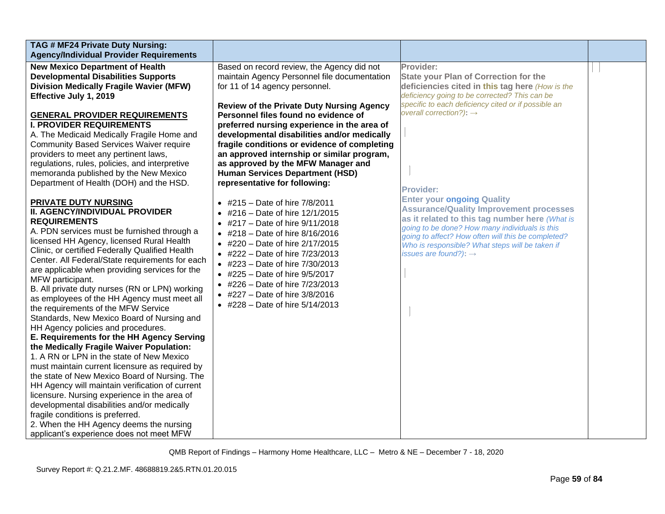| TAG # MF24 Private Duty Nursing:<br><b>Agency/Individual Provider Requirements</b>                                                                                                                                                                                                                                                                                                                                                                                                                                                                                                                                                                                                                                                                                                                                                                                                                                                                                                                                                                                                                                                                                                                                                                                                                                                                                                                                                                                                                                                                                                                                                    |                                                                                                                                                                                                                                                                                                                                                                                                                                                                                                                                                                                                                                                                                                                                                                                                                                                                                                                                                           |                                                                                                                                                                                                                                                                                                                                                                                                                                                                                                                                                                                                                          |  |
|---------------------------------------------------------------------------------------------------------------------------------------------------------------------------------------------------------------------------------------------------------------------------------------------------------------------------------------------------------------------------------------------------------------------------------------------------------------------------------------------------------------------------------------------------------------------------------------------------------------------------------------------------------------------------------------------------------------------------------------------------------------------------------------------------------------------------------------------------------------------------------------------------------------------------------------------------------------------------------------------------------------------------------------------------------------------------------------------------------------------------------------------------------------------------------------------------------------------------------------------------------------------------------------------------------------------------------------------------------------------------------------------------------------------------------------------------------------------------------------------------------------------------------------------------------------------------------------------------------------------------------------|-----------------------------------------------------------------------------------------------------------------------------------------------------------------------------------------------------------------------------------------------------------------------------------------------------------------------------------------------------------------------------------------------------------------------------------------------------------------------------------------------------------------------------------------------------------------------------------------------------------------------------------------------------------------------------------------------------------------------------------------------------------------------------------------------------------------------------------------------------------------------------------------------------------------------------------------------------------|--------------------------------------------------------------------------------------------------------------------------------------------------------------------------------------------------------------------------------------------------------------------------------------------------------------------------------------------------------------------------------------------------------------------------------------------------------------------------------------------------------------------------------------------------------------------------------------------------------------------------|--|
| <b>New Mexico Department of Health</b><br><b>Developmental Disabilities Supports</b><br><b>Division Medically Fragile Wavier (MFW)</b><br>Effective July 1, 2019<br><b>GENERAL PROVIDER REQUIREMENTS</b><br><b>I. PROVIDER REQUIREMENTS</b><br>A. The Medicaid Medically Fragile Home and<br><b>Community Based Services Waiver require</b><br>providers to meet any pertinent laws,<br>regulations, rules, policies, and interpretive<br>memoranda published by the New Mexico<br>Department of Health (DOH) and the HSD.<br>PRIVATE DUTY NURSING<br>II. AGENCY/INDIVIDUAL PROVIDER<br><b>REQUIREMENTS</b><br>A. PDN services must be furnished through a<br>licensed HH Agency, licensed Rural Health<br>Clinic, or certified Federally Qualified Health<br>Center. All Federal/State requirements for each<br>are applicable when providing services for the<br>MFW participant.<br>B. All private duty nurses (RN or LPN) working<br>as employees of the HH Agency must meet all<br>the requirements of the MFW Service<br>Standards, New Mexico Board of Nursing and<br>HH Agency policies and procedures.<br>E. Requirements for the HH Agency Serving<br>the Medically Fragile Waiver Population:<br>1. A RN or LPN in the state of New Mexico<br>must maintain current licensure as required by<br>the state of New Mexico Board of Nursing. The<br>HH Agency will maintain verification of current<br>licensure. Nursing experience in the area of<br>developmental disabilities and/or medically<br>fragile conditions is preferred.<br>2. When the HH Agency deems the nursing<br>applicant's experience does not meet MFW | Based on record review, the Agency did not<br>maintain Agency Personnel file documentation<br>for 11 of 14 agency personnel.<br><b>Review of the Private Duty Nursing Agency</b><br>Personnel files found no evidence of<br>preferred nursing experience in the area of<br>developmental disabilities and/or medically<br>fragile conditions or evidence of completing<br>an approved internship or similar program,<br>as approved by the MFW Manager and<br><b>Human Services Department (HSD)</b><br>representative for following:<br>• #215 - Date of hire $7/8/2011$<br>• #216 - Date of hire $12/1/2015$<br>• #217 – Date of hire $9/11/2018$<br>• #218 – Date of hire $8/16/2016$<br>• #220 – Date of hire $2/17/2015$<br>• #222 – Date of hire $7/23/2013$<br>• #223 – Date of hire $7/30/2013$<br>• #225 – Date of hire $9/5/2017$<br>• #226 – Date of hire $7/23/2013$<br>• #227 – Date of hire $3/8/2016$<br>• #228 – Date of hire $5/14/2013$ | Provider:<br><b>State your Plan of Correction for the</b><br>deficiencies cited in this tag here (How is the<br>deficiency going to be corrected? This can be<br>specific to each deficiency cited or if possible an<br>overall correction?): $\rightarrow$<br><b>Provider:</b><br><b>Enter your ongoing Quality</b><br><b>Assurance/Quality Improvement processes</b><br>as it related to this tag number here (What is<br>going to be done? How many individuals is this<br>going to affect? How often will this be completed?<br>Who is responsible? What steps will be taken if<br>issues are found?): $\rightarrow$ |  |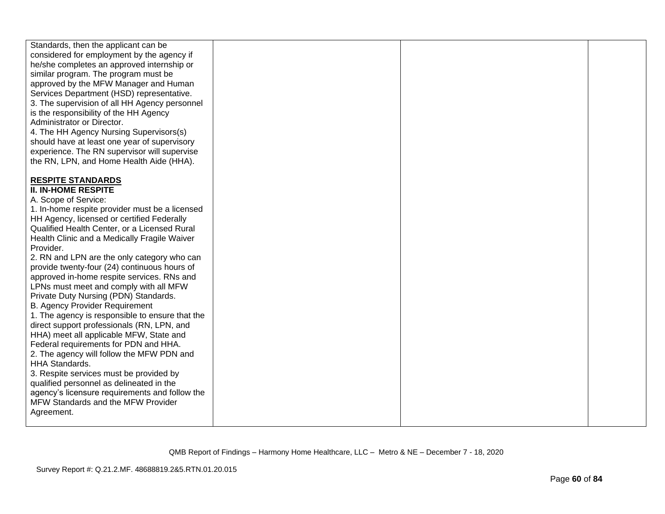| Standards, then the applicant can be            |  |  |
|-------------------------------------------------|--|--|
| considered for employment by the agency if      |  |  |
|                                                 |  |  |
| he/she completes an approved internship or      |  |  |
| similar program. The program must be            |  |  |
| approved by the MFW Manager and Human           |  |  |
| Services Department (HSD) representative.       |  |  |
| 3. The supervision of all HH Agency personnel   |  |  |
|                                                 |  |  |
| is the responsibility of the HH Agency          |  |  |
| Administrator or Director.                      |  |  |
| 4. The HH Agency Nursing Supervisors(s)         |  |  |
| should have at least one year of supervisory    |  |  |
| experience. The RN supervisor will supervise    |  |  |
| the RN, LPN, and Home Health Aide (HHA).        |  |  |
|                                                 |  |  |
|                                                 |  |  |
| <b>RESPITE STANDARDS</b>                        |  |  |
| <b>II. IN-HOME RESPITE</b>                      |  |  |
| A. Scope of Service:                            |  |  |
| 1. In-home respite provider must be a licensed  |  |  |
| HH Agency, licensed or certified Federally      |  |  |
|                                                 |  |  |
| Qualified Health Center, or a Licensed Rural    |  |  |
| Health Clinic and a Medically Fragile Waiver    |  |  |
| Provider.                                       |  |  |
| 2. RN and LPN are the only category who can     |  |  |
| provide twenty-four (24) continuous hours of    |  |  |
| approved in-home respite services. RNs and      |  |  |
|                                                 |  |  |
| LPNs must meet and comply with all MFW          |  |  |
| Private Duty Nursing (PDN) Standards.           |  |  |
| <b>B. Agency Provider Requirement</b>           |  |  |
| 1. The agency is responsible to ensure that the |  |  |
| direct support professionals (RN, LPN, and      |  |  |
| HHA) meet all applicable MFW, State and         |  |  |
|                                                 |  |  |
| Federal requirements for PDN and HHA.           |  |  |
| 2. The agency will follow the MFW PDN and       |  |  |
| <b>HHA Standards.</b>                           |  |  |
| 3. Respite services must be provided by         |  |  |
| qualified personnel as delineated in the        |  |  |
|                                                 |  |  |
| agency's licensure requirements and follow the  |  |  |
| MFW Standards and the MFW Provider              |  |  |
| Agreement.                                      |  |  |
|                                                 |  |  |
|                                                 |  |  |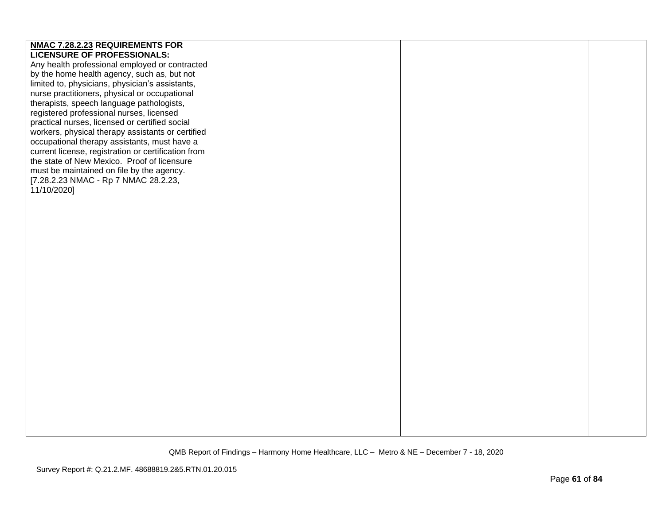| <b>NMAC 7.28.2.23 REQUIREMENTS FOR</b>              |  |  |
|-----------------------------------------------------|--|--|
|                                                     |  |  |
| <b>LICENSURE OF PROFESSIONALS:</b>                  |  |  |
| Any health professional employed or contracted      |  |  |
| by the home health agency, such as, but not         |  |  |
| limited to, physicians, physician's assistants,     |  |  |
| nurse practitioners, physical or occupational       |  |  |
| therapists, speech language pathologists,           |  |  |
| registered professional nurses, licensed            |  |  |
| practical nurses, licensed or certified social      |  |  |
|                                                     |  |  |
| workers, physical therapy assistants or certified   |  |  |
| occupational therapy assistants, must have a        |  |  |
| current license, registration or certification from |  |  |
| the state of New Mexico. Proof of licensure         |  |  |
| must be maintained on file by the agency.           |  |  |
| [7.28.2.23 NMAC - Rp 7 NMAC 28.2.23,                |  |  |
| 11/10/2020]                                         |  |  |
|                                                     |  |  |
|                                                     |  |  |
|                                                     |  |  |
|                                                     |  |  |
|                                                     |  |  |
|                                                     |  |  |
|                                                     |  |  |
|                                                     |  |  |
|                                                     |  |  |
|                                                     |  |  |
|                                                     |  |  |
|                                                     |  |  |
|                                                     |  |  |
|                                                     |  |  |
|                                                     |  |  |
|                                                     |  |  |
|                                                     |  |  |
|                                                     |  |  |
|                                                     |  |  |
|                                                     |  |  |
|                                                     |  |  |
|                                                     |  |  |
|                                                     |  |  |
|                                                     |  |  |
|                                                     |  |  |
|                                                     |  |  |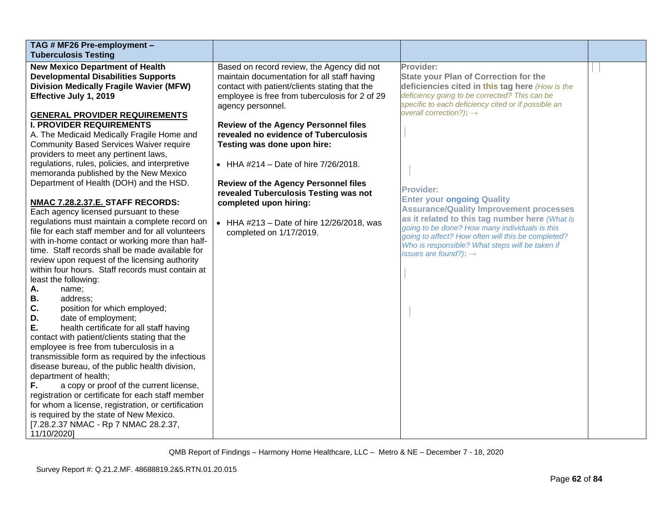| TAG # MF26 Pre-employment -                                                                         |                                                |                                                     |  |
|-----------------------------------------------------------------------------------------------------|------------------------------------------------|-----------------------------------------------------|--|
| <b>Tuberculosis Testing</b>                                                                         |                                                |                                                     |  |
| <b>New Mexico Department of Health</b>                                                              | Based on record review, the Agency did not     | Provider:                                           |  |
| <b>Developmental Disabilities Supports</b>                                                          | maintain documentation for all staff having    | <b>State your Plan of Correction for the</b>        |  |
| <b>Division Medically Fragile Wavier (MFW)</b>                                                      | contact with patient/clients stating that the  | deficiencies cited in this tag here (How is the     |  |
| Effective July 1, 2019                                                                              | employee is free from tuberculosis for 2 of 29 | deficiency going to be corrected? This can be       |  |
|                                                                                                     | agency personnel.                              | specific to each deficiency cited or if possible an |  |
| <b>GENERAL PROVIDER REQUIREMENTS</b>                                                                |                                                | overall correction?): $\rightarrow$                 |  |
| <b>I. PROVIDER REQUIREMENTS</b>                                                                     | <b>Review of the Agency Personnel files</b>    |                                                     |  |
| A. The Medicaid Medically Fragile Home and                                                          | revealed no evidence of Tuberculosis           |                                                     |  |
| <b>Community Based Services Waiver require</b>                                                      | Testing was done upon hire:                    |                                                     |  |
| providers to meet any pertinent laws,                                                               |                                                |                                                     |  |
| regulations, rules, policies, and interpretive                                                      | • HHA #214 - Date of hire $7/26/2018$ .        |                                                     |  |
| memoranda published by the New Mexico                                                               |                                                |                                                     |  |
| Department of Health (DOH) and the HSD.                                                             | Review of the Agency Personnel files           | <b>Provider:</b>                                    |  |
|                                                                                                     | revealed Tuberculosis Testing was not          | <b>Enter your ongoing Quality</b>                   |  |
| NMAC 7.28.2.37.E. STAFF RECORDS:                                                                    | completed upon hiring:                         | <b>Assurance/Quality Improvement processes</b>      |  |
| Each agency licensed pursuant to these                                                              |                                                | as it related to this tag number here (What is      |  |
| regulations must maintain a complete record on<br>file for each staff member and for all volunteers | • HHA #213 - Date of hire $12/26/2018$ , was   | going to be done? How many individuals is this      |  |
| with in-home contact or working more than half-                                                     | completed on 1/17/2019.                        | going to affect? How often will this be completed?  |  |
| time. Staff records shall be made available for                                                     |                                                | Who is responsible? What steps will be taken if     |  |
| review upon request of the licensing authority                                                      |                                                | issues are found?): $\rightarrow$                   |  |
| within four hours. Staff records must contain at                                                    |                                                |                                                     |  |
| least the following:                                                                                |                                                |                                                     |  |
| Α.<br>name;                                                                                         |                                                |                                                     |  |
| В.<br>address:                                                                                      |                                                |                                                     |  |
| C.<br>position for which employed;                                                                  |                                                |                                                     |  |
| date of employment;<br>D.                                                                           |                                                |                                                     |  |
| Ε.<br>health certificate for all staff having                                                       |                                                |                                                     |  |
| contact with patient/clients stating that the                                                       |                                                |                                                     |  |
| employee is free from tuberculosis in a                                                             |                                                |                                                     |  |
| transmissible form as required by the infectious                                                    |                                                |                                                     |  |
| disease bureau, of the public health division,                                                      |                                                |                                                     |  |
| department of health;                                                                               |                                                |                                                     |  |
| F.<br>a copy or proof of the current license,                                                       |                                                |                                                     |  |
| registration or certificate for each staff member                                                   |                                                |                                                     |  |
| for whom a license, registration, or certification                                                  |                                                |                                                     |  |
| is required by the state of New Mexico.                                                             |                                                |                                                     |  |
| [7.28.2.37 NMAC - Rp 7 NMAC 28.2.37,                                                                |                                                |                                                     |  |
| 11/10/2020]                                                                                         |                                                |                                                     |  |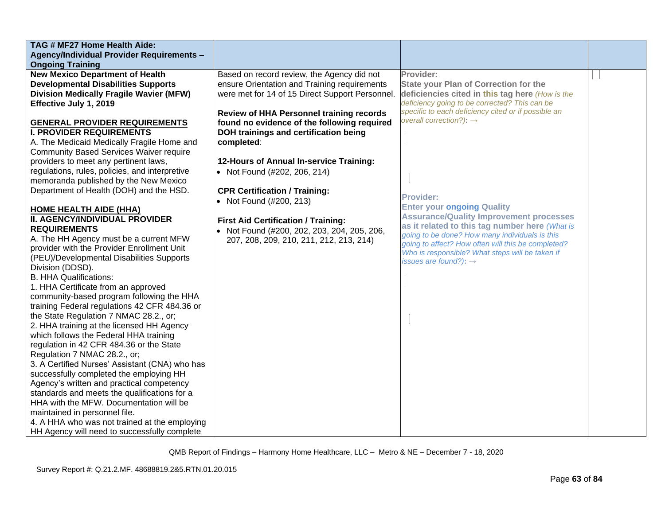| TAG # MF27 Home Health Aide:                     |                                                 |                                                                                                      |  |
|--------------------------------------------------|-------------------------------------------------|------------------------------------------------------------------------------------------------------|--|
| <b>Agency/Individual Provider Requirements -</b> |                                                 |                                                                                                      |  |
| <b>Ongoing Training</b>                          |                                                 |                                                                                                      |  |
| <b>New Mexico Department of Health</b>           | Based on record review, the Agency did not      | Provider:                                                                                            |  |
| <b>Developmental Disabilities Supports</b>       | ensure Orientation and Training requirements    | <b>State your Plan of Correction for the</b>                                                         |  |
| <b>Division Medically Fragile Wavier (MFW)</b>   | were met for 14 of 15 Direct Support Personnel. | deficiencies cited in this tag here (How is the                                                      |  |
| Effective July 1, 2019                           |                                                 | deficiency going to be corrected? This can be                                                        |  |
|                                                  | Review of HHA Personnel training records        | specific to each deficiency cited or if possible an                                                  |  |
| <b>GENERAL PROVIDER REQUIREMENTS</b>             | found no evidence of the following required     | overall correction?): $\rightarrow$                                                                  |  |
| <b>I. PROVIDER REQUIREMENTS</b>                  | DOH trainings and certification being           |                                                                                                      |  |
| A. The Medicaid Medically Fragile Home and       | completed:                                      |                                                                                                      |  |
| <b>Community Based Services Waiver require</b>   |                                                 |                                                                                                      |  |
| providers to meet any pertinent laws,            | 12-Hours of Annual In-service Training:         |                                                                                                      |  |
| regulations, rules, policies, and interpretive   | • Not Found (#202, 206, 214)                    |                                                                                                      |  |
| memoranda published by the New Mexico            |                                                 |                                                                                                      |  |
| Department of Health (DOH) and the HSD.          | <b>CPR Certification / Training:</b>            |                                                                                                      |  |
|                                                  | • Not Found (#200, 213)                         | <b>Provider:</b>                                                                                     |  |
| <b>HOME HEALTH AIDE (HHA)</b>                    |                                                 | <b>Enter your ongoing Quality</b>                                                                    |  |
| II. AGENCY/INDIVIDUAL PROVIDER                   | <b>First Aid Certification / Training:</b>      | <b>Assurance/Quality Improvement processes</b>                                                       |  |
| <b>REQUIREMENTS</b>                              | • Not Found (#200, 202, 203, 204, 205, 206,     | as it related to this tag number here (What is                                                       |  |
| A. The HH Agency must be a current MFW           | 207, 208, 209, 210, 211, 212, 213, 214)         | going to be done? How many individuals is this<br>going to affect? How often will this be completed? |  |
| provider with the Provider Enrollment Unit       |                                                 | Who is responsible? What steps will be taken if                                                      |  |
| (PEU)/Developmental Disabilities Supports        |                                                 | issues are found?): $\rightarrow$                                                                    |  |
| Division (DDSD).                                 |                                                 |                                                                                                      |  |
| <b>B. HHA Qualifications:</b>                    |                                                 |                                                                                                      |  |
| 1. HHA Certificate from an approved              |                                                 |                                                                                                      |  |
| community-based program following the HHA        |                                                 |                                                                                                      |  |
| training Federal regulations 42 CFR 484.36 or    |                                                 |                                                                                                      |  |
| the State Regulation 7 NMAC 28.2., or;           |                                                 |                                                                                                      |  |
| 2. HHA training at the licensed HH Agency        |                                                 |                                                                                                      |  |
| which follows the Federal HHA training           |                                                 |                                                                                                      |  |
| regulation in 42 CFR 484.36 or the State         |                                                 |                                                                                                      |  |
| Regulation 7 NMAC 28.2., or;                     |                                                 |                                                                                                      |  |
| 3. A Certified Nurses' Assistant (CNA) who has   |                                                 |                                                                                                      |  |
| successfully completed the employing HH          |                                                 |                                                                                                      |  |
| Agency's written and practical competency        |                                                 |                                                                                                      |  |
| standards and meets the qualifications for a     |                                                 |                                                                                                      |  |
| HHA with the MFW. Documentation will be          |                                                 |                                                                                                      |  |
| maintained in personnel file.                    |                                                 |                                                                                                      |  |
| 4. A HHA who was not trained at the employing    |                                                 |                                                                                                      |  |
| HH Agency will need to successfully complete     |                                                 |                                                                                                      |  |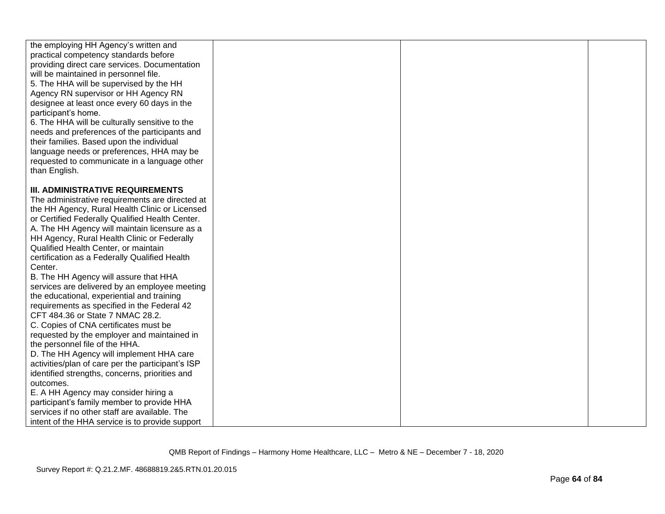| the employing HH Agency's written and<br>practical competency standards before<br>providing direct care services. Documentation<br>will be maintained in personnel file.<br>5. The HHA will be supervised by the HH<br>Agency RN supervisor or HH Agency RN<br>designee at least once every 60 days in the<br>participant's home.<br>6. The HHA will be culturally sensitive to the<br>needs and preferences of the participants and<br>their families. Based upon the individual<br>language needs or preferences, HHA may be<br>requested to communicate in a language other<br>than English. |  |  |
|-------------------------------------------------------------------------------------------------------------------------------------------------------------------------------------------------------------------------------------------------------------------------------------------------------------------------------------------------------------------------------------------------------------------------------------------------------------------------------------------------------------------------------------------------------------------------------------------------|--|--|
| <b>III. ADMINISTRATIVE REQUIREMENTS</b>                                                                                                                                                                                                                                                                                                                                                                                                                                                                                                                                                         |  |  |
| The administrative requirements are directed at<br>the HH Agency, Rural Health Clinic or Licensed                                                                                                                                                                                                                                                                                                                                                                                                                                                                                               |  |  |
| or Certified Federally Qualified Health Center.                                                                                                                                                                                                                                                                                                                                                                                                                                                                                                                                                 |  |  |
| A. The HH Agency will maintain licensure as a                                                                                                                                                                                                                                                                                                                                                                                                                                                                                                                                                   |  |  |
| HH Agency, Rural Health Clinic or Federally                                                                                                                                                                                                                                                                                                                                                                                                                                                                                                                                                     |  |  |
| Qualified Health Center, or maintain                                                                                                                                                                                                                                                                                                                                                                                                                                                                                                                                                            |  |  |
| certification as a Federally Qualified Health                                                                                                                                                                                                                                                                                                                                                                                                                                                                                                                                                   |  |  |
| Center.<br>B. The HH Agency will assure that HHA                                                                                                                                                                                                                                                                                                                                                                                                                                                                                                                                                |  |  |
| services are delivered by an employee meeting                                                                                                                                                                                                                                                                                                                                                                                                                                                                                                                                                   |  |  |
| the educational, experiential and training                                                                                                                                                                                                                                                                                                                                                                                                                                                                                                                                                      |  |  |
| requirements as specified in the Federal 42                                                                                                                                                                                                                                                                                                                                                                                                                                                                                                                                                     |  |  |
| CFT 484.36 or State 7 NMAC 28.2.                                                                                                                                                                                                                                                                                                                                                                                                                                                                                                                                                                |  |  |
| C. Copies of CNA certificates must be                                                                                                                                                                                                                                                                                                                                                                                                                                                                                                                                                           |  |  |
| requested by the employer and maintained in                                                                                                                                                                                                                                                                                                                                                                                                                                                                                                                                                     |  |  |
| the personnel file of the HHA.                                                                                                                                                                                                                                                                                                                                                                                                                                                                                                                                                                  |  |  |
| D. The HH Agency will implement HHA care                                                                                                                                                                                                                                                                                                                                                                                                                                                                                                                                                        |  |  |
| activities/plan of care per the participant's ISP                                                                                                                                                                                                                                                                                                                                                                                                                                                                                                                                               |  |  |
| identified strengths, concerns, priorities and<br>outcomes.                                                                                                                                                                                                                                                                                                                                                                                                                                                                                                                                     |  |  |
| E. A HH Agency may consider hiring a                                                                                                                                                                                                                                                                                                                                                                                                                                                                                                                                                            |  |  |
| participant's family member to provide HHA                                                                                                                                                                                                                                                                                                                                                                                                                                                                                                                                                      |  |  |
| services if no other staff are available. The                                                                                                                                                                                                                                                                                                                                                                                                                                                                                                                                                   |  |  |
| intent of the HHA service is to provide support                                                                                                                                                                                                                                                                                                                                                                                                                                                                                                                                                 |  |  |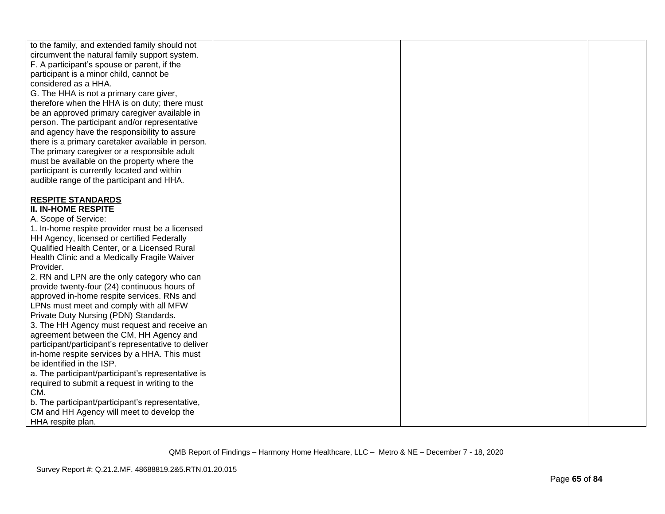| to the family, and extended family should not       |  |  |
|-----------------------------------------------------|--|--|
| circumvent the natural family support system.       |  |  |
| F. A participant's spouse or parent, if the         |  |  |
| participant is a minor child, cannot be             |  |  |
| considered as a HHA.                                |  |  |
|                                                     |  |  |
| G. The HHA is not a primary care giver,             |  |  |
| therefore when the HHA is on duty; there must       |  |  |
| be an approved primary caregiver available in       |  |  |
| person. The participant and/or representative       |  |  |
| and agency have the responsibility to assure        |  |  |
| there is a primary caretaker available in person.   |  |  |
| The primary caregiver or a responsible adult        |  |  |
| must be available on the property where the         |  |  |
| participant is currently located and within         |  |  |
| audible range of the participant and HHA.           |  |  |
|                                                     |  |  |
| <b>RESPITE STANDARDS</b>                            |  |  |
| <b>II. IN-HOME RESPITE</b>                          |  |  |
| A. Scope of Service:                                |  |  |
|                                                     |  |  |
| 1. In-home respite provider must be a licensed      |  |  |
| HH Agency, licensed or certified Federally          |  |  |
| Qualified Health Center, or a Licensed Rural        |  |  |
| Health Clinic and a Medically Fragile Waiver        |  |  |
| Provider.                                           |  |  |
| 2. RN and LPN are the only category who can         |  |  |
| provide twenty-four (24) continuous hours of        |  |  |
| approved in-home respite services. RNs and          |  |  |
| LPNs must meet and comply with all MFW              |  |  |
| Private Duty Nursing (PDN) Standards.               |  |  |
| 3. The HH Agency must request and receive an        |  |  |
| agreement between the CM, HH Agency and             |  |  |
| participant/participant's representative to deliver |  |  |
| in-home respite services by a HHA. This must        |  |  |
| be identified in the ISP.                           |  |  |
| a. The participant/participant's representative is  |  |  |
|                                                     |  |  |
| required to submit a request in writing to the      |  |  |
| CM.                                                 |  |  |
| b. The participant/participant's representative,    |  |  |
| CM and HH Agency will meet to develop the           |  |  |
| HHA respite plan.                                   |  |  |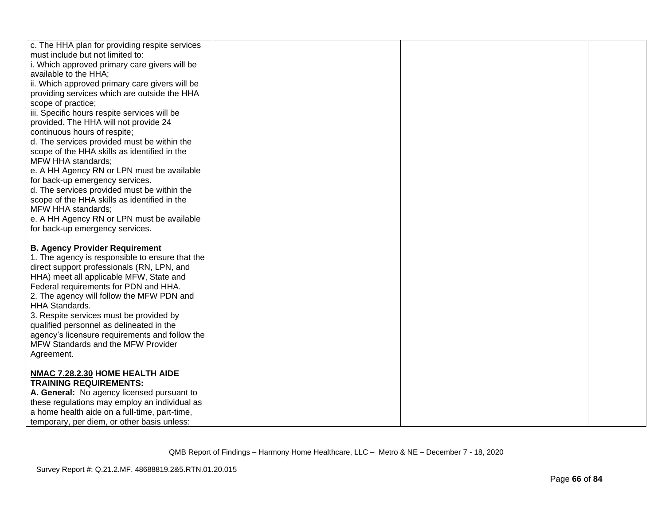| c. The HHA plan for providing respite services  |  |  |
|-------------------------------------------------|--|--|
| must include but not limited to:                |  |  |
| i. Which approved primary care givers will be   |  |  |
| available to the HHA;                           |  |  |
| ii. Which approved primary care givers will be  |  |  |
| providing services which are outside the HHA    |  |  |
| scope of practice;                              |  |  |
| iii. Specific hours respite services will be    |  |  |
| provided. The HHA will not provide 24           |  |  |
| continuous hours of respite;                    |  |  |
| d. The services provided must be within the     |  |  |
| scope of the HHA skills as identified in the    |  |  |
| MFW HHA standards;                              |  |  |
| e. A HH Agency RN or LPN must be available      |  |  |
| for back-up emergency services.                 |  |  |
| d. The services provided must be within the     |  |  |
| scope of the HHA skills as identified in the    |  |  |
| MFW HHA standards;                              |  |  |
| e. A HH Agency RN or LPN must be available      |  |  |
| for back-up emergency services.                 |  |  |
|                                                 |  |  |
| <b>B. Agency Provider Requirement</b>           |  |  |
| 1. The agency is responsible to ensure that the |  |  |
| direct support professionals (RN, LPN, and      |  |  |
| HHA) meet all applicable MFW, State and         |  |  |
| Federal requirements for PDN and HHA.           |  |  |
| 2. The agency will follow the MFW PDN and       |  |  |
| HHA Standards.                                  |  |  |
| 3. Respite services must be provided by         |  |  |
| qualified personnel as delineated in the        |  |  |
| agency's licensure requirements and follow the  |  |  |
| MFW Standards and the MFW Provider              |  |  |
| Agreement.                                      |  |  |
|                                                 |  |  |
| NMAC 7.28.2.30 HOME HEALTH AIDE                 |  |  |
| <b>TRAINING REQUIREMENTS:</b>                   |  |  |
| A. General: No agency licensed pursuant to      |  |  |
| these regulations may employ an individual as   |  |  |
| a home health aide on a full-time, part-time,   |  |  |
| temporary, per diem, or other basis unless:     |  |  |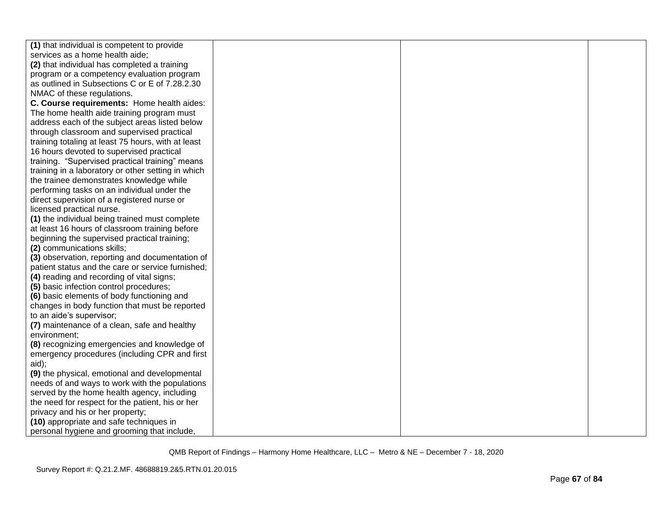| (1) that individual is competent to provide        |  |  |
|----------------------------------------------------|--|--|
| services as a home health aide;                    |  |  |
| (2) that individual has completed a training       |  |  |
| program or a competency evaluation program         |  |  |
| as outlined in Subsections C or E of 7.28.2.30     |  |  |
| NMAC of these regulations.                         |  |  |
| C. Course requirements: Home health aides:         |  |  |
| The home health aide training program must         |  |  |
| address each of the subject areas listed below     |  |  |
| through classroom and supervised practical         |  |  |
| training totaling at least 75 hours, with at least |  |  |
| 16 hours devoted to supervised practical           |  |  |
| training. "Supervised practical training" means    |  |  |
| training in a laboratory or other setting in which |  |  |
| the trainee demonstrates knowledge while           |  |  |
| performing tasks on an individual under the        |  |  |
| direct supervision of a registered nurse or        |  |  |
| licensed practical nurse.                          |  |  |
| (1) the individual being trained must complete     |  |  |
| at least 16 hours of classroom training before     |  |  |
| beginning the supervised practical training;       |  |  |
| (2) communications skills;                         |  |  |
| (3) observation, reporting and documentation of    |  |  |
| patient status and the care or service furnished;  |  |  |
| (4) reading and recording of vital signs;          |  |  |
| (5) basic infection control procedures;            |  |  |
| (6) basic elements of body functioning and         |  |  |
| changes in body function that must be reported     |  |  |
| to an aide's supervisor;                           |  |  |
| (7) maintenance of a clean, safe and healthy       |  |  |
| environment;                                       |  |  |
| (8) recognizing emergencies and knowledge of       |  |  |
| emergency procedures (including CPR and first      |  |  |
| aid);                                              |  |  |
| (9) the physical, emotional and developmental      |  |  |
| needs of and ways to work with the populations     |  |  |
| served by the home health agency, including        |  |  |
| the need for respect for the patient, his or her   |  |  |
| privacy and his or her property;                   |  |  |
| (10) appropriate and safe techniques in            |  |  |
| personal hygiene and grooming that include,        |  |  |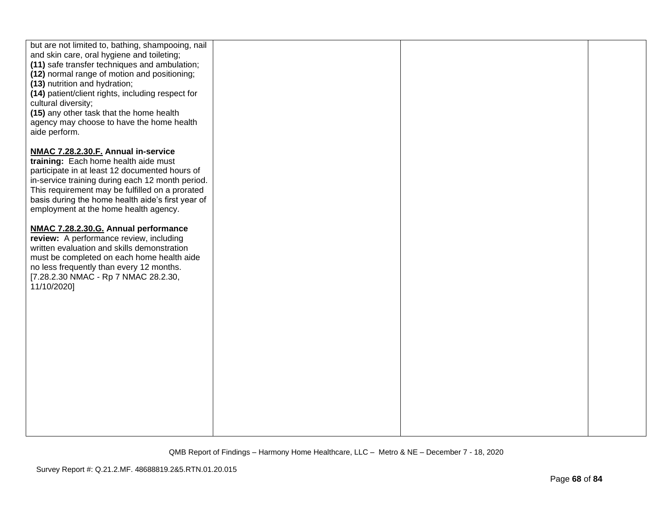| but are not limited to, bathing, shampooing, nail<br>and skin care, oral hygiene and toileting;<br>(11) safe transfer techniques and ambulation;<br>(12) normal range of motion and positioning;<br>(13) nutrition and hydration;<br>(14) patient/client rights, including respect for<br>cultural diversity;<br>(15) any other task that the home health<br>agency may choose to have the home health<br>aide perform. |  |  |
|-------------------------------------------------------------------------------------------------------------------------------------------------------------------------------------------------------------------------------------------------------------------------------------------------------------------------------------------------------------------------------------------------------------------------|--|--|
| NMAC 7.28.2.30.F. Annual in-service<br>training: Each home health aide must<br>participate in at least 12 documented hours of<br>in-service training during each 12 month period.<br>This requirement may be fulfilled on a prorated<br>basis during the home health aide's first year of<br>employment at the home health agency.                                                                                      |  |  |
| NMAC 7.28.2.30.G. Annual performance<br>review: A performance review, including<br>written evaluation and skills demonstration<br>must be completed on each home health aide<br>no less frequently than every 12 months.<br>[7.28.2.30 NMAC - Rp 7 NMAC 28.2.30,<br>11/10/2020]                                                                                                                                         |  |  |
|                                                                                                                                                                                                                                                                                                                                                                                                                         |  |  |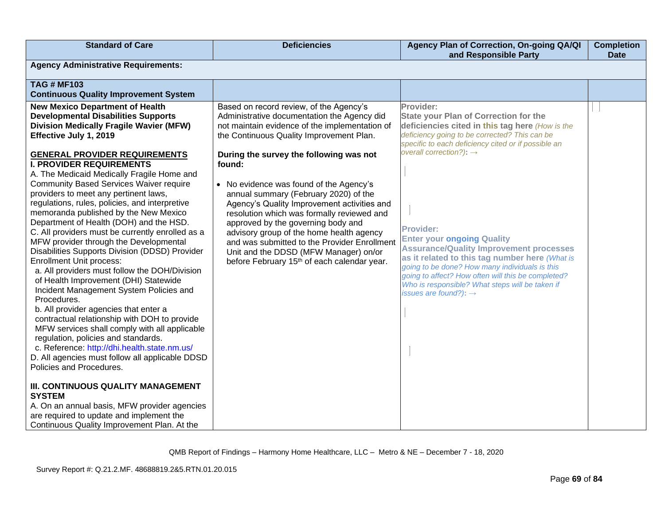| <b>Standard of Care</b>                                                                                                                                                                                                                                                                                                                                                                                                                                                                                                                                                                                                                                                                                                                                                                                                                                                                                                                                                                                                                                                                                                                                                                                                 | <b>Deficiencies</b>                                                                                                                                                                                                                                                                                                                                                                                                                                                                                                                                                                                                                                              | Agency Plan of Correction, On-going QA/QI<br>and Responsible Party                                                                                                                                                                                                                                                                                                                                                                                                                                                                                                                                                       | <b>Completion</b><br><b>Date</b> |
|-------------------------------------------------------------------------------------------------------------------------------------------------------------------------------------------------------------------------------------------------------------------------------------------------------------------------------------------------------------------------------------------------------------------------------------------------------------------------------------------------------------------------------------------------------------------------------------------------------------------------------------------------------------------------------------------------------------------------------------------------------------------------------------------------------------------------------------------------------------------------------------------------------------------------------------------------------------------------------------------------------------------------------------------------------------------------------------------------------------------------------------------------------------------------------------------------------------------------|------------------------------------------------------------------------------------------------------------------------------------------------------------------------------------------------------------------------------------------------------------------------------------------------------------------------------------------------------------------------------------------------------------------------------------------------------------------------------------------------------------------------------------------------------------------------------------------------------------------------------------------------------------------|--------------------------------------------------------------------------------------------------------------------------------------------------------------------------------------------------------------------------------------------------------------------------------------------------------------------------------------------------------------------------------------------------------------------------------------------------------------------------------------------------------------------------------------------------------------------------------------------------------------------------|----------------------------------|
| <b>Agency Administrative Requirements:</b>                                                                                                                                                                                                                                                                                                                                                                                                                                                                                                                                                                                                                                                                                                                                                                                                                                                                                                                                                                                                                                                                                                                                                                              |                                                                                                                                                                                                                                                                                                                                                                                                                                                                                                                                                                                                                                                                  |                                                                                                                                                                                                                                                                                                                                                                                                                                                                                                                                                                                                                          |                                  |
| <b>TAG # MF103</b><br><b>Continuous Quality Improvement System</b>                                                                                                                                                                                                                                                                                                                                                                                                                                                                                                                                                                                                                                                                                                                                                                                                                                                                                                                                                                                                                                                                                                                                                      |                                                                                                                                                                                                                                                                                                                                                                                                                                                                                                                                                                                                                                                                  |                                                                                                                                                                                                                                                                                                                                                                                                                                                                                                                                                                                                                          |                                  |
| <b>New Mexico Department of Health</b><br><b>Developmental Disabilities Supports</b><br><b>Division Medically Fragile Wavier (MFW)</b><br>Effective July 1, 2019<br><b>GENERAL PROVIDER REQUIREMENTS</b><br><b>I. PROVIDER REQUIREMENTS</b><br>A. The Medicaid Medically Fragile Home and<br><b>Community Based Services Waiver require</b><br>providers to meet any pertinent laws,<br>regulations, rules, policies, and interpretive<br>memoranda published by the New Mexico<br>Department of Health (DOH) and the HSD.<br>C. All providers must be currently enrolled as a<br>MFW provider through the Developmental<br>Disabilities Supports Division (DDSD) Provider<br><b>Enrollment Unit process:</b><br>a. All providers must follow the DOH/Division<br>of Health Improvement (DHI) Statewide<br>Incident Management System Policies and<br>Procedures.<br>b. All provider agencies that enter a<br>contractual relationship with DOH to provide<br>MFW services shall comply with all applicable<br>regulation, policies and standards.<br>c. Reference: http://dhi.health.state.nm.us/<br>D. All agencies must follow all applicable DDSD<br>Policies and Procedures.<br>III. CONTINUOUS QUALITY MANAGEMENT | Based on record review, of the Agency's<br>Administrative documentation the Agency did<br>not maintain evidence of the implementation of<br>the Continuous Quality Improvement Plan.<br>During the survey the following was not<br>found:<br>• No evidence was found of the Agency's<br>annual summary (February 2020) of the<br>Agency's Quality Improvement activities and<br>resolution which was formally reviewed and<br>approved by the governing body and<br>advisory group of the home health agency<br>and was submitted to the Provider Enrollment<br>Unit and the DDSD (MFW Manager) on/or<br>before February 15 <sup>th</sup> of each calendar year. | Provider:<br><b>State your Plan of Correction for the</b><br>deficiencies cited in this tag here (How is the<br>deficiency going to be corrected? This can be<br>specific to each deficiency cited or if possible an<br>overall correction?): $\rightarrow$<br><b>Provider:</b><br><b>Enter your ongoing Quality</b><br><b>Assurance/Quality Improvement processes</b><br>as it related to this tag number here (What is<br>going to be done? How many individuals is this<br>going to affect? How often will this be completed?<br>Who is responsible? What steps will be taken if<br>issues are found?): $\rightarrow$ |                                  |
| <b>SYSTEM</b><br>A. On an annual basis, MFW provider agencies<br>are required to update and implement the<br>Continuous Quality Improvement Plan. At the                                                                                                                                                                                                                                                                                                                                                                                                                                                                                                                                                                                                                                                                                                                                                                                                                                                                                                                                                                                                                                                                |                                                                                                                                                                                                                                                                                                                                                                                                                                                                                                                                                                                                                                                                  |                                                                                                                                                                                                                                                                                                                                                                                                                                                                                                                                                                                                                          |                                  |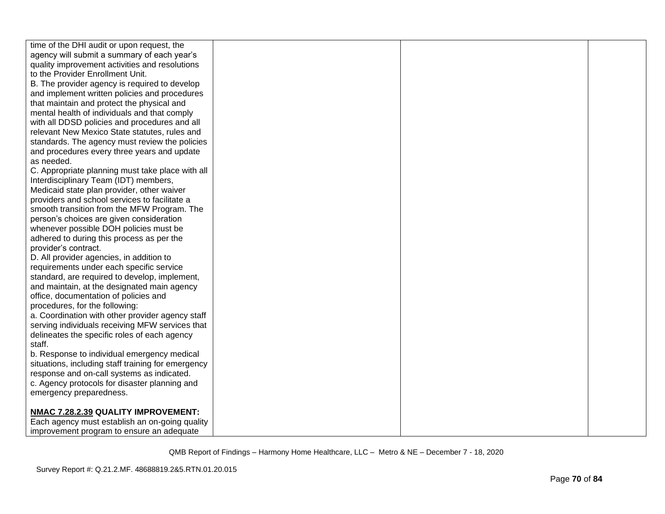| time of the DHI audit or upon request, the         |  |  |
|----------------------------------------------------|--|--|
| agency will submit a summary of each year's        |  |  |
| quality improvement activities and resolutions     |  |  |
| to the Provider Enrollment Unit.                   |  |  |
| B. The provider agency is required to develop      |  |  |
| and implement written policies and procedures      |  |  |
| that maintain and protect the physical and         |  |  |
| mental health of individuals and that comply       |  |  |
| with all DDSD policies and procedures and all      |  |  |
| relevant New Mexico State statutes, rules and      |  |  |
| standards. The agency must review the policies     |  |  |
| and procedures every three years and update        |  |  |
| as needed.                                         |  |  |
| C. Appropriate planning must take place with all   |  |  |
| Interdisciplinary Team (IDT) members,              |  |  |
| Medicaid state plan provider, other waiver         |  |  |
| providers and school services to facilitate a      |  |  |
| smooth transition from the MFW Program. The        |  |  |
| person's choices are given consideration           |  |  |
| whenever possible DOH policies must be             |  |  |
| adhered to during this process as per the          |  |  |
| provider's contract.                               |  |  |
| D. All provider agencies, in addition to           |  |  |
| requirements under each specific service           |  |  |
| standard, are required to develop, implement,      |  |  |
| and maintain, at the designated main agency        |  |  |
| office, documentation of policies and              |  |  |
| procedures, for the following:                     |  |  |
| a. Coordination with other provider agency staff   |  |  |
| serving individuals receiving MFW services that    |  |  |
| delineates the specific roles of each agency       |  |  |
| staff.                                             |  |  |
| b. Response to individual emergency medical        |  |  |
| situations, including staff training for emergency |  |  |
| response and on-call systems as indicated.         |  |  |
| c. Agency protocols for disaster planning and      |  |  |
| emergency preparedness.                            |  |  |
|                                                    |  |  |
| NMAC 7.28.2.39 QUALITY IMPROVEMENT:                |  |  |
| Each agency must establish an on-going quality     |  |  |
| improvement program to ensure an adequate          |  |  |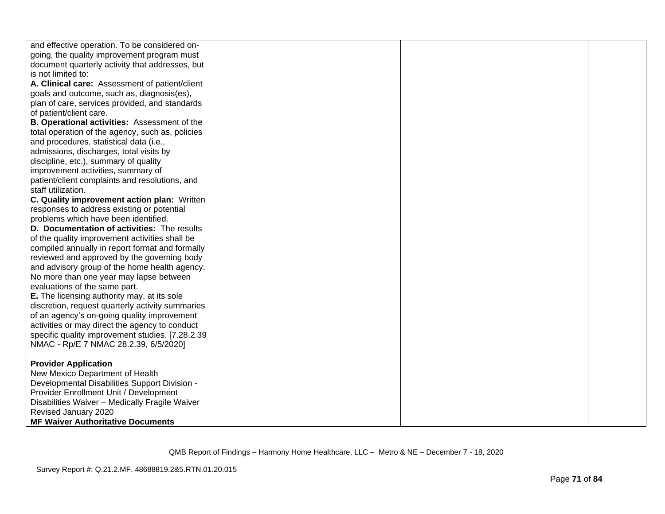| and effective operation. To be considered on-     |  |  |
|---------------------------------------------------|--|--|
| going, the quality improvement program must       |  |  |
| document quarterly activity that addresses, but   |  |  |
| is not limited to:                                |  |  |
| A. Clinical care: Assessment of patient/client    |  |  |
| goals and outcome, such as, diagnosis(es),        |  |  |
| plan of care, services provided, and standards    |  |  |
| of patient/client care.                           |  |  |
| B. Operational activities: Assessment of the      |  |  |
| total operation of the agency, such as, policies  |  |  |
| and procedures, statistical data (i.e.,           |  |  |
| admissions, discharges, total visits by           |  |  |
| discipline, etc.), summary of quality             |  |  |
| improvement activities, summary of                |  |  |
| patient/client complaints and resolutions, and    |  |  |
| staff utilization.                                |  |  |
| C. Quality improvement action plan: Written       |  |  |
| responses to address existing or potential        |  |  |
| problems which have been identified.              |  |  |
| D. Documentation of activities: The results       |  |  |
| of the quality improvement activities shall be    |  |  |
| compiled annually in report format and formally   |  |  |
| reviewed and approved by the governing body       |  |  |
| and advisory group of the home health agency.     |  |  |
| No more than one year may lapse between           |  |  |
| evaluations of the same part.                     |  |  |
| E. The licensing authority may, at its sole       |  |  |
| discretion, request quarterly activity summaries  |  |  |
| of an agency's on-going quality improvement       |  |  |
| activities or may direct the agency to conduct    |  |  |
| specific quality improvement studies. [7.28.2.39] |  |  |
| NMAC - Rp/E 7 NMAC 28.2.39, 6/5/2020]             |  |  |
|                                                   |  |  |
| <b>Provider Application</b>                       |  |  |
| New Mexico Department of Health                   |  |  |
| Developmental Disabilities Support Division -     |  |  |
| Provider Enrollment Unit / Development            |  |  |
| Disabilities Waiver - Medically Fragile Waiver    |  |  |
| Revised January 2020                              |  |  |
| <b>MF Waiver Authoritative Documents</b>          |  |  |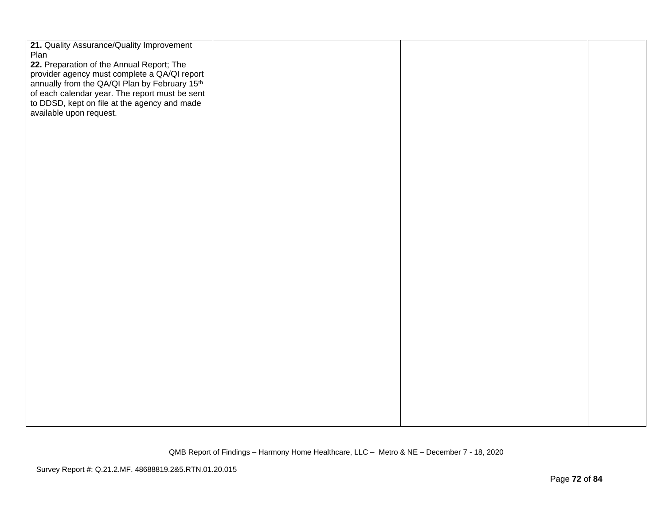| 21. Quality Assurance/Quality Improvement<br>Plan                                                           |  |  |
|-------------------------------------------------------------------------------------------------------------|--|--|
| 22. Preparation of the Annual Report; The                                                                   |  |  |
| provider agency must complete a QA/QI report                                                                |  |  |
|                                                                                                             |  |  |
| annually from the QA/QI Plan by February 15 <sup>th</sup><br>of each calendar year. The report must be sent |  |  |
| to DDSD, kept on file at the agency and made                                                                |  |  |
| available upon request.                                                                                     |  |  |
|                                                                                                             |  |  |
|                                                                                                             |  |  |
|                                                                                                             |  |  |
|                                                                                                             |  |  |
|                                                                                                             |  |  |
|                                                                                                             |  |  |
|                                                                                                             |  |  |
|                                                                                                             |  |  |
|                                                                                                             |  |  |
|                                                                                                             |  |  |
|                                                                                                             |  |  |
|                                                                                                             |  |  |
|                                                                                                             |  |  |
|                                                                                                             |  |  |
|                                                                                                             |  |  |
|                                                                                                             |  |  |
|                                                                                                             |  |  |
|                                                                                                             |  |  |
|                                                                                                             |  |  |
|                                                                                                             |  |  |
|                                                                                                             |  |  |
|                                                                                                             |  |  |
|                                                                                                             |  |  |
|                                                                                                             |  |  |
|                                                                                                             |  |  |
|                                                                                                             |  |  |
|                                                                                                             |  |  |
|                                                                                                             |  |  |
|                                                                                                             |  |  |
|                                                                                                             |  |  |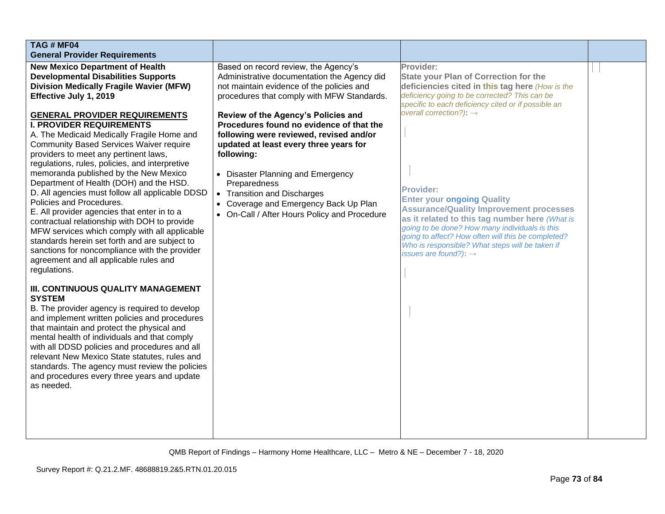| TAG # MF04<br><b>General Provider Requirements</b>                                                                                                                                                                                                                                                                                                                                                                                                                                                                                                                                                                                                                                                                                                                                                                                                          |                                                                                                                                                                                                                                                                                                                                                                                                                                                                                                                                                                                |                                                                                                                                                                                                                                                                                                                                                                                                                                                                                                                                                                                                                          |  |
|-------------------------------------------------------------------------------------------------------------------------------------------------------------------------------------------------------------------------------------------------------------------------------------------------------------------------------------------------------------------------------------------------------------------------------------------------------------------------------------------------------------------------------------------------------------------------------------------------------------------------------------------------------------------------------------------------------------------------------------------------------------------------------------------------------------------------------------------------------------|--------------------------------------------------------------------------------------------------------------------------------------------------------------------------------------------------------------------------------------------------------------------------------------------------------------------------------------------------------------------------------------------------------------------------------------------------------------------------------------------------------------------------------------------------------------------------------|--------------------------------------------------------------------------------------------------------------------------------------------------------------------------------------------------------------------------------------------------------------------------------------------------------------------------------------------------------------------------------------------------------------------------------------------------------------------------------------------------------------------------------------------------------------------------------------------------------------------------|--|
| <b>New Mexico Department of Health</b><br><b>Developmental Disabilities Supports</b><br><b>Division Medically Fragile Wavier (MFW)</b><br>Effective July 1, 2019<br><b>GENERAL PROVIDER REQUIREMENTS</b><br><b>I. PROVIDER REQUIREMENTS</b><br>A. The Medicaid Medically Fragile Home and<br><b>Community Based Services Waiver require</b><br>providers to meet any pertinent laws,<br>regulations, rules, policies, and interpretive<br>memoranda published by the New Mexico<br>Department of Health (DOH) and the HSD.<br>D. All agencies must follow all applicable DDSD<br>Policies and Procedures.<br>E. All provider agencies that enter in to a<br>contractual relationship with DOH to provide<br>MFW services which comply with all applicable<br>standards herein set forth and are subject to<br>sanctions for noncompliance with the provider | Based on record review, the Agency's<br>Administrative documentation the Agency did<br>not maintain evidence of the policies and<br>procedures that comply with MFW Standards.<br>Review of the Agency's Policies and<br>Procedures found no evidence of that the<br>following were reviewed, revised and/or<br>updated at least every three years for<br>following:<br>• Disaster Planning and Emergency<br>Preparedness<br><b>Transition and Discharges</b><br>$\bullet$<br>Coverage and Emergency Back Up Plan<br>$\bullet$<br>• On-Call / After Hours Policy and Procedure | Provider:<br><b>State your Plan of Correction for the</b><br>deficiencies cited in this tag here (How is the<br>deficiency going to be corrected? This can be<br>specific to each deficiency cited or if possible an<br>overall correction?): $\rightarrow$<br><b>Provider:</b><br><b>Enter your ongoing Quality</b><br><b>Assurance/Quality Improvement processes</b><br>as it related to this tag number here (What is<br>going to be done? How many individuals is this<br>going to affect? How often will this be completed?<br>Who is responsible? What steps will be taken if<br>issues are found?): $\rightarrow$ |  |
| agreement and all applicable rules and<br>regulations.<br>III. CONTINUOUS QUALITY MANAGEMENT<br><b>SYSTEM</b><br>B. The provider agency is required to develop<br>and implement written policies and procedures<br>that maintain and protect the physical and<br>mental health of individuals and that comply<br>with all DDSD policies and procedures and all<br>relevant New Mexico State statutes, rules and<br>standards. The agency must review the policies<br>and procedures every three years and update<br>as needed.                                                                                                                                                                                                                                                                                                                              |                                                                                                                                                                                                                                                                                                                                                                                                                                                                                                                                                                                |                                                                                                                                                                                                                                                                                                                                                                                                                                                                                                                                                                                                                          |  |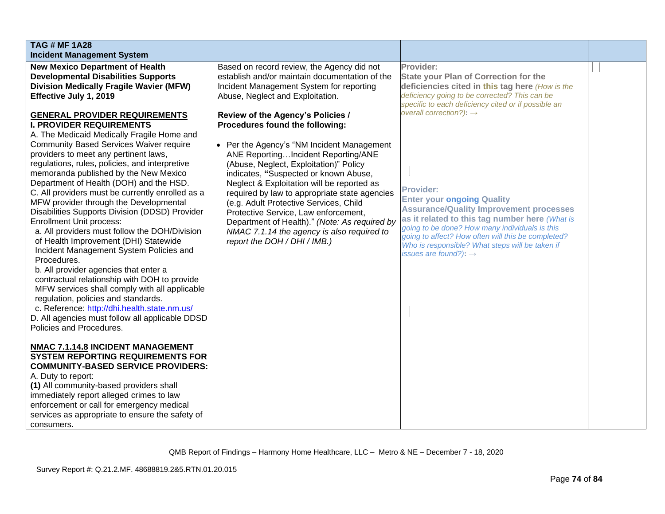| <b>TAG # MF 1A28</b><br><b>Incident Management System</b>                                                                                                                                                                                                                                                                                                                                                                                                                                                                                                                                                                                                                                                                                                                                                                                                                                                                                                                                                                                                                                                                                                                                                                                                                                                                                                                                                                                                                                                                                  |                                                                                                                                                                                                                                                                                                                                                                                                                                                                                                                                                                                                                                                                                                                                               |                                                                                                                                                                                                                                                                                                                                                                                                                                                                                                                                                                                                                          |  |
|--------------------------------------------------------------------------------------------------------------------------------------------------------------------------------------------------------------------------------------------------------------------------------------------------------------------------------------------------------------------------------------------------------------------------------------------------------------------------------------------------------------------------------------------------------------------------------------------------------------------------------------------------------------------------------------------------------------------------------------------------------------------------------------------------------------------------------------------------------------------------------------------------------------------------------------------------------------------------------------------------------------------------------------------------------------------------------------------------------------------------------------------------------------------------------------------------------------------------------------------------------------------------------------------------------------------------------------------------------------------------------------------------------------------------------------------------------------------------------------------------------------------------------------------|-----------------------------------------------------------------------------------------------------------------------------------------------------------------------------------------------------------------------------------------------------------------------------------------------------------------------------------------------------------------------------------------------------------------------------------------------------------------------------------------------------------------------------------------------------------------------------------------------------------------------------------------------------------------------------------------------------------------------------------------------|--------------------------------------------------------------------------------------------------------------------------------------------------------------------------------------------------------------------------------------------------------------------------------------------------------------------------------------------------------------------------------------------------------------------------------------------------------------------------------------------------------------------------------------------------------------------------------------------------------------------------|--|
| <b>New Mexico Department of Health</b><br><b>Developmental Disabilities Supports</b><br><b>Division Medically Fragile Wavier (MFW)</b><br>Effective July 1, 2019<br><b>GENERAL PROVIDER REQUIREMENTS</b><br><b>I. PROVIDER REQUIREMENTS</b><br>A. The Medicaid Medically Fragile Home and<br><b>Community Based Services Waiver require</b><br>providers to meet any pertinent laws,<br>regulations, rules, policies, and interpretive<br>memoranda published by the New Mexico<br>Department of Health (DOH) and the HSD.<br>C. All providers must be currently enrolled as a<br>MFW provider through the Developmental<br>Disabilities Supports Division (DDSD) Provider<br><b>Enrollment Unit process:</b><br>a. All providers must follow the DOH/Division<br>of Health Improvement (DHI) Statewide<br>Incident Management System Policies and<br>Procedures.<br>b. All provider agencies that enter a<br>contractual relationship with DOH to provide<br>MFW services shall comply with all applicable<br>regulation, policies and standards.<br>c. Reference: http://dhi.health.state.nm.us/<br>D. All agencies must follow all applicable DDSD<br>Policies and Procedures.<br>NMAC 7.1.14.8 INCIDENT MANAGEMENT<br><b>SYSTEM REPORTING REQUIREMENTS FOR</b><br><b>COMMUNITY-BASED SERVICE PROVIDERS:</b><br>A. Duty to report:<br>(1) All community-based providers shall<br>immediately report alleged crimes to law<br>enforcement or call for emergency medical<br>services as appropriate to ensure the safety of<br>consumers. | Based on record review, the Agency did not<br>establish and/or maintain documentation of the<br>Incident Management System for reporting<br>Abuse, Neglect and Exploitation.<br>Review of the Agency's Policies /<br>Procedures found the following:<br>• Per the Agency's "NM Incident Management"<br>ANE ReportingIncident Reporting/ANE<br>(Abuse, Neglect, Exploitation)" Policy<br>indicates, "Suspected or known Abuse,<br>Neglect & Exploitation will be reported as<br>required by law to appropriate state agencies<br>(e.g. Adult Protective Services, Child<br>Protective Service, Law enforcement,<br>Department of Health)." (Note: As required by<br>NMAC 7.1.14 the agency is also required to<br>report the DOH / DHI / IMB.) | Provider:<br><b>State your Plan of Correction for the</b><br>deficiencies cited in this tag here (How is the<br>deficiency going to be corrected? This can be<br>specific to each deficiency cited or if possible an<br>overall correction?): $\rightarrow$<br><b>Provider:</b><br><b>Enter your ongoing Quality</b><br><b>Assurance/Quality Improvement processes</b><br>as it related to this tag number here (What is<br>going to be done? How many individuals is this<br>going to affect? How often will this be completed?<br>Who is responsible? What steps will be taken if<br>issues are found?): $\rightarrow$ |  |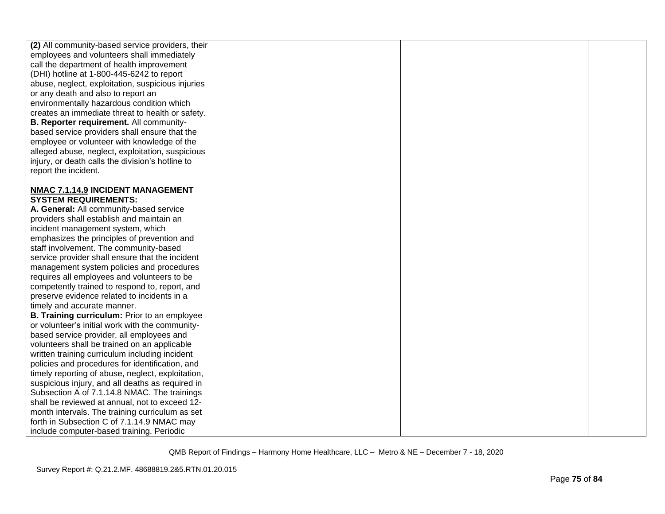| (2) All community-based service providers, their  |  |  |
|---------------------------------------------------|--|--|
| employees and volunteers shall immediately        |  |  |
| call the department of health improvement         |  |  |
| (DHI) hotline at 1-800-445-6242 to report         |  |  |
| abuse, neglect, exploitation, suspicious injuries |  |  |
| or any death and also to report an                |  |  |
| environmentally hazardous condition which         |  |  |
| creates an immediate threat to health or safety.  |  |  |
| B. Reporter requirement. All community-           |  |  |
| based service providers shall ensure that the     |  |  |
| employee or volunteer with knowledge of the       |  |  |
| alleged abuse, neglect, exploitation, suspicious  |  |  |
| injury, or death calls the division's hotline to  |  |  |
| report the incident.                              |  |  |
|                                                   |  |  |
| NMAC 7.1.14.9 INCIDENT MANAGEMENT                 |  |  |
| <b>SYSTEM REQUIREMENTS:</b>                       |  |  |
| A. General: All community-based service           |  |  |
| providers shall establish and maintain an         |  |  |
| incident management system, which                 |  |  |
| emphasizes the principles of prevention and       |  |  |
| staff involvement. The community-based            |  |  |
| service provider shall ensure that the incident   |  |  |
| management system policies and procedures         |  |  |
| requires all employees and volunteers to be       |  |  |
| competently trained to respond to, report, and    |  |  |
| preserve evidence related to incidents in a       |  |  |
| timely and accurate manner.                       |  |  |
| B. Training curriculum: Prior to an employee      |  |  |
| or volunteer's initial work with the community-   |  |  |
| based service provider, all employees and         |  |  |
| volunteers shall be trained on an applicable      |  |  |
| written training curriculum including incident    |  |  |
| policies and procedures for identification, and   |  |  |
| timely reporting of abuse, neglect, exploitation, |  |  |
| suspicious injury, and all deaths as required in  |  |  |
| Subsection A of 7.1.14.8 NMAC. The trainings      |  |  |
| shall be reviewed at annual, not to exceed 12-    |  |  |
| month intervals. The training curriculum as set   |  |  |
| forth in Subsection C of 7.1.14.9 NMAC may        |  |  |
| include computer-based training. Periodic         |  |  |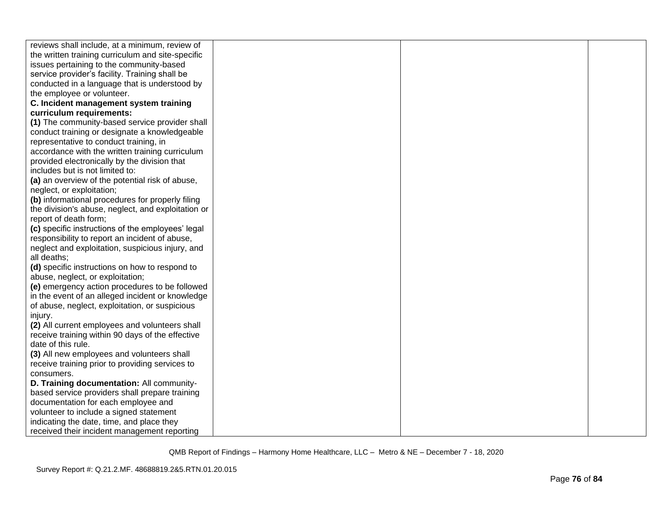| reviews shall include, at a minimum, review of     |  |  |
|----------------------------------------------------|--|--|
| the written training curriculum and site-specific  |  |  |
| issues pertaining to the community-based           |  |  |
| service provider's facility. Training shall be     |  |  |
| conducted in a language that is understood by      |  |  |
| the employee or volunteer.                         |  |  |
| C. Incident management system training             |  |  |
| curriculum requirements:                           |  |  |
| (1) The community-based service provider shall     |  |  |
| conduct training or designate a knowledgeable      |  |  |
| representative to conduct training, in             |  |  |
| accordance with the written training curriculum    |  |  |
| provided electronically by the division that       |  |  |
| includes but is not limited to:                    |  |  |
| (a) an overview of the potential risk of abuse,    |  |  |
| neglect, or exploitation;                          |  |  |
| (b) informational procedures for properly filing   |  |  |
| the division's abuse, neglect, and exploitation or |  |  |
| report of death form;                              |  |  |
| (c) specific instructions of the employees' legal  |  |  |
| responsibility to report an incident of abuse,     |  |  |
| neglect and exploitation, suspicious injury, and   |  |  |
| all deaths;                                        |  |  |
| (d) specific instructions on how to respond to     |  |  |
| abuse, neglect, or exploitation;                   |  |  |
| (e) emergency action procedures to be followed     |  |  |
| in the event of an alleged incident or knowledge   |  |  |
| of abuse, neglect, exploitation, or suspicious     |  |  |
| injury.                                            |  |  |
| (2) All current employees and volunteers shall     |  |  |
| receive training within 90 days of the effective   |  |  |
| date of this rule.                                 |  |  |
| (3) All new employees and volunteers shall         |  |  |
| receive training prior to providing services to    |  |  |
| consumers.                                         |  |  |
| D. Training documentation: All community-          |  |  |
| based service providers shall prepare training     |  |  |
| documentation for each employee and                |  |  |
| volunteer to include a signed statement            |  |  |
| indicating the date, time, and place they          |  |  |
| received their incident management reporting       |  |  |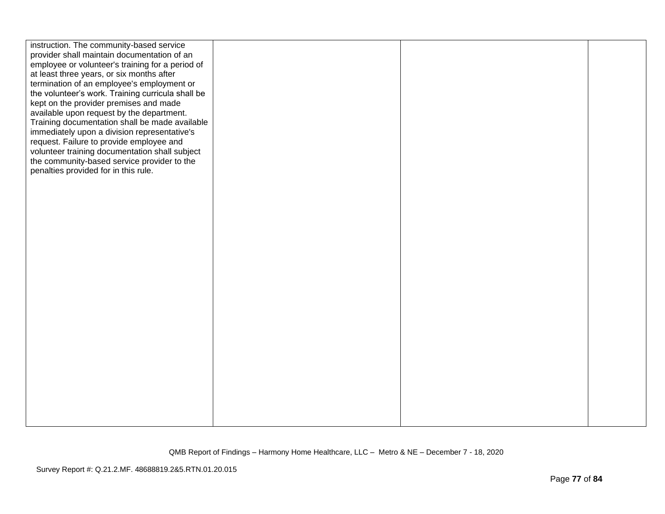| instruction. The community-based service<br>provider shall maintain documentation of an<br>employee or volunteer's training for a period of<br>at least three years, or six months after<br>termination of an employee's employment or<br>the volunteer's work. Training curricula shall be<br>kept on the provider premises and made<br>available upon request by the department.<br>Training documentation shall be made available<br>immediately upon a division representative's<br>request. Failure to provide employee and<br>volunteer training documentation shall subject |  |  |
|------------------------------------------------------------------------------------------------------------------------------------------------------------------------------------------------------------------------------------------------------------------------------------------------------------------------------------------------------------------------------------------------------------------------------------------------------------------------------------------------------------------------------------------------------------------------------------|--|--|
| the community-based service provider to the<br>penalties provided for in this rule.                                                                                                                                                                                                                                                                                                                                                                                                                                                                                                |  |  |
|                                                                                                                                                                                                                                                                                                                                                                                                                                                                                                                                                                                    |  |  |
|                                                                                                                                                                                                                                                                                                                                                                                                                                                                                                                                                                                    |  |  |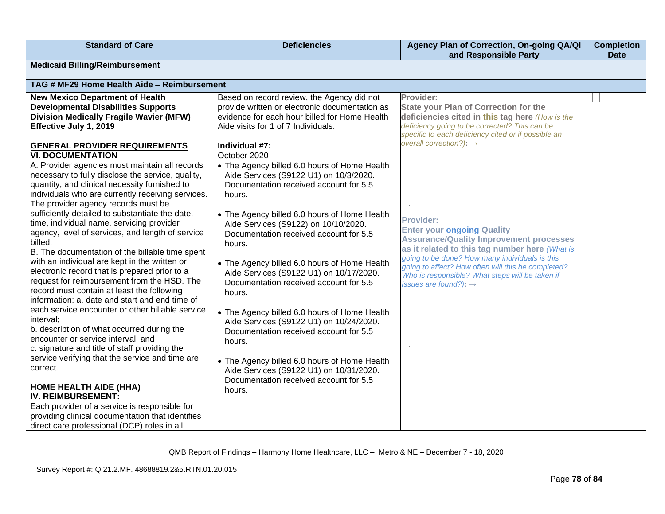| <b>Standard of Care</b>                                                                                                                                                                                                                                                                                                                                                                                                                                                                                                                                                                                                                                                                                                                                                                                                                                                                                                                                                                                                                                                                                                                                                                                                                                                                                                                                                                                                                            | <b>Deficiencies</b>                                                                                                                                                                                                                                                                                                                                                                                                                                                                                                                                                                                                                                                                                                                                                                                                                                                                                                                                           | Agency Plan of Correction, On-going QA/QI<br>and Responsible Party                                                                                                                                                                                                                                                                                                                                                                                                                                                                                                                                                       | <b>Completion</b><br><b>Date</b> |
|----------------------------------------------------------------------------------------------------------------------------------------------------------------------------------------------------------------------------------------------------------------------------------------------------------------------------------------------------------------------------------------------------------------------------------------------------------------------------------------------------------------------------------------------------------------------------------------------------------------------------------------------------------------------------------------------------------------------------------------------------------------------------------------------------------------------------------------------------------------------------------------------------------------------------------------------------------------------------------------------------------------------------------------------------------------------------------------------------------------------------------------------------------------------------------------------------------------------------------------------------------------------------------------------------------------------------------------------------------------------------------------------------------------------------------------------------|---------------------------------------------------------------------------------------------------------------------------------------------------------------------------------------------------------------------------------------------------------------------------------------------------------------------------------------------------------------------------------------------------------------------------------------------------------------------------------------------------------------------------------------------------------------------------------------------------------------------------------------------------------------------------------------------------------------------------------------------------------------------------------------------------------------------------------------------------------------------------------------------------------------------------------------------------------------|--------------------------------------------------------------------------------------------------------------------------------------------------------------------------------------------------------------------------------------------------------------------------------------------------------------------------------------------------------------------------------------------------------------------------------------------------------------------------------------------------------------------------------------------------------------------------------------------------------------------------|----------------------------------|
| <b>Medicaid Billing/Reimbursement</b>                                                                                                                                                                                                                                                                                                                                                                                                                                                                                                                                                                                                                                                                                                                                                                                                                                                                                                                                                                                                                                                                                                                                                                                                                                                                                                                                                                                                              |                                                                                                                                                                                                                                                                                                                                                                                                                                                                                                                                                                                                                                                                                                                                                                                                                                                                                                                                                               |                                                                                                                                                                                                                                                                                                                                                                                                                                                                                                                                                                                                                          |                                  |
| TAG # MF29 Home Health Aide - Reimbursement                                                                                                                                                                                                                                                                                                                                                                                                                                                                                                                                                                                                                                                                                                                                                                                                                                                                                                                                                                                                                                                                                                                                                                                                                                                                                                                                                                                                        |                                                                                                                                                                                                                                                                                                                                                                                                                                                                                                                                                                                                                                                                                                                                                                                                                                                                                                                                                               |                                                                                                                                                                                                                                                                                                                                                                                                                                                                                                                                                                                                                          |                                  |
| <b>New Mexico Department of Health</b><br><b>Developmental Disabilities Supports</b><br><b>Division Medically Fragile Wavier (MFW)</b><br>Effective July 1, 2019<br><b>GENERAL PROVIDER REQUIREMENTS</b><br><b>VI. DOCUMENTATION</b><br>A. Provider agencies must maintain all records<br>necessary to fully disclose the service, quality,<br>quantity, and clinical necessity furnished to<br>individuals who are currently receiving services.<br>The provider agency records must be<br>sufficiently detailed to substantiate the date,<br>time, individual name, servicing provider<br>agency, level of services, and length of service<br>billed.<br>B. The documentation of the billable time spent<br>with an individual are kept in the written or<br>electronic record that is prepared prior to a<br>request for reimbursement from the HSD. The<br>record must contain at least the following<br>information: a. date and start and end time of<br>each service encounter or other billable service<br>interval;<br>b. description of what occurred during the<br>encounter or service interval; and<br>c. signature and title of staff providing the<br>service verifying that the service and time are<br>correct.<br><b>HOME HEALTH AIDE (HHA)</b><br><b>IV. REIMBURSEMENT:</b><br>Each provider of a service is responsible for<br>providing clinical documentation that identifies<br>direct care professional (DCP) roles in all | Based on record review, the Agency did not<br>provide written or electronic documentation as<br>evidence for each hour billed for Home Health<br>Aide visits for 1 of 7 Individuals.<br>Individual #7:<br>October 2020<br>• The Agency billed 6.0 hours of Home Health<br>Aide Services (S9122 U1) on 10/3/2020.<br>Documentation received account for 5.5<br>hours.<br>• The Agency billed 6.0 hours of Home Health<br>Aide Services (S9122) on 10/10/2020.<br>Documentation received account for 5.5<br>hours.<br>• The Agency billed 6.0 hours of Home Health<br>Aide Services (S9122 U1) on 10/17/2020.<br>Documentation received account for 5.5<br>hours.<br>• The Agency billed 6.0 hours of Home Health<br>Aide Services (S9122 U1) on 10/24/2020.<br>Documentation received account for 5.5<br>hours.<br>• The Agency billed 6.0 hours of Home Health<br>Aide Services (S9122 U1) on 10/31/2020.<br>Documentation received account for 5.5<br>hours. | Provider:<br><b>State your Plan of Correction for the</b><br>deficiencies cited in this tag here (How is the<br>deficiency going to be corrected? This can be<br>specific to each deficiency cited or if possible an<br>overall correction?): $\rightarrow$<br><b>Provider:</b><br><b>Enter your ongoing Quality</b><br><b>Assurance/Quality Improvement processes</b><br>as it related to this tag number here (What is<br>going to be done? How many individuals is this<br>going to affect? How often will this be completed?<br>Who is responsible? What steps will be taken if<br>issues are found?): $\rightarrow$ |                                  |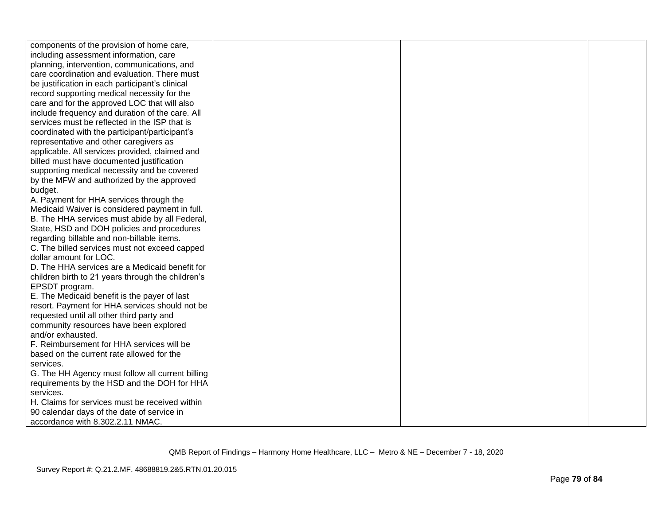| components of the provision of home care,         |  |  |
|---------------------------------------------------|--|--|
| including assessment information, care            |  |  |
| planning, intervention, communications, and       |  |  |
| care coordination and evaluation. There must      |  |  |
| be justification in each participant's clinical   |  |  |
| record supporting medical necessity for the       |  |  |
| care and for the approved LOC that will also      |  |  |
| include frequency and duration of the care. All   |  |  |
| services must be reflected in the ISP that is     |  |  |
| coordinated with the participant/participant's    |  |  |
| representative and other caregivers as            |  |  |
| applicable. All services provided, claimed and    |  |  |
| billed must have documented justification         |  |  |
| supporting medical necessity and be covered       |  |  |
| by the MFW and authorized by the approved         |  |  |
| budget.                                           |  |  |
| A. Payment for HHA services through the           |  |  |
| Medicaid Waiver is considered payment in full.    |  |  |
| B. The HHA services must abide by all Federal,    |  |  |
| State, HSD and DOH policies and procedures        |  |  |
| regarding billable and non-billable items.        |  |  |
| C. The billed services must not exceed capped     |  |  |
| dollar amount for LOC.                            |  |  |
| D. The HHA services are a Medicaid benefit for    |  |  |
| children birth to 21 years through the children's |  |  |
| EPSDT program.                                    |  |  |
| E. The Medicaid benefit is the payer of last      |  |  |
| resort. Payment for HHA services should not be    |  |  |
| requested until all other third party and         |  |  |
| community resources have been explored            |  |  |
| and/or exhausted.                                 |  |  |
| F. Reimbursement for HHA services will be         |  |  |
| based on the current rate allowed for the         |  |  |
| services.                                         |  |  |
| G. The HH Agency must follow all current billing  |  |  |
| requirements by the HSD and the DOH for HHA       |  |  |
| services.                                         |  |  |
| H. Claims for services must be received within    |  |  |
| 90 calendar days of the date of service in        |  |  |
| accordance with 8.302.2.11 NMAC.                  |  |  |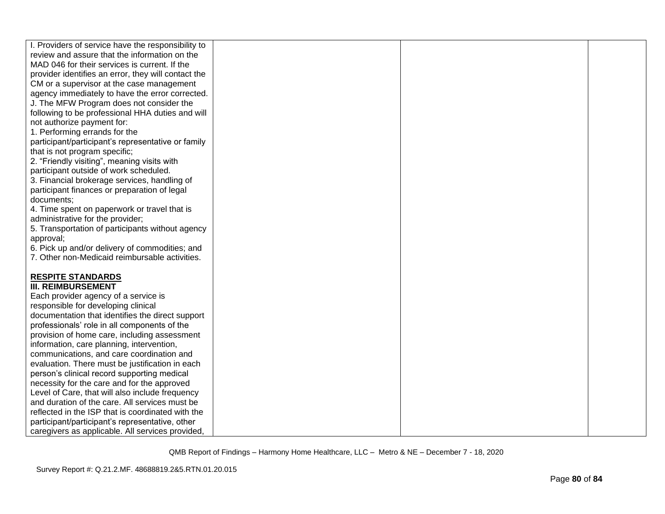| I. Providers of service have the responsibility to                                     |  |  |
|----------------------------------------------------------------------------------------|--|--|
| review and assure that the information on the                                          |  |  |
| MAD 046 for their services is current. If the                                          |  |  |
| provider identifies an error, they will contact the                                    |  |  |
| CM or a supervisor at the case management                                              |  |  |
| agency immediately to have the error corrected.                                        |  |  |
| J. The MFW Program does not consider the                                               |  |  |
| following to be professional HHA duties and will                                       |  |  |
| not authorize payment for:                                                             |  |  |
| 1. Performing errands for the                                                          |  |  |
| participant/participant's representative or family                                     |  |  |
| that is not program specific;                                                          |  |  |
| 2. "Friendly visiting", meaning visits with                                            |  |  |
| participant outside of work scheduled.                                                 |  |  |
| 3. Financial brokerage services, handling of                                           |  |  |
| participant finances or preparation of legal                                           |  |  |
| documents;                                                                             |  |  |
| 4. Time spent on paperwork or travel that is                                           |  |  |
| administrative for the provider;                                                       |  |  |
| 5. Transportation of participants without agency                                       |  |  |
| approval;                                                                              |  |  |
| 6. Pick up and/or delivery of commodities; and                                         |  |  |
| 7. Other non-Medicaid reimbursable activities.                                         |  |  |
|                                                                                        |  |  |
| <b>RESPITE STANDARDS</b>                                                               |  |  |
| <b>III. REIMBURSEMENT</b>                                                              |  |  |
| Each provider agency of a service is                                                   |  |  |
| responsible for developing clinical                                                    |  |  |
| documentation that identifies the direct support                                       |  |  |
| professionals' role in all components of the                                           |  |  |
| provision of home care, including assessment                                           |  |  |
| information, care planning, intervention,<br>communications, and care coordination and |  |  |
| evaluation. There must be justification in each                                        |  |  |
| person's clinical record supporting medical                                            |  |  |
| necessity for the care and for the approved                                            |  |  |
| Level of Care, that will also include frequency                                        |  |  |
| and duration of the care. All services must be                                         |  |  |
| reflected in the ISP that is coordinated with the                                      |  |  |
| participant/participant's representative, other                                        |  |  |
| caregivers as applicable. All services provided,                                       |  |  |
|                                                                                        |  |  |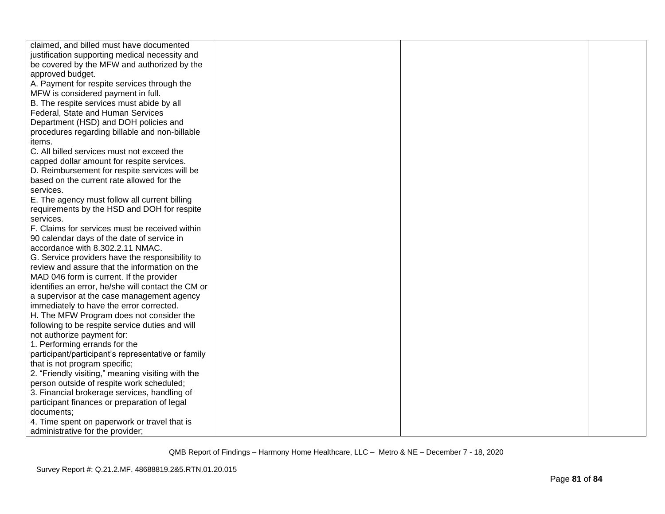| claimed, and billed must have documented           |  |  |
|----------------------------------------------------|--|--|
| justification supporting medical necessity and     |  |  |
| be covered by the MFW and authorized by the        |  |  |
| approved budget.                                   |  |  |
| A. Payment for respite services through the        |  |  |
| MFW is considered payment in full.                 |  |  |
| B. The respite services must abide by all          |  |  |
| Federal, State and Human Services                  |  |  |
| Department (HSD) and DOH policies and              |  |  |
| procedures regarding billable and non-billable     |  |  |
| items.                                             |  |  |
| C. All billed services must not exceed the         |  |  |
| capped dollar amount for respite services.         |  |  |
| D. Reimbursement for respite services will be      |  |  |
| based on the current rate allowed for the          |  |  |
| services.                                          |  |  |
| E. The agency must follow all current billing      |  |  |
| requirements by the HSD and DOH for respite        |  |  |
| services.                                          |  |  |
| F. Claims for services must be received within     |  |  |
| 90 calendar days of the date of service in         |  |  |
| accordance with 8.302.2.11 NMAC.                   |  |  |
| G. Service providers have the responsibility to    |  |  |
| review and assure that the information on the      |  |  |
| MAD 046 form is current. If the provider           |  |  |
| identifies an error, he/she will contact the CM or |  |  |
| a supervisor at the case management agency         |  |  |
| immediately to have the error corrected.           |  |  |
| H. The MFW Program does not consider the           |  |  |
| following to be respite service duties and will    |  |  |
| not authorize payment for:                         |  |  |
| 1. Performing errands for the                      |  |  |
| participant/participant's representative or family |  |  |
| that is not program specific;                      |  |  |
| 2. "Friendly visiting," meaning visiting with the  |  |  |
| person outside of respite work scheduled;          |  |  |
| 3. Financial brokerage services, handling of       |  |  |
| participant finances or preparation of legal       |  |  |
| documents:                                         |  |  |
| 4. Time spent on paperwork or travel that is       |  |  |
| administrative for the provider;                   |  |  |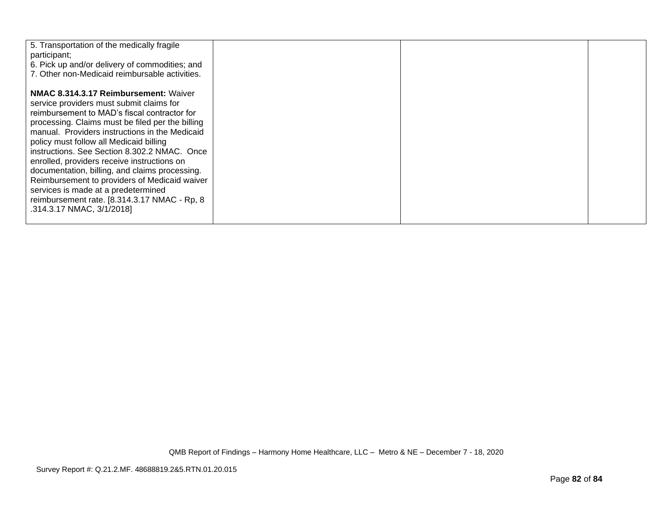| 5. Transportation of the medically fragile<br>participant;<br>6. Pick up and/or delivery of commodities; and<br>7. Other non-Medicaid reimbursable activities.                                                                                                                                                                                                                                                                                                                                                                                                                                                  |  |  |
|-----------------------------------------------------------------------------------------------------------------------------------------------------------------------------------------------------------------------------------------------------------------------------------------------------------------------------------------------------------------------------------------------------------------------------------------------------------------------------------------------------------------------------------------------------------------------------------------------------------------|--|--|
| <b>NMAC 8.314.3.17 Reimbursement: Waiver</b><br>service providers must submit claims for<br>reimbursement to MAD's fiscal contractor for<br>processing. Claims must be filed per the billing<br>manual. Providers instructions in the Medicaid<br>policy must follow all Medicaid billing<br>instructions. See Section 8.302.2 NMAC. Once<br>enrolled, providers receive instructions on<br>documentation, billing, and claims processing.<br>Reimbursement to providers of Medicaid waiver<br>services is made at a predetermined<br>reimbursement rate. [8.314.3.17 NMAC - Rp, 8<br>.314.3.17 NMAC, 3/1/2018] |  |  |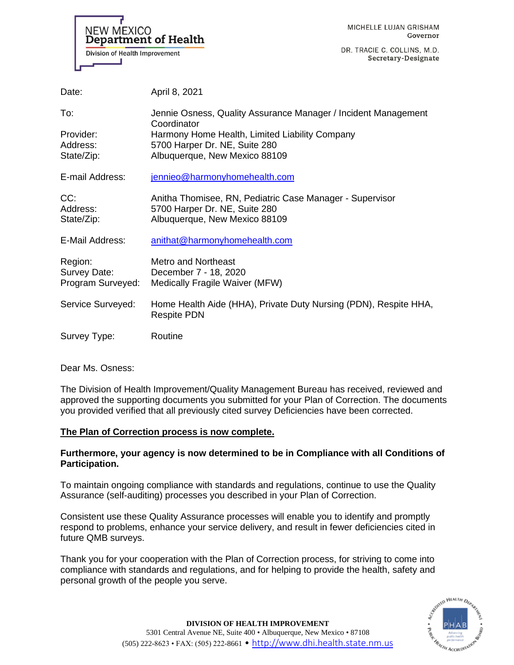

DR. TRACIE C. COLLINS, M.D. Secretary-Designate

| Date:                                        | April 8, 2021                                                                                                              |
|----------------------------------------------|----------------------------------------------------------------------------------------------------------------------------|
| To:                                          | Jennie Osness, Quality Assurance Manager / Incident Management<br>Coordinator                                              |
| Provider:<br>Address:<br>State/Zip:          | Harmony Home Health, Limited Liability Company<br>5700 Harper Dr. NE, Suite 280<br>Albuquerque, New Mexico 88109           |
| E-mail Address:                              | jennieo@harmonyhomehealth.com                                                                                              |
| CC:<br>Address:<br>State/Zip:                | Anitha Thomisee, RN, Pediatric Case Manager - Supervisor<br>5700 Harper Dr. NE, Suite 280<br>Albuquerque, New Mexico 88109 |
| E-Mail Address:                              | anithat@harmonyhomehealth.com                                                                                              |
| Region:<br>Survey Date:<br>Program Surveyed: | Metro and Northeast<br>December 7 - 18, 2020<br>Medically Fragile Waiver (MFW)                                             |
| Service Surveyed:                            | Home Health Aide (HHA), Private Duty Nursing (PDN), Respite HHA,<br><b>Respite PDN</b>                                     |
| Survey Type:                                 | Routine                                                                                                                    |

Dear Ms. Osness:

The Division of Health Improvement/Quality Management Bureau has received, reviewed and approved the supporting documents you submitted for your Plan of Correction. The documents you provided verified that all previously cited survey Deficiencies have been corrected.

## **The Plan of Correction process is now complete.**

## **Furthermore, your agency is now determined to be in Compliance with all Conditions of Participation.**

To maintain ongoing compliance with standards and regulations, continue to use the Quality Assurance (self-auditing) processes you described in your Plan of Correction.

Consistent use these Quality Assurance processes will enable you to identify and promptly respond to problems, enhance your service delivery, and result in fewer deficiencies cited in future QMB surveys.

Thank you for your cooperation with the Plan of Correction process, for striving to come into compliance with standards and regulations, and for helping to provide the health, safety and personal growth of the people you serve.